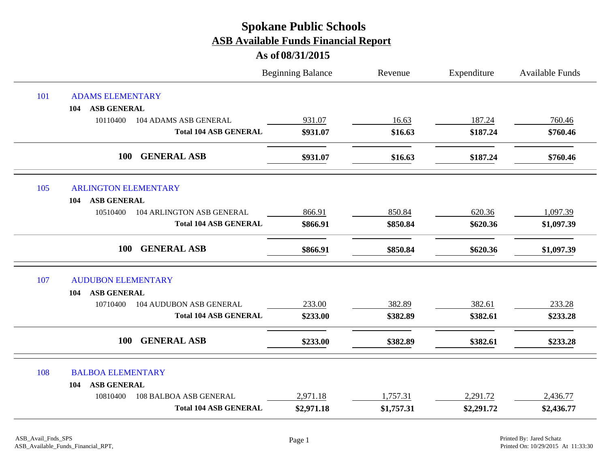|     |                                            | <b>Beginning Balance</b> | Revenue    | Expenditure | Available Funds |
|-----|--------------------------------------------|--------------------------|------------|-------------|-----------------|
| 101 | <b>ADAMS ELEMENTARY</b>                    |                          |            |             |                 |
|     | <b>ASB GENERAL</b><br>104                  |                          |            |             |                 |
|     | 10110400<br>104 ADAMS ASB GENERAL          | 931.07                   | 16.63      | 187.24      | 760.46          |
|     | <b>Total 104 ASB GENERAL</b>               | \$931.07                 | \$16.63    | \$187.24    | \$760.46        |
|     | 100<br><b>GENERAL ASB</b>                  | \$931.07                 | \$16.63    | \$187.24    | \$760.46        |
| 105 | <b>ARLINGTON ELEMENTARY</b>                |                          |            |             |                 |
|     | <b>ASB GENERAL</b><br>104                  |                          |            |             |                 |
|     | 104 ARLINGTON ASB GENERAL<br>10510400      | 866.91                   | 850.84     | 620.36      | 1,097.39        |
|     | <b>Total 104 ASB GENERAL</b>               | \$866.91                 | \$850.84   | \$620.36    | \$1,097.39      |
|     | <b>GENERAL ASB</b><br>100                  | \$866.91                 | \$850.84   | \$620.36    | \$1,097.39      |
| 107 | <b>AUDUBON ELEMENTARY</b>                  |                          |            |             |                 |
|     | <b>ASB GENERAL</b><br>104                  |                          |            |             |                 |
|     | <b>104 AUDUBON ASB GENERAL</b><br>10710400 | 233.00                   | 382.89     | 382.61      | 233.28          |
|     | <b>Total 104 ASB GENERAL</b>               | \$233.00                 | \$382.89   | \$382.61    | \$233.28        |
|     | <b>GENERAL ASB</b><br>100                  | \$233.00                 | \$382.89   | \$382.61    | \$233.28        |
| 108 | <b>BALBOA ELEMENTARY</b>                   |                          |            |             |                 |
|     | <b>ASB GENERAL</b><br>104                  |                          |            |             |                 |
|     | 10810400<br><b>108 BALBOA ASB GENERAL</b>  | 2,971.18                 | 1,757.31   | 2,291.72    | 2,436.77        |
|     | <b>Total 104 ASB GENERAL</b>               | \$2,971.18               | \$1,757.31 | \$2,291.72  | \$2,436.77      |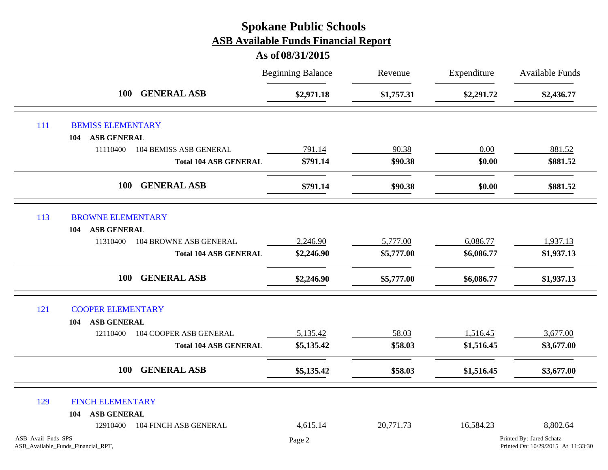|                    |                                    |                                  | <b>Beginning Balance</b> | Revenue    | Expenditure | Available Funds                                                |
|--------------------|------------------------------------|----------------------------------|--------------------------|------------|-------------|----------------------------------------------------------------|
|                    |                                    | <b>GENERAL ASB</b><br><b>100</b> | \$2,971.18               | \$1,757.31 | \$2,291.72  | \$2,436.77                                                     |
| 111                | <b>BEMISS ELEMENTARY</b>           |                                  |                          |            |             |                                                                |
|                    | <b>ASB GENERAL</b><br>104          |                                  |                          |            |             |                                                                |
|                    | 11110400                           | <b>104 BEMISS ASB GENERAL</b>    | 791.14                   | 90.38      | 0.00        | 881.52                                                         |
|                    |                                    | <b>Total 104 ASB GENERAL</b>     | \$791.14                 | \$90.38    | \$0.00      | \$881.52                                                       |
|                    | <b>100</b>                         | <b>GENERAL ASB</b>               | \$791.14                 | \$90.38    | \$0.00      | \$881.52                                                       |
| 113                | <b>BROWNE ELEMENTARY</b>           |                                  |                          |            |             |                                                                |
|                    | <b>ASB GENERAL</b><br>104          |                                  |                          |            |             |                                                                |
|                    | 11310400                           | 104 BROWNE ASB GENERAL           | 2,246.90                 | 5,777.00   | 6,086.77    | 1,937.13                                                       |
|                    |                                    | <b>Total 104 ASB GENERAL</b>     | \$2,246.90               | \$5,777.00 | \$6,086.77  | \$1,937.13                                                     |
|                    | <b>100</b>                         | <b>GENERAL ASB</b>               | \$2,246.90               | \$5,777.00 | \$6,086.77  | \$1,937.13                                                     |
| 121                | <b>COOPER ELEMENTARY</b>           |                                  |                          |            |             |                                                                |
|                    | <b>ASB GENERAL</b><br>104          |                                  |                          |            |             |                                                                |
|                    | 12110400                           | 104 COOPER ASB GENERAL           | 5,135.42                 | 58.03      | 1,516.45    | 3,677.00                                                       |
|                    |                                    | <b>Total 104 ASB GENERAL</b>     | \$5,135.42               | \$58.03    | \$1,516.45  | \$3,677.00                                                     |
|                    | <b>100</b>                         | <b>GENERAL ASB</b>               | \$5,135.42               | \$58.03    | \$1,516.45  | \$3,677.00                                                     |
| 129                | <b>FINCH ELEMENTARY</b>            |                                  |                          |            |             |                                                                |
|                    | <b>ASB GENERAL</b><br>104          |                                  |                          |            |             |                                                                |
|                    | 12910400                           | 104 FINCH ASB GENERAL            | 4,615.14                 | 20,771.73  | 16,584.23   | 8,802.64                                                       |
| ASB_Avail_Fnds_SPS | ASB_Available_Funds_Financial_RPT, |                                  | Page 2                   |            |             | Printed By: Jared Schatz<br>Printed On: 10/29/2015 At 11:33:30 |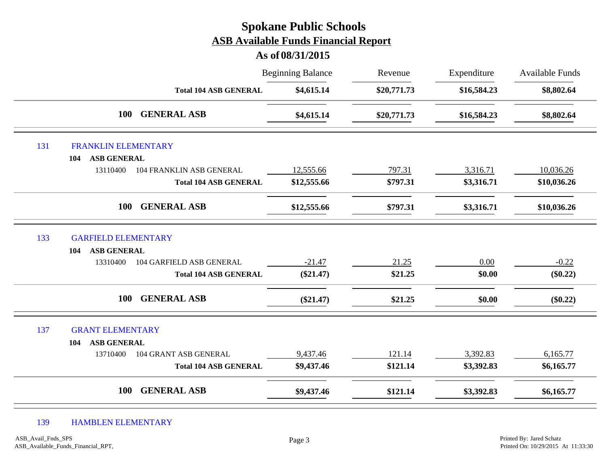|     |                                      | <b>Spokane Public Schools</b><br><b>ASB Available Funds Financial Report</b><br>As of 08/31/2015 |             |             |                        |
|-----|--------------------------------------|--------------------------------------------------------------------------------------------------|-------------|-------------|------------------------|
|     |                                      | <b>Beginning Balance</b>                                                                         | Revenue     | Expenditure | <b>Available Funds</b> |
|     | <b>Total 104 ASB GENERAL</b>         | \$4,615.14                                                                                       | \$20,771.73 | \$16,584.23 | \$8,802.64             |
|     | <b>GENERAL ASB</b><br>100            | \$4,615.14                                                                                       | \$20,771.73 | \$16,584.23 | \$8,802.64             |
| 131 | <b>FRANKLIN ELEMENTARY</b>           |                                                                                                  |             |             |                        |
|     | <b>ASB GENERAL</b><br>104            |                                                                                                  |             |             |                        |
|     | 13110400<br>104 FRANKLIN ASB GENERAL | 12,555.66                                                                                        | 797.31      | 3,316.71    | 10,036.26              |
|     | <b>Total 104 ASB GENERAL</b>         | \$12,555.66                                                                                      | \$797.31    | \$3,316.71  | \$10,036.26            |
|     | <b>GENERAL ASB</b><br>100            | \$12,555.66                                                                                      | \$797.31    | \$3,316.71  | \$10,036.26            |
| 133 | <b>GARFIELD ELEMENTARY</b>           |                                                                                                  |             |             |                        |
|     | <b>ASB GENERAL</b><br>104            |                                                                                                  |             |             |                        |
|     | 104 GARFIELD ASB GENERAL<br>13310400 | $-21.47$                                                                                         | 21.25       | $0.00\,$    | $-0.22$                |
|     | <b>Total 104 ASB GENERAL</b>         | $(\$21.47)$                                                                                      | \$21.25     | \$0.00      | $(\$0.22)$             |
|     | <b>GENERAL ASB</b><br>100            | $(\$21.47)$                                                                                      | \$21.25     | \$0.00      | $(\$0.22)$             |
| 137 | <b>GRANT ELEMENTARY</b>              |                                                                                                  |             |             |                        |
|     | <b>ASB GENERAL</b><br>104            |                                                                                                  |             |             |                        |
|     | 13710400<br>104 GRANT ASB GENERAL    | 9,437.46                                                                                         | 121.14      | 3,392.83    | 6,165.77               |
|     | <b>Total 104 ASB GENERAL</b>         | \$9,437.46                                                                                       | \$121.14    | \$3,392.83  | \$6,165.77             |
|     | <b>GENERAL ASB</b><br>100            | \$9,437.46                                                                                       | \$121.14    | \$3,392.83  | \$6,165.77             |

#### 139 HAMBLEN ELEMENTARY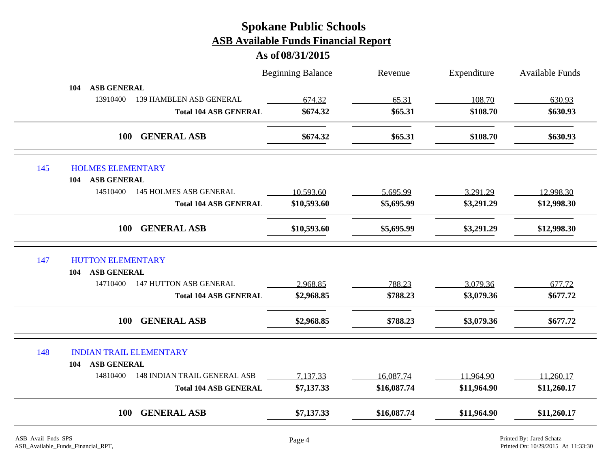|     |                                                 | <b>Beginning Balance</b> | Revenue     | Expenditure | <b>Available Funds</b> |
|-----|-------------------------------------------------|--------------------------|-------------|-------------|------------------------|
| 104 | <b>ASB GENERAL</b>                              |                          |             |             |                        |
|     | 13910400<br>139 HAMBLEN ASB GENERAL             | 674.32                   | 65.31       | 108.70      | 630.93                 |
|     | <b>Total 104 ASB GENERAL</b>                    | \$674.32                 | \$65.31     | \$108.70    | \$630.93               |
|     | <b>GENERAL ASB</b><br><b>100</b>                | \$674.32                 | \$65.31     | \$108.70    | \$630.93               |
| 145 | <b>HOLMES ELEMENTARY</b>                        |                          |             |             |                        |
| 104 | <b>ASB GENERAL</b>                              |                          |             |             |                        |
|     | 14510400<br><b>145 HOLMES ASB GENERAL</b>       | 10,593.60                | 5,695.99    | 3,291.29    | 12,998.30              |
|     | <b>Total 104 ASB GENERAL</b>                    | \$10,593.60              | \$5,695.99  | \$3,291.29  | \$12,998.30            |
|     | <b>GENERAL ASB</b><br><b>100</b>                | \$10,593.60              | \$5,695.99  | \$3,291.29  | \$12,998.30            |
| 147 | <b>HUTTON ELEMENTARY</b>                        |                          |             |             |                        |
| 104 | <b>ASB GENERAL</b>                              |                          |             |             |                        |
|     | <b>147 HUTTON ASB GENERAL</b><br>14710400       | 2,968.85                 | 788.23      | 3,079.36    | 677.72                 |
|     | <b>Total 104 ASB GENERAL</b>                    | \$2,968.85               | \$788.23    | \$3,079.36  | \$677.72               |
|     | 100<br><b>GENERAL ASB</b>                       | \$2,968.85               | \$788.23    | \$3,079.36  | \$677.72               |
| 148 | <b>INDIAN TRAIL ELEMENTARY</b>                  |                          |             |             |                        |
| 104 | <b>ASB GENERAL</b>                              |                          |             |             |                        |
|     | 14810400<br><b>148 INDIAN TRAIL GENERAL ASB</b> | 7,137.33                 | 16,087.74   | 11,964.90   | 11,260.17              |
|     | <b>Total 104 ASB GENERAL</b>                    | \$7,137.33               | \$16,087.74 | \$11,964.90 | \$11,260.17            |
|     | 100<br><b>GENERAL ASB</b>                       | \$7,137.33               | \$16,087.74 | \$11,964.90 | \$11,260.17            |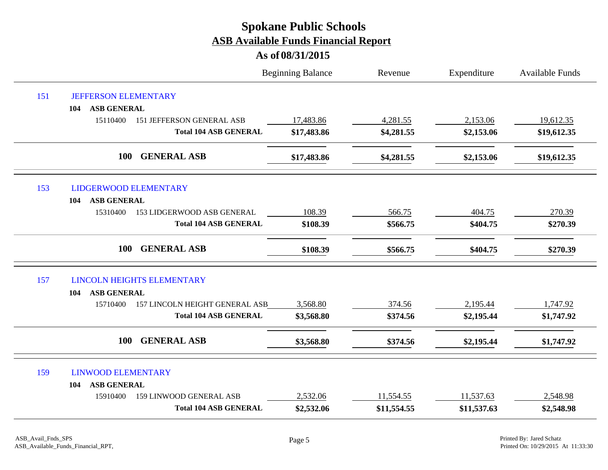|     |                                              | <b>Beginning Balance</b> | Revenue     | Expenditure | Available Funds |
|-----|----------------------------------------------|--------------------------|-------------|-------------|-----------------|
| 151 | <b>JEFFERSON ELEMENTARY</b>                  |                          |             |             |                 |
|     | <b>ASB GENERAL</b><br>104                    |                          |             |             |                 |
|     | 15110400<br><b>151 JEFFERSON GENERAL ASB</b> | 17,483.86                | 4,281.55    | 2,153.06    | 19,612.35       |
|     | <b>Total 104 ASB GENERAL</b>                 | \$17,483.86              | \$4,281.55  | \$2,153.06  | \$19,612.35     |
|     | <b>GENERAL ASB</b><br>100                    | \$17,483.86              | \$4,281.55  | \$2,153.06  | \$19,612.35     |
| 153 | <b>LIDGERWOOD ELEMENTARY</b>                 |                          |             |             |                 |
|     | <b>ASB GENERAL</b><br>104                    |                          |             |             |                 |
|     | 15310400<br>153 LIDGERWOOD ASB GENERAL       | 108.39                   | 566.75      | 404.75      | 270.39          |
|     | <b>Total 104 ASB GENERAL</b>                 | \$108.39                 | \$566.75    | \$404.75    | \$270.39        |
|     | <b>100</b><br><b>GENERAL ASB</b>             | \$108.39                 | \$566.75    | \$404.75    | \$270.39        |
| 157 | <b>LINCOLN HEIGHTS ELEMENTARY</b>            |                          |             |             |                 |
|     | <b>ASB GENERAL</b><br>104                    |                          |             |             |                 |
|     | 157 LINCOLN HEIGHT GENERAL ASB<br>15710400   | 3,568.80                 | 374.56      | 2,195.44    | 1,747.92        |
|     | <b>Total 104 ASB GENERAL</b>                 | \$3,568.80               | \$374.56    | \$2,195.44  | \$1,747.92      |
|     | <b>GENERAL ASB</b><br><b>100</b>             | \$3,568.80               | \$374.56    | \$2,195.44  | \$1,747.92      |
| 159 | <b>LINWOOD ELEMENTARY</b>                    |                          |             |             |                 |
|     | <b>ASB GENERAL</b><br>104                    |                          |             |             |                 |
|     | <b>159 LINWOOD GENERAL ASB</b><br>15910400   | 2,532.06                 | 11,554.55   | 11,537.63   | 2,548.98        |
|     | <b>Total 104 ASB GENERAL</b>                 | \$2,532.06               | \$11,554.55 | \$11,537.63 | \$2,548.98      |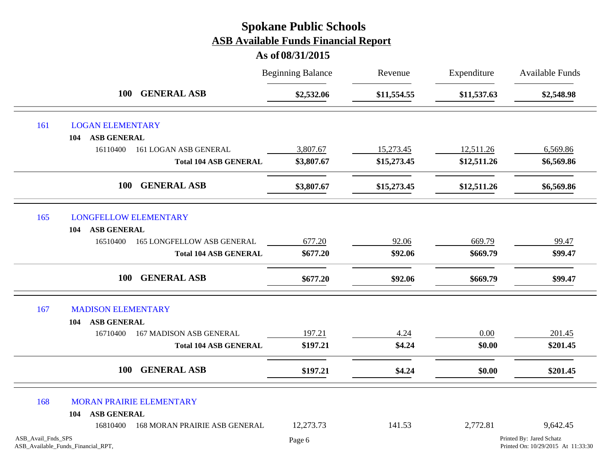|                    |                                    |                                   | <b>Beginning Balance</b> | Revenue     | Expenditure | <b>Available Funds</b>                                         |
|--------------------|------------------------------------|-----------------------------------|--------------------------|-------------|-------------|----------------------------------------------------------------|
|                    | <b>100</b>                         | <b>GENERAL ASB</b>                | \$2,532.06               | \$11,554.55 | \$11,537.63 | \$2,548.98                                                     |
| 161                | <b>LOGAN ELEMENTARY</b>            |                                   |                          |             |             |                                                                |
|                    | <b>ASB GENERAL</b><br>104          |                                   |                          |             |             |                                                                |
|                    | 16110400                           | 161 LOGAN ASB GENERAL             | 3,807.67                 | 15,273.45   | 12,511.26   | 6,569.86                                                       |
|                    |                                    | <b>Total 104 ASB GENERAL</b>      | \$3,807.67               | \$15,273.45 | \$12,511.26 | \$6,569.86                                                     |
|                    | <b>100</b>                         | <b>GENERAL ASB</b>                | \$3,807.67               | \$15,273.45 | \$12,511.26 | \$6,569.86                                                     |
| 165                | <b>LONGFELLOW ELEMENTARY</b>       |                                   |                          |             |             |                                                                |
|                    | <b>ASB GENERAL</b><br>104          |                                   |                          |             |             |                                                                |
|                    | 16510400                           | <b>165 LONGFELLOW ASB GENERAL</b> | 677.20                   | 92.06       | 669.79      | 99.47                                                          |
|                    |                                    | <b>Total 104 ASB GENERAL</b>      | \$677.20                 | \$92.06     | \$669.79    | \$99.47                                                        |
|                    | <b>100</b>                         | <b>GENERAL ASB</b>                | \$677.20                 | \$92.06     | \$669.79    | \$99.47                                                        |
| 167                | <b>MADISON ELEMENTARY</b>          |                                   |                          |             |             |                                                                |
|                    | <b>ASB GENERAL</b><br>104          |                                   |                          |             |             |                                                                |
|                    | 16710400                           | <b>167 MADISON ASB GENERAL</b>    | 197.21                   | 4.24        | 0.00        | 201.45                                                         |
|                    |                                    | <b>Total 104 ASB GENERAL</b>      | \$197.21                 | \$4.24      | \$0.00      | \$201.45                                                       |
|                    | <b>100</b>                         | <b>GENERAL ASB</b>                | \$197.21                 | \$4.24      | \$0.00      | \$201.45                                                       |
| 168                | <b>MORAN PRAIRIE ELEMENTARY</b>    |                                   |                          |             |             |                                                                |
|                    | <b>ASB GENERAL</b><br>104          |                                   |                          |             |             |                                                                |
|                    | 16810400                           | 168 MORAN PRAIRIE ASB GENERAL     | 12,273.73                | 141.53      | 2,772.81    | 9,642.45                                                       |
| ASB_Avail_Fnds_SPS | ASB_Available_Funds_Financial_RPT, |                                   | Page 6                   |             |             | Printed By: Jared Schatz<br>Printed On: 10/29/2015 At 11:33:30 |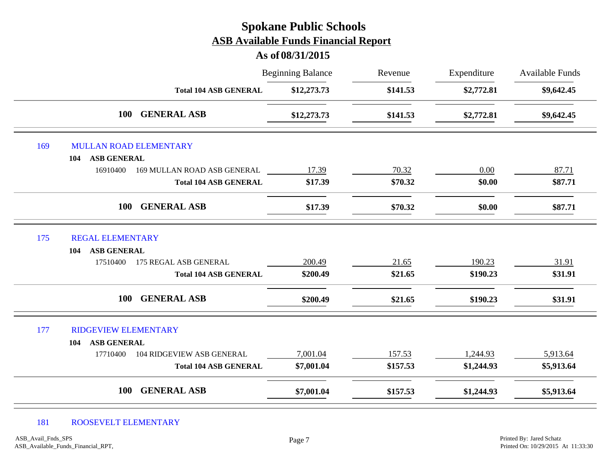# Beginning Balance Revenue Expenditure Available Funds **As of 08/31/2015 Spokane Public Schools ASB Available Funds Financial Report** Revenue **Total 104 ASB GENERAL \$12,273.73 \$141.53 \$2,772.81 \$9,642.45 100 GENERAL ASB \$12,273.73 \$141.53 \$2,772.81 \$9,642.45** 169 MULLAN ROAD ELEMENTARY **104 ASB GENERAL** 16910400 169 MULLAN ROAD ASB GENERAL 17.39 20.32 0.00 87.71 **Total 104 ASB GENERAL \$17.39 \$70.32 \$0.00 \$87.71 100 GENERAL ASB \$17.39 \$70.32 \$0.00 \$87.71** 175 REGAL ELEMENTARY **104 ASB GENERAL** 17510400 175 REGAL ASB GENERAL 200.49 21.65 190.23 31.91 **Total 104 ASB GENERAL \$200.49 \$21.65 \$190.23 \$31.91 100 GENERAL ASB \$200.49 \$21.65 \$190.23 \$31.91** 177 RIDGEVIEW ELEMENTARY **104 ASB GENERAL** 17710400 104 RIDGEVIEW ASB GENERAL 7,001.04 157.53 1,244.93 5,913.64 **Total 104 ASB GENERAL \$7,001.04 \$157.53 \$1,244.93 \$5,913.64 100 GENERAL ASB \$7,001.04 \$157.53 \$1,244.93 \$5,913.64**

#### 181 ROOSEVELT ELEMENTARY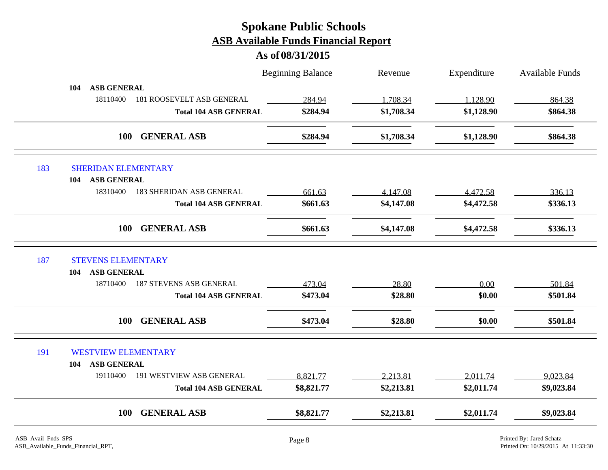|                                   |                                  | <b>Beginning Balance</b> | Revenue    | Expenditure | <b>Available Funds</b> |
|-----------------------------------|----------------------------------|--------------------------|------------|-------------|------------------------|
| <b>ASB GENERAL</b><br>104         |                                  |                          |            |             |                        |
| 18110400                          | <b>181 ROOSEVELT ASB GENERAL</b> | 284.94                   | 1,708.34   | 1,128.90    | 864.38                 |
|                                   | <b>Total 104 ASB GENERAL</b>     | \$284.94                 | \$1,708.34 | \$1,128.90  | \$864.38               |
|                                   | <b>GENERAL ASB</b><br>100        | \$284.94                 | \$1,708.34 | \$1,128.90  | \$864.38               |
| 183<br><b>SHERIDAN ELEMENTARY</b> |                                  |                          |            |             |                        |
| <b>ASB GENERAL</b><br>104         |                                  |                          |            |             |                        |
| 18310400                          | <b>183 SHERIDAN ASB GENERAL</b>  | 661.63                   | 4,147.08   | 4,472.58    | 336.13                 |
|                                   | <b>Total 104 ASB GENERAL</b>     | \$661.63                 | \$4,147.08 | \$4,472.58  | \$336.13               |
|                                   | <b>GENERAL ASB</b><br><b>100</b> | \$661.63                 | \$4,147.08 | \$4,472.58  | \$336.13               |
| 187<br><b>STEVENS ELEMENTARY</b>  |                                  |                          |            |             |                        |
| <b>ASB GENERAL</b><br>104         |                                  |                          |            |             |                        |
| 18710400                          | <b>187 STEVENS ASB GENERAL</b>   | 473.04                   | 28.80      | 0.00        | 501.84                 |
|                                   | <b>Total 104 ASB GENERAL</b>     | \$473.04                 | \$28.80    | \$0.00      | \$501.84               |
|                                   | <b>GENERAL ASB</b><br><b>100</b> | \$473.04                 | \$28.80    | \$0.00      | \$501.84               |
| 191<br><b>WESTVIEW ELEMENTARY</b> |                                  |                          |            |             |                        |
| <b>ASB GENERAL</b><br>104         |                                  |                          |            |             |                        |
| 19110400                          | <b>191 WESTVIEW ASB GENERAL</b>  | 8,821.77                 | 2,213.81   | 2,011.74    | 9,023.84               |
|                                   | <b>Total 104 ASB GENERAL</b>     | \$8,821.77               | \$2,213.81 | \$2,011.74  | \$9,023.84             |
|                                   | <b>GENERAL ASB</b><br>100        | \$8,821.77               | \$2,213.81 | \$2,011.74  | \$9,023.84             |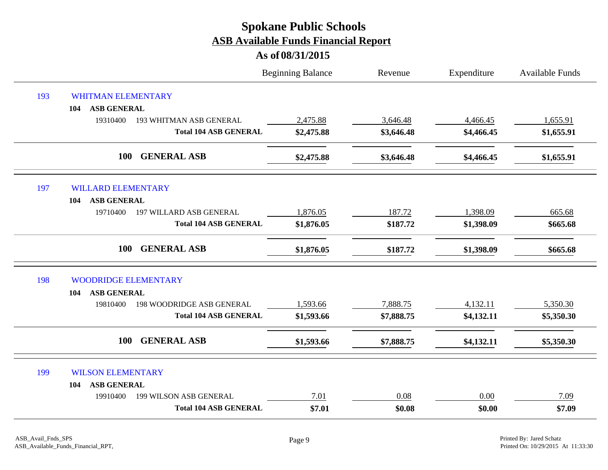|     |                                              | <b>Beginning Balance</b> | Revenue    | Expenditure | <b>Available Funds</b> |
|-----|----------------------------------------------|--------------------------|------------|-------------|------------------------|
| 193 | <b>WHITMAN ELEMENTARY</b>                    |                          |            |             |                        |
|     | <b>ASB GENERAL</b><br>104                    |                          |            |             |                        |
|     | 19310400<br><b>193 WHITMAN ASB GENERAL</b>   | 2,475.88                 | 3,646.48   | 4,466.45    | 1,655.91               |
|     | <b>Total 104 ASB GENERAL</b>                 | \$2,475.88               | \$3,646.48 | \$4,466.45  | \$1,655.91             |
|     | 100<br><b>GENERAL ASB</b>                    | \$2,475.88               | \$3,646.48 | \$4,466.45  | \$1,655.91             |
| 197 | <b>WILLARD ELEMENTARY</b>                    |                          |            |             |                        |
|     | <b>ASB GENERAL</b><br>104                    |                          |            |             |                        |
|     | 19710400<br>197 WILLARD ASB GENERAL          | 1,876.05                 | 187.72     | 1,398.09    | 665.68                 |
|     | <b>Total 104 ASB GENERAL</b>                 | \$1,876.05               | \$187.72   | \$1,398.09  | \$665.68               |
|     | <b>GENERAL ASB</b><br><b>100</b>             | \$1,876.05               | \$187.72   | \$1,398.09  | \$665.68               |
| 198 | <b>WOODRIDGE ELEMENTARY</b>                  |                          |            |             |                        |
|     | <b>ASB GENERAL</b><br>104                    |                          |            |             |                        |
|     | <b>198 WOODRIDGE ASB GENERAL</b><br>19810400 | 1,593.66                 | 7,888.75   | 4,132.11    | 5,350.30               |
|     | <b>Total 104 ASB GENERAL</b>                 | \$1,593.66               | \$7,888.75 | \$4,132.11  | \$5,350.30             |
|     | <b>GENERAL ASB</b><br>100                    | \$1,593.66               | \$7,888.75 | \$4,132.11  | \$5,350.30             |
| 199 | <b>WILSON ELEMENTARY</b>                     |                          |            |             |                        |
|     | <b>ASB GENERAL</b><br>104                    |                          |            |             |                        |
|     | 199 WILSON ASB GENERAL<br>19910400           | 7.01                     | 0.08       | 0.00        | 7.09                   |
|     | <b>Total 104 ASB GENERAL</b>                 | \$7.01                   | \$0.08     | \$0.00      | \$7.09                 |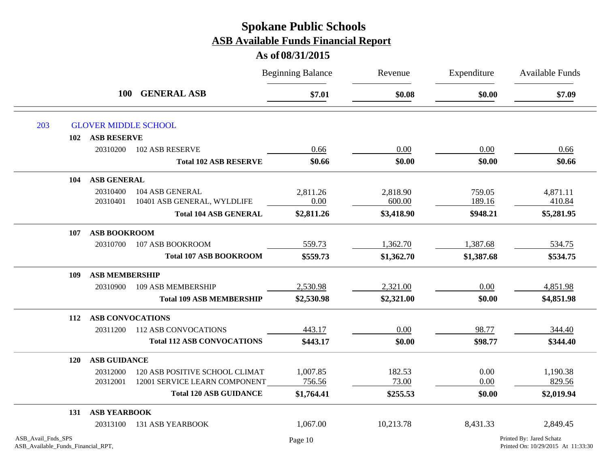|                                                          |                         |                                   | <b>Beginning Balance</b> | Revenue    | Expenditure | Available Funds                                                |
|----------------------------------------------------------|-------------------------|-----------------------------------|--------------------------|------------|-------------|----------------------------------------------------------------|
|                                                          |                         | <b>GENERAL ASB</b><br><b>100</b>  | \$7.01                   | \$0.08     | \$0.00      | \$7.09                                                         |
| 203                                                      |                         | <b>GLOVER MIDDLE SCHOOL</b>       |                          |            |             |                                                                |
| 102                                                      | <b>ASB RESERVE</b>      |                                   |                          |            |             |                                                                |
|                                                          | 20310200                | <b>102 ASB RESERVE</b>            | 0.66                     | 0.00       | 0.00        | 0.66                                                           |
|                                                          |                         | <b>Total 102 ASB RESERVE</b>      | \$0.66                   | \$0.00     | \$0.00      | \$0.66                                                         |
| 104                                                      | <b>ASB GENERAL</b>      |                                   |                          |            |             |                                                                |
|                                                          | 20310400                | 104 ASB GENERAL                   | 2,811.26                 | 2,818.90   | 759.05      | 4,871.11                                                       |
|                                                          | 20310401                | 10401 ASB GENERAL, WYLDLIFE       | 0.00                     | 600.00     | 189.16      | 410.84                                                         |
|                                                          |                         | <b>Total 104 ASB GENERAL</b>      | \$2,811.26               | \$3,418.90 | \$948.21    | \$5,281.95                                                     |
| 107                                                      | <b>ASB BOOKROOM</b>     |                                   |                          |            |             |                                                                |
|                                                          | 20310700                | 107 ASB BOOKROOM                  | 559.73                   | 1,362.70   | 1,387.68    | 534.75                                                         |
|                                                          |                         | <b>Total 107 ASB BOOKROOM</b>     | \$559.73                 | \$1,362.70 | \$1,387.68  | \$534.75                                                       |
| 109                                                      | <b>ASB MEMBERSHIP</b>   |                                   |                          |            |             |                                                                |
|                                                          | 20310900                | 109 ASB MEMBERSHIP                | 2,530.98                 | 2,321.00   | 0.00        | 4,851.98                                                       |
|                                                          |                         | <b>Total 109 ASB MEMBERSHIP</b>   | \$2,530.98               | \$2,321.00 | \$0.00      | \$4,851.98                                                     |
| 112                                                      | <b>ASB CONVOCATIONS</b> |                                   |                          |            |             |                                                                |
|                                                          | 20311200                | <b>112 ASB CONVOCATIONS</b>       | 443.17                   | 0.00       | 98.77       | 344.40                                                         |
|                                                          |                         | <b>Total 112 ASB CONVOCATIONS</b> | \$443.17                 | \$0.00     | \$98.77     | \$344.40                                                       |
| <b>120</b>                                               | <b>ASB GUIDANCE</b>     |                                   |                          |            |             |                                                                |
|                                                          | 20312000                | 120 ASB POSITIVE SCHOOL CLIMAT    | 1,007.85                 | 182.53     | 0.00        | 1,190.38                                                       |
|                                                          | 20312001                | 12001 SERVICE LEARN COMPONENT     | 756.56                   | 73.00      | 0.00        | 829.56                                                         |
|                                                          |                         | <b>Total 120 ASB GUIDANCE</b>     | \$1,764.41               | \$255.53   | \$0.00      | \$2,019.94                                                     |
| 131                                                      | <b>ASB YEARBOOK</b>     |                                   |                          |            |             |                                                                |
|                                                          | 20313100                | <b>131 ASB YEARBOOK</b>           | 1,067.00                 | 10,213.78  | 8,431.33    | 2,849.45                                                       |
| ASB_Avail_Fnds_SPS<br>ASB_Available_Funds_Financial_RPT, |                         |                                   | Page 10                  |            |             | Printed By: Jared Schatz<br>Printed On: 10/29/2015 At 11:33:30 |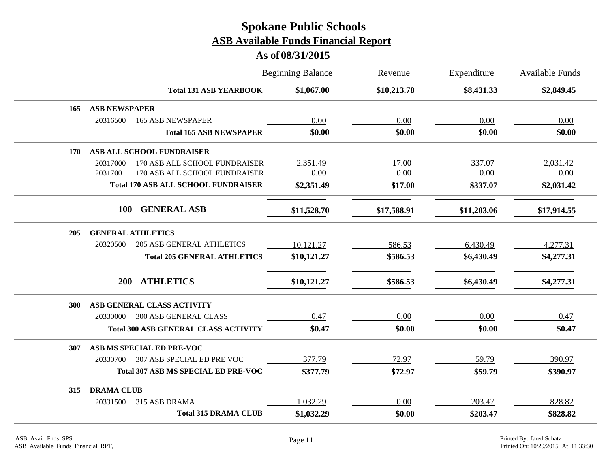|            |                                              | <b>Beginning Balance</b> | Revenue     | Expenditure | <b>Available Funds</b> |
|------------|----------------------------------------------|--------------------------|-------------|-------------|------------------------|
|            | <b>Total 131 ASB YEARBOOK</b>                | \$1,067.00               | \$10,213.78 | \$8,431.33  | \$2,849.45             |
| 165        | <b>ASB NEWSPAPER</b>                         |                          |             |             |                        |
|            | 20316500<br><b>165 ASB NEWSPAPER</b>         | 0.00                     | 0.00        | 0.00        | 0.00                   |
|            | <b>Total 165 ASB NEWSPAPER</b>               | \$0.00                   | \$0.00      | \$0.00      | \$0.00                 |
| <b>170</b> | ASB ALL SCHOOL FUNDRAISER                    |                          |             |             |                        |
|            | 20317000<br>170 ASB ALL SCHOOL FUNDRAISER    | 2,351.49                 | 17.00       | 337.07      | 2,031.42               |
|            | 170 ASB ALL SCHOOL FUNDRAISER<br>20317001    | 0.00                     | 0.00        | 0.00        | 0.00                   |
|            | <b>Total 170 ASB ALL SCHOOL FUNDRAISER</b>   | \$2,351.49               | \$17.00     | \$337.07    | \$2,031.42             |
|            | <b>GENERAL ASB</b><br><b>100</b>             | \$11,528.70              | \$17,588.91 | \$11,203.06 | \$17,914.55            |
| 205        | <b>GENERAL ATHLETICS</b>                     |                          |             |             |                        |
|            | 20320500<br><b>205 ASB GENERAL ATHLETICS</b> | 10,121.27                | 586.53      | 6,430.49    | 4,277.31               |
|            | <b>Total 205 GENERAL ATHLETICS</b>           | \$10,121.27              | \$586.53    | \$6,430.49  | \$4,277.31             |
|            | <b>ATHLETICS</b><br><b>200</b>               | \$10,121.27              | \$586.53    | \$6,430.49  | \$4,277.31             |
| 300        | ASB GENERAL CLASS ACTIVITY                   |                          |             |             |                        |
|            | <b>300 ASB GENERAL CLASS</b><br>20330000     | 0.47                     | 0.00        | 0.00        | 0.47                   |
|            | <b>Total 300 ASB GENERAL CLASS ACTIVITY</b>  | \$0.47                   | \$0.00      | \$0.00      | \$0.47                 |
| 307        | ASB MS SPECIAL ED PRE-VOC                    |                          |             |             |                        |
|            | 307 ASB SPECIAL ED PRE VOC<br>20330700       | 377.79                   | 72.97       | 59.79       | 390.97                 |
|            | <b>Total 307 ASB MS SPECIAL ED PRE-VOC</b>   | \$377.79                 | \$72.97     | \$59.79     | \$390.97               |
| 315        | <b>DRAMA CLUB</b>                            |                          |             |             |                        |
|            | 315 ASB DRAMA<br>20331500                    | 1,032.29                 | 0.00        | 203.47      | 828.82                 |
|            | <b>Total 315 DRAMA CLUB</b>                  | \$1,032.29               | \$0.00      | \$203.47    | \$828.82               |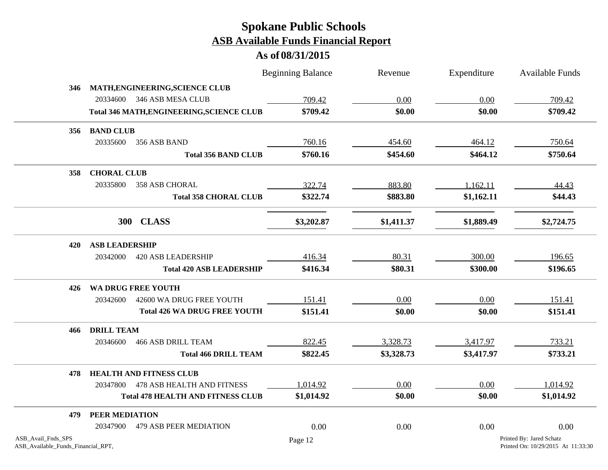|                    |                                                  | <b>Beginning Balance</b> | Revenue    | Expenditure | Available Funds          |
|--------------------|--------------------------------------------------|--------------------------|------------|-------------|--------------------------|
| 346                | MATH, ENGINEERING, SCIENCE CLUB                  |                          |            |             |                          |
|                    | 346 ASB MESA CLUB<br>20334600                    | 709.42                   | 0.00       | 0.00        | 709.42                   |
|                    | <b>Total 346 MATH, ENGINEERING, SCIENCE CLUB</b> | \$709.42                 | \$0.00     | \$0.00      | \$709.42                 |
| 356                | <b>BAND CLUB</b>                                 |                          |            |             |                          |
|                    | 20335600<br>356 ASB BAND                         | 760.16                   | 454.60     | 464.12      | 750.64                   |
|                    | <b>Total 356 BAND CLUB</b>                       | \$760.16                 | \$454.60   | \$464.12    | \$750.64                 |
| 358                | <b>CHORAL CLUB</b>                               |                          |            |             |                          |
|                    | 20335800<br>358 ASB CHORAL                       | 322.74                   | 883.80     | 1,162.11    | 44.43                    |
|                    | <b>Total 358 CHORAL CLUB</b>                     | \$322.74                 | \$883.80   | \$1,162.11  | \$44.43                  |
|                    | 300 CLASS                                        | \$3,202.87               | \$1,411.37 | \$1,889.49  | \$2,724.75               |
| 420                | <b>ASB LEADERSHIP</b>                            |                          |            |             |                          |
|                    | 20342000<br>420 ASB LEADERSHIP                   | 416.34                   | 80.31      | 300.00      | 196.65                   |
|                    | <b>Total 420 ASB LEADERSHIP</b>                  | \$416.34                 | \$80.31    | \$300.00    | \$196.65                 |
| 426                | WA DRUG FREE YOUTH                               |                          |            |             |                          |
|                    | 42600 WA DRUG FREE YOUTH<br>20342600             | 151.41                   | 0.00       | 0.00        | 151.41                   |
|                    | <b>Total 426 WA DRUG FREE YOUTH</b>              | \$151.41                 | \$0.00     | \$0.00      | \$151.41                 |
| 466                | <b>DRILL TEAM</b>                                |                          |            |             |                          |
|                    | <b>466 ASB DRILL TEAM</b><br>20346600            | 822.45                   | 3,328.73   | 3,417.97    | 733.21                   |
|                    | <b>Total 466 DRILL TEAM</b>                      | \$822.45                 | \$3,328.73 | \$3,417.97  | \$733.21                 |
| 478                | <b>HEALTH AND FITNESS CLUB</b>                   |                          |            |             |                          |
|                    | 20347800<br>478 ASB HEALTH AND FITNESS           | 1,014.92                 | 0.00       | 0.00        | 1,014.92                 |
|                    | <b>Total 478 HEALTH AND FITNESS CLUB</b>         | \$1,014.92               | \$0.00     | \$0.00      | \$1,014.92               |
| 479                | PEER MEDIATION                                   |                          |            |             |                          |
|                    | 20347900<br>479 ASB PEER MEDIATION               | 0.00                     | 0.00       | 0.00        | 0.00                     |
| ASB_Avail_Fnds_SPS |                                                  | Page 12                  |            |             | Printed By: Jared Schatz |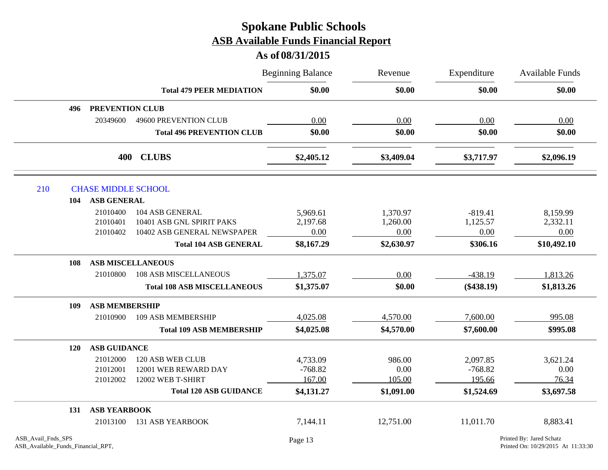|            |                            |                                    | <b>Beginning Balance</b> | Revenue    | Expenditure<br>\$0.00 | <b>Available Funds</b><br>\$0.00 |
|------------|----------------------------|------------------------------------|--------------------------|------------|-----------------------|----------------------------------|
|            |                            | <b>Total 479 PEER MEDIATION</b>    | \$0.00                   | \$0.00     |                       |                                  |
| 496        | PREVENTION CLUB            |                                    |                          |            |                       |                                  |
|            | 20349600                   | 49600 PREVENTION CLUB              | 0.00                     | 0.00       | 0.00                  | 0.00                             |
|            |                            | <b>Total 496 PREVENTION CLUB</b>   | \$0.00                   | \$0.00     | \$0.00                | \$0.00                           |
|            |                            | 400 CLUBS                          | \$2,405.12               | \$3,409.04 | \$3,717.97            | \$2,096.19                       |
| 210        | <b>CHASE MIDDLE SCHOOL</b> |                                    |                          |            |                       |                                  |
|            | <b>ASB GENERAL</b><br>104  |                                    |                          |            |                       |                                  |
|            | 21010400                   | 104 ASB GENERAL                    | 5,969.61                 | 1,370.97   | $-819.41$             | 8,159.99                         |
|            | 21010401                   | 10401 ASB GNL SPIRIT PAKS          | 2,197.68                 | 1,260.00   | 1,125.57              | 2,332.11                         |
|            | 21010402                   | 10402 ASB GENERAL NEWSPAPER        | 0.00                     | 0.00       | 0.00                  | 0.00                             |
|            |                            | <b>Total 104 ASB GENERAL</b>       | \$8,167.29               | \$2,630.97 | \$306.16              | \$10,492.10                      |
| 108        |                            | <b>ASB MISCELLANEOUS</b>           |                          |            |                       |                                  |
|            | 21010800                   | <b>108 ASB MISCELLANEOUS</b>       | 1,375.07                 | 0.00       | $-438.19$             | 1,813.26                         |
|            |                            | <b>Total 108 ASB MISCELLANEOUS</b> | \$1,375.07               | \$0.00     | $(\$438.19)$          | \$1,813.26                       |
| 109        | <b>ASB MEMBERSHIP</b>      |                                    |                          |            |                       |                                  |
|            | 21010900                   | 109 ASB MEMBERSHIP                 | 4,025.08                 | 4,570.00   | 7,600.00              | 995.08                           |
|            |                            | <b>Total 109 ASB MEMBERSHIP</b>    | \$4,025.08               | \$4,570.00 | \$7,600.00            | \$995.08                         |
| <b>120</b> | <b>ASB GUIDANCE</b>        |                                    |                          |            |                       |                                  |
|            | 21012000                   | 120 ASB WEB CLUB                   | 4,733.09                 | 986.00     | 2,097.85              | 3,621.24                         |
|            | 21012001                   | 12001 WEB REWARD DAY               | $-768.82$                | 0.00       | $-768.82$             | 0.00                             |
|            | 21012002                   | 12002 WEB T-SHIRT                  | 167.00                   | 105.00     | 195.66                | 76.34                            |
|            |                            | <b>Total 120 ASB GUIDANCE</b>      | \$4,131.27               | \$1,091.00 | \$1,524.69            | \$3,697.58                       |
| 131        | <b>ASB YEARBOOK</b>        |                                    |                          |            |                       |                                  |
|            | 21013100                   | <b>131 ASB YEARBOOK</b>            | 7,144.11                 | 12,751.00  | 11,011.70             | 8,883.41                         |
|            |                            |                                    |                          |            |                       |                                  |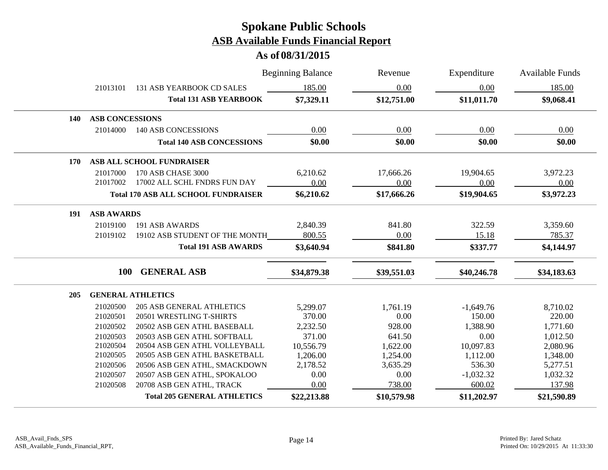|     |                        |                                            | <b>Beginning Balance</b> | Revenue     | Expenditure | <b>Available Funds</b> |
|-----|------------------------|--------------------------------------------|--------------------------|-------------|-------------|------------------------|
|     | 21013101               | 131 ASB YEARBOOK CD SALES                  | 185.00                   | 0.00        | 0.00        | 185.00                 |
|     |                        | <b>Total 131 ASB YEARBOOK</b>              | \$7,329.11               | \$12,751.00 | \$11,011.70 | \$9,068.41             |
| 140 | <b>ASB CONCESSIONS</b> |                                            |                          |             |             |                        |
|     | 21014000               | <b>140 ASB CONCESSIONS</b>                 | 0.00                     | 0.00        | 0.00        | 0.00                   |
|     |                        | <b>Total 140 ASB CONCESSIONS</b>           | \$0.00                   | \$0.00      | \$0.00      | \$0.00                 |
| 170 |                        | ASB ALL SCHOOL FUNDRAISER                  |                          |             |             |                        |
|     | 21017000               | 170 ASB CHASE 3000                         | 6,210.62                 | 17,666.26   | 19,904.65   | 3,972.23               |
|     | 21017002               | 17002 ALL SCHL FNDRS FUN DAY               | 0.00                     | 0.00        | 0.00        | 0.00                   |
|     |                        | <b>Total 170 ASB ALL SCHOOL FUNDRAISER</b> | \$6,210.62               | \$17,666.26 | \$19,904.65 | \$3,972.23             |
| 191 | <b>ASB AWARDS</b>      |                                            |                          |             |             |                        |
|     | 21019100               | 191 ASB AWARDS                             | 2,840.39                 | 841.80      | 322.59      | 3,359.60               |
|     | 21019102               | 19102 ASB STUDENT OF THE MONTH             | 800.55                   | 0.00        | 15.18       | 785.37                 |
|     |                        | <b>Total 191 ASB AWARDS</b>                | \$3,640.94               | \$841.80    | \$337.77    | \$4,144.97             |
|     | <b>100</b>             | <b>GENERAL ASB</b>                         | \$34,879.38              | \$39,551.03 | \$40,246.78 | \$34,183.63            |
| 205 |                        | <b>GENERAL ATHLETICS</b>                   |                          |             |             |                        |
|     | 21020500               | <b>205 ASB GENERAL ATHLETICS</b>           | 5,299.07                 | 1,761.19    | $-1,649.76$ | 8,710.02               |
|     | 21020501               | 20501 WRESTLING T-SHIRTS                   | 370.00                   | 0.00        | 150.00      | 220.00                 |
|     | 21020502               | 20502 ASB GEN ATHL BASEBALL                | 2,232.50                 | 928.00      | 1,388.90    | 1,771.60               |
|     | 21020503               | 20503 ASB GEN ATHL SOFTBALL                | 371.00                   | 641.50      | 0.00        | 1,012.50               |
|     | 21020504               | 20504 ASB GEN ATHL VOLLEYBALL              | 10,556.79                | 1,622.00    | 10,097.83   | 2,080.96               |
|     | 21020505               | 20505 ASB GEN ATHL BASKETBALL              | 1,206.00                 | 1,254.00    | 1,112.00    | 1,348.00               |
|     | 21020506               | 20506 ASB GEN ATHL, SMACKDOWN              | 2,178.52                 | 3,635.29    | 536.30      | 5,277.51               |
|     | 21020507               | 20507 ASB GEN ATHL, SPOKALOO               | 0.00                     | 0.00        | $-1,032.32$ | 1,032.32               |
|     | 21020508               | 20708 ASB GEN ATHL, TRACK                  | 0.00                     | 738.00      | 600.02      | 137.98                 |
|     |                        | <b>Total 205 GENERAL ATHLETICS</b>         | \$22,213.88              | \$10,579.98 | \$11,202.97 | \$21,590.89            |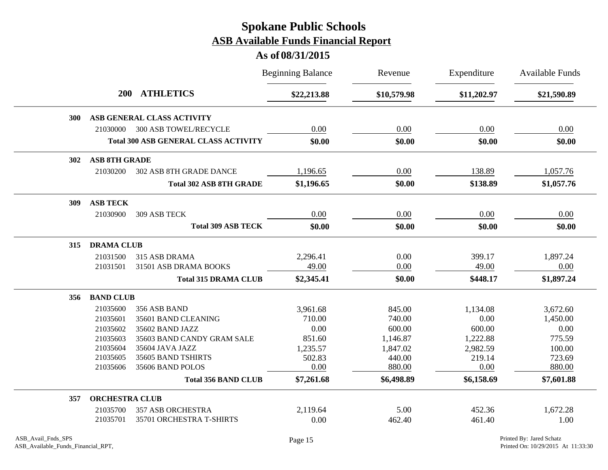|            |                         |                                             | <b>Beginning Balance</b> | Revenue     | Expenditure | <b>Available Funds</b> |
|------------|-------------------------|---------------------------------------------|--------------------------|-------------|-------------|------------------------|
|            | <b>ATHLETICS</b><br>200 |                                             | \$22,213.88              | \$10,579.98 | \$11,202.97 | \$21,590.89            |
| 300        |                         | ASB GENERAL CLASS ACTIVITY                  |                          |             |             |                        |
|            | 21030000                | <b>300 ASB TOWEL/RECYCLE</b>                | 0.00                     | 0.00        | 0.00        | 0.00                   |
|            |                         | <b>Total 300 ASB GENERAL CLASS ACTIVITY</b> | \$0.00                   | \$0.00      | \$0.00      | \$0.00                 |
| <b>302</b> | <b>ASB 8TH GRADE</b>    |                                             |                          |             |             |                        |
|            | 21030200                | 302 ASB 8TH GRADE DANCE                     | 1,196.65                 | 0.00        | 138.89      | 1,057.76               |
|            |                         | <b>Total 302 ASB 8TH GRADE</b>              | \$1,196.65               | \$0.00      | \$138.89    | \$1,057.76             |
| 309        | <b>ASB TECK</b>         |                                             |                          |             |             |                        |
|            | 21030900                | 309 ASB TECK                                | 0.00                     | 0.00        | 0.00        | 0.00                   |
|            |                         | <b>Total 309 ASB TECK</b>                   | \$0.00                   | \$0.00      | \$0.00      | \$0.00                 |
| 315        | <b>DRAMA CLUB</b>       |                                             |                          |             |             |                        |
|            | 21031500                | 315 ASB DRAMA                               | 2,296.41                 | 0.00        | 399.17      | 1,897.24               |
|            | 21031501                | 31501 ASB DRAMA BOOKS                       | 49.00                    | 0.00        | 49.00       | 0.00                   |
|            |                         | <b>Total 315 DRAMA CLUB</b>                 | \$2,345.41               | \$0.00      | \$448.17    | \$1,897.24             |
| 356        | <b>BAND CLUB</b>        |                                             |                          |             |             |                        |
|            | 21035600                | 356 ASB BAND                                | 3,961.68                 | 845.00      | 1,134.08    | 3,672.60               |
|            | 21035601                | 35601 BAND CLEANING                         | 710.00                   | 740.00      | 0.00        | 1,450.00               |
|            | 21035602                | 35602 BAND JAZZ                             | 0.00                     | 600.00      | 600.00      | 0.00                   |
|            | 21035603                | 35603 BAND CANDY GRAM SALE                  | 851.60                   | 1,146.87    | 1,222.88    | 775.59                 |
|            | 21035604                | 35604 JAVA JAZZ                             | 1,235.57                 | 1,847.02    | 2,982.59    | 100.00                 |
|            | 21035605                | 35605 BAND TSHIRTS                          | 502.83                   | 440.00      | 219.14      | 723.69                 |
|            | 21035606                | 35606 BAND POLOS                            | 0.00                     | 880.00      | 0.00        | 880.00                 |
|            |                         | <b>Total 356 BAND CLUB</b>                  | \$7,261.68               | \$6,498.89  | \$6,158.69  | \$7,601.88             |
| 357        | <b>ORCHESTRA CLUB</b>   |                                             |                          |             |             |                        |
|            | 21035700                | <b>357 ASB ORCHESTRA</b>                    | 2,119.64                 | 5.00        | 452.36      | 1,672.28               |
|            | 21035701                | 35701 ORCHESTRA T-SHIRTS                    | 0.00                     | 462.40      | 461.40      | 1.00                   |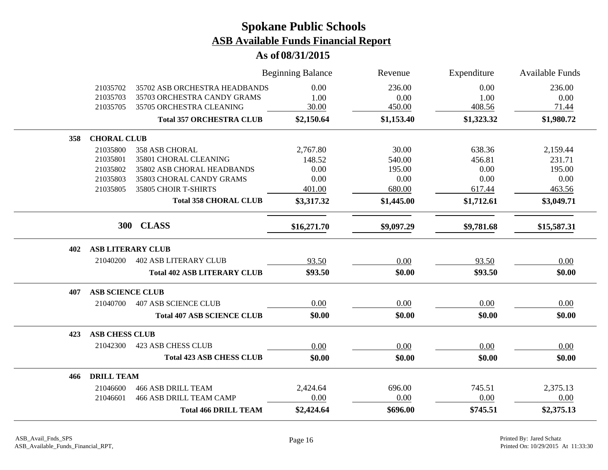|     |                          |                                                              | <b>Beginning Balance</b> | Revenue        | Expenditure  | Available Funds |
|-----|--------------------------|--------------------------------------------------------------|--------------------------|----------------|--------------|-----------------|
|     | 21035702<br>21035703     | 35702 ASB ORCHESTRA HEADBANDS<br>35703 ORCHESTRA CANDY GRAMS | 0.00<br>1.00             | 236.00<br>0.00 | 0.00<br>1.00 | 236.00<br>0.00  |
|     | 21035705                 | 35705 ORCHESTRA CLEANING                                     | 30.00                    | 450.00         | 408.56       | 71.44           |
|     |                          | <b>Total 357 ORCHESTRA CLUB</b>                              | \$2,150.64               | \$1,153.40     | \$1,323.32   | \$1,980.72      |
| 358 | <b>CHORAL CLUB</b>       |                                                              |                          |                |              |                 |
|     | 21035800                 | <b>358 ASB CHORAL</b>                                        | 2,767.80                 | 30.00          | 638.36       | 2,159.44        |
|     | 21035801                 | 35801 CHORAL CLEANING                                        | 148.52                   | 540.00         | 456.81       | 231.71          |
|     | 21035802                 | 35802 ASB CHORAL HEADBANDS                                   | 0.00                     | 195.00         | 0.00         | 195.00          |
|     | 21035803                 | 35803 CHORAL CANDY GRAMS                                     | 0.00                     | 0.00           | 0.00         | 0.00            |
|     | 21035805                 | 35805 CHOIR T-SHIRTS                                         | 401.00                   | 680.00         | 617.44       | 463.56          |
|     |                          | <b>Total 358 CHORAL CLUB</b>                                 | \$3,317.32               | \$1,445.00     | \$1,712.61   | \$3,049.71      |
|     | 300                      | <b>CLASS</b>                                                 | \$16,271.70              | \$9,097.29     | \$9,781.68   | \$15,587.31     |
| 402 | <b>ASB LITERARY CLUB</b> |                                                              |                          |                |              |                 |
|     | 21040200                 | <b>402 ASB LITERARY CLUB</b>                                 | 93.50                    | 0.00           | 93.50        | 0.00            |
|     |                          | <b>Total 402 ASB LITERARY CLUB</b>                           | \$93.50                  | \$0.00         | \$93.50      | \$0.00          |
| 407 | <b>ASB SCIENCE CLUB</b>  |                                                              |                          |                |              |                 |
|     | 21040700                 | <b>407 ASB SCIENCE CLUB</b>                                  | 0.00                     | 0.00           | 0.00         | 0.00            |
|     |                          | <b>Total 407 ASB SCIENCE CLUB</b>                            | \$0.00                   | \$0.00         | \$0.00       | \$0.00          |
| 423 | <b>ASB CHESS CLUB</b>    |                                                              |                          |                |              |                 |
|     | 21042300                 | <b>423 ASB CHESS CLUB</b>                                    | 0.00                     | 0.00           | 0.00         | 0.00            |
|     |                          | <b>Total 423 ASB CHESS CLUB</b>                              | \$0.00                   | \$0.00         | \$0.00       | \$0.00          |
| 466 | <b>DRILL TEAM</b>        |                                                              |                          |                |              |                 |
|     | 21046600                 | <b>466 ASB DRILL TEAM</b>                                    | 2,424.64                 | 696.00         | 745.51       | 2,375.13        |
|     | 21046601                 | <b>466 ASB DRILL TEAM CAMP</b>                               | 0.00                     | 0.00           | 0.00         | 0.00            |
|     |                          | <b>Total 466 DRILL TEAM</b>                                  | \$2,424.64               | \$696.00       | \$745.51     | \$2,375.13      |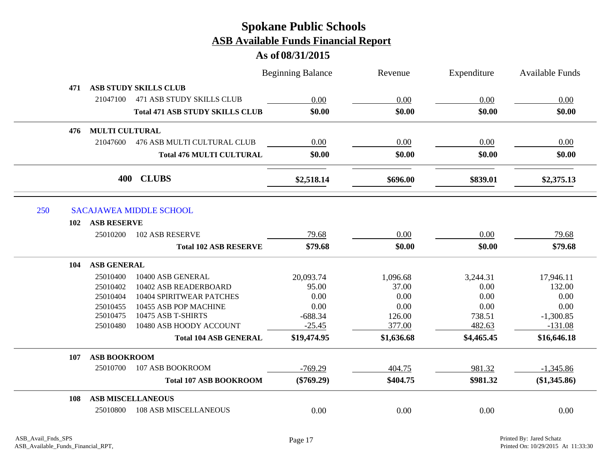| <b>ASB STUDY SKILLS CLUB</b><br>471<br>21047100<br><b>471 ASB STUDY SKILLS CLUB</b><br>0.00<br>0.00<br>0.00<br>0.00<br>\$0.00<br>\$0.00<br>\$0.00<br>\$0.00<br><b>Total 471 ASB STUDY SKILLS CLUB</b><br><b>MULTI CULTURAL</b><br>476<br>0.00<br>0.00<br>21047600<br>476 ASB MULTI CULTURAL CLUB<br>0.00<br>0.00<br>\$0.00<br>\$0.00<br>\$0.00<br>\$0.00<br><b>Total 476 MULTI CULTURAL</b><br><b>CLUBS</b><br>400<br>\$2,518.14<br>\$839.01<br>\$2,375.13<br>\$696.00<br>250<br><b>SACAJAWEA MIDDLE SCHOOL</b><br><b>ASB RESERVE</b><br>102<br>79.68<br>0.00<br>25010200<br><b>102 ASB RESERVE</b><br>0.00<br>79.68<br><b>Total 102 ASB RESERVE</b><br>\$79.68<br>\$0.00<br>\$0.00<br>\$79.68<br><b>ASB GENERAL</b><br>104<br>25010400<br>10400 ASB GENERAL<br>20,093.74<br>1,096.68<br>3,244.31<br>17,946.11<br>95.00<br>37.00<br>0.00<br>132.00<br>25010402<br>10402 ASB READERBOARD<br>0.00<br>0.00<br>0.00<br>0.00<br>10404 SPIRITWEAR PATCHES<br>25010404<br>0.00<br>0.00<br>0.00<br>0.00<br>10455 ASB POP MACHINE<br>25010455<br>25010475<br>10475 ASB T-SHIRTS<br>$-688.34$<br>126.00<br>738.51<br>$-1,300.85$<br>$-25.45$<br>$-131.08$<br>10480 ASB HOODY ACCOUNT<br>377.00<br>482.63<br>25010480<br>\$19,474.95<br>\$4,465.45<br>\$16,646.18<br><b>Total 104 ASB GENERAL</b><br>\$1,636.68<br><b>ASB BOOKROOM</b><br>107<br>25010700<br>107 ASB BOOKROOM<br>$-769.29$<br>981.32<br>404.75<br>$-1,345.86$<br>\$981.32<br>(\$1,345.86)<br><b>Total 107 ASB BOOKROOM</b><br>$(\$769.29)$<br>\$404.75<br><b>ASB MISCELLANEOUS</b><br>108<br><b>108 ASB MISCELLANEOUS</b><br>25010800<br>0.00<br>0.00<br>0.00<br>0.00 |  | <b>Beginning Balance</b> | Revenue | Expenditure | <b>Available Funds</b> |
|----------------------------------------------------------------------------------------------------------------------------------------------------------------------------------------------------------------------------------------------------------------------------------------------------------------------------------------------------------------------------------------------------------------------------------------------------------------------------------------------------------------------------------------------------------------------------------------------------------------------------------------------------------------------------------------------------------------------------------------------------------------------------------------------------------------------------------------------------------------------------------------------------------------------------------------------------------------------------------------------------------------------------------------------------------------------------------------------------------------------------------------------------------------------------------------------------------------------------------------------------------------------------------------------------------------------------------------------------------------------------------------------------------------------------------------------------------------------------------------------------------------------------------------------------------------------------------------------------------------------------|--|--------------------------|---------|-------------|------------------------|
|                                                                                                                                                                                                                                                                                                                                                                                                                                                                                                                                                                                                                                                                                                                                                                                                                                                                                                                                                                                                                                                                                                                                                                                                                                                                                                                                                                                                                                                                                                                                                                                                                            |  |                          |         |             |                        |
|                                                                                                                                                                                                                                                                                                                                                                                                                                                                                                                                                                                                                                                                                                                                                                                                                                                                                                                                                                                                                                                                                                                                                                                                                                                                                                                                                                                                                                                                                                                                                                                                                            |  |                          |         |             |                        |
|                                                                                                                                                                                                                                                                                                                                                                                                                                                                                                                                                                                                                                                                                                                                                                                                                                                                                                                                                                                                                                                                                                                                                                                                                                                                                                                                                                                                                                                                                                                                                                                                                            |  |                          |         |             |                        |
|                                                                                                                                                                                                                                                                                                                                                                                                                                                                                                                                                                                                                                                                                                                                                                                                                                                                                                                                                                                                                                                                                                                                                                                                                                                                                                                                                                                                                                                                                                                                                                                                                            |  |                          |         |             |                        |
|                                                                                                                                                                                                                                                                                                                                                                                                                                                                                                                                                                                                                                                                                                                                                                                                                                                                                                                                                                                                                                                                                                                                                                                                                                                                                                                                                                                                                                                                                                                                                                                                                            |  |                          |         |             |                        |
|                                                                                                                                                                                                                                                                                                                                                                                                                                                                                                                                                                                                                                                                                                                                                                                                                                                                                                                                                                                                                                                                                                                                                                                                                                                                                                                                                                                                                                                                                                                                                                                                                            |  |                          |         |             |                        |
|                                                                                                                                                                                                                                                                                                                                                                                                                                                                                                                                                                                                                                                                                                                                                                                                                                                                                                                                                                                                                                                                                                                                                                                                                                                                                                                                                                                                                                                                                                                                                                                                                            |  |                          |         |             |                        |
|                                                                                                                                                                                                                                                                                                                                                                                                                                                                                                                                                                                                                                                                                                                                                                                                                                                                                                                                                                                                                                                                                                                                                                                                                                                                                                                                                                                                                                                                                                                                                                                                                            |  |                          |         |             |                        |
|                                                                                                                                                                                                                                                                                                                                                                                                                                                                                                                                                                                                                                                                                                                                                                                                                                                                                                                                                                                                                                                                                                                                                                                                                                                                                                                                                                                                                                                                                                                                                                                                                            |  |                          |         |             |                        |
|                                                                                                                                                                                                                                                                                                                                                                                                                                                                                                                                                                                                                                                                                                                                                                                                                                                                                                                                                                                                                                                                                                                                                                                                                                                                                                                                                                                                                                                                                                                                                                                                                            |  |                          |         |             |                        |
|                                                                                                                                                                                                                                                                                                                                                                                                                                                                                                                                                                                                                                                                                                                                                                                                                                                                                                                                                                                                                                                                                                                                                                                                                                                                                                                                                                                                                                                                                                                                                                                                                            |  |                          |         |             |                        |
|                                                                                                                                                                                                                                                                                                                                                                                                                                                                                                                                                                                                                                                                                                                                                                                                                                                                                                                                                                                                                                                                                                                                                                                                                                                                                                                                                                                                                                                                                                                                                                                                                            |  |                          |         |             |                        |
|                                                                                                                                                                                                                                                                                                                                                                                                                                                                                                                                                                                                                                                                                                                                                                                                                                                                                                                                                                                                                                                                                                                                                                                                                                                                                                                                                                                                                                                                                                                                                                                                                            |  |                          |         |             |                        |
|                                                                                                                                                                                                                                                                                                                                                                                                                                                                                                                                                                                                                                                                                                                                                                                                                                                                                                                                                                                                                                                                                                                                                                                                                                                                                                                                                                                                                                                                                                                                                                                                                            |  |                          |         |             |                        |
|                                                                                                                                                                                                                                                                                                                                                                                                                                                                                                                                                                                                                                                                                                                                                                                                                                                                                                                                                                                                                                                                                                                                                                                                                                                                                                                                                                                                                                                                                                                                                                                                                            |  |                          |         |             |                        |
|                                                                                                                                                                                                                                                                                                                                                                                                                                                                                                                                                                                                                                                                                                                                                                                                                                                                                                                                                                                                                                                                                                                                                                                                                                                                                                                                                                                                                                                                                                                                                                                                                            |  |                          |         |             |                        |
|                                                                                                                                                                                                                                                                                                                                                                                                                                                                                                                                                                                                                                                                                                                                                                                                                                                                                                                                                                                                                                                                                                                                                                                                                                                                                                                                                                                                                                                                                                                                                                                                                            |  |                          |         |             |                        |
|                                                                                                                                                                                                                                                                                                                                                                                                                                                                                                                                                                                                                                                                                                                                                                                                                                                                                                                                                                                                                                                                                                                                                                                                                                                                                                                                                                                                                                                                                                                                                                                                                            |  |                          |         |             |                        |
|                                                                                                                                                                                                                                                                                                                                                                                                                                                                                                                                                                                                                                                                                                                                                                                                                                                                                                                                                                                                                                                                                                                                                                                                                                                                                                                                                                                                                                                                                                                                                                                                                            |  |                          |         |             |                        |
|                                                                                                                                                                                                                                                                                                                                                                                                                                                                                                                                                                                                                                                                                                                                                                                                                                                                                                                                                                                                                                                                                                                                                                                                                                                                                                                                                                                                                                                                                                                                                                                                                            |  |                          |         |             |                        |
|                                                                                                                                                                                                                                                                                                                                                                                                                                                                                                                                                                                                                                                                                                                                                                                                                                                                                                                                                                                                                                                                                                                                                                                                                                                                                                                                                                                                                                                                                                                                                                                                                            |  |                          |         |             |                        |
|                                                                                                                                                                                                                                                                                                                                                                                                                                                                                                                                                                                                                                                                                                                                                                                                                                                                                                                                                                                                                                                                                                                                                                                                                                                                                                                                                                                                                                                                                                                                                                                                                            |  |                          |         |             |                        |
|                                                                                                                                                                                                                                                                                                                                                                                                                                                                                                                                                                                                                                                                                                                                                                                                                                                                                                                                                                                                                                                                                                                                                                                                                                                                                                                                                                                                                                                                                                                                                                                                                            |  |                          |         |             |                        |
|                                                                                                                                                                                                                                                                                                                                                                                                                                                                                                                                                                                                                                                                                                                                                                                                                                                                                                                                                                                                                                                                                                                                                                                                                                                                                                                                                                                                                                                                                                                                                                                                                            |  |                          |         |             |                        |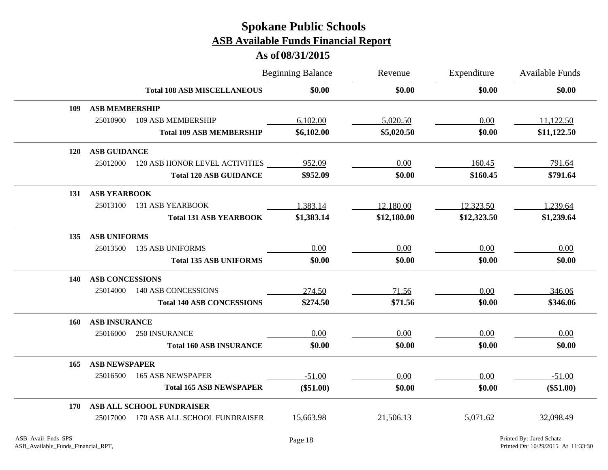|            |                        |                                    | <b>Beginning Balance</b> | Revenue     | Expenditure | <b>Available Funds</b> |
|------------|------------------------|------------------------------------|--------------------------|-------------|-------------|------------------------|
|            |                        | <b>Total 108 ASB MISCELLANEOUS</b> | \$0.00                   | \$0.00      | \$0.00      | \$0.00                 |
| 109        | <b>ASB MEMBERSHIP</b>  |                                    |                          |             |             |                        |
|            | 25010900               | 109 ASB MEMBERSHIP                 | 6,102.00                 | 5,020.50    | 0.00        | 11,122.50              |
|            |                        | <b>Total 109 ASB MEMBERSHIP</b>    | \$6,102.00               | \$5,020.50  | \$0.00      | \$11,122.50            |
| <b>120</b> | <b>ASB GUIDANCE</b>    |                                    |                          |             |             |                        |
|            | 25012000               | 120 ASB HONOR LEVEL ACTIVITIES     | 952.09                   | 0.00        | 160.45      | 791.64                 |
|            |                        | <b>Total 120 ASB GUIDANCE</b>      | \$952.09                 | \$0.00      | \$160.45    | \$791.64               |
| 131        | <b>ASB YEARBOOK</b>    |                                    |                          |             |             |                        |
|            | 25013100               | 131 ASB YEARBOOK                   | 1,383.14                 | 12,180.00   | 12,323.50   | 1,239.64               |
|            |                        | <b>Total 131 ASB YEARBOOK</b>      | \$1,383.14               | \$12,180.00 | \$12,323.50 | \$1,239.64             |
| 135        | <b>ASB UNIFORMS</b>    |                                    |                          |             |             |                        |
|            | 25013500               | <b>135 ASB UNIFORMS</b>            | 0.00                     | 0.00        | 0.00        | 0.00                   |
|            |                        | <b>Total 135 ASB UNIFORMS</b>      | \$0.00                   | \$0.00      | \$0.00      | \$0.00                 |
| <b>140</b> | <b>ASB CONCESSIONS</b> |                                    |                          |             |             |                        |
|            | 25014000               | <b>140 ASB CONCESSIONS</b>         | 274.50                   | 71.56       | 0.00        | 346.06                 |
|            |                        | <b>Total 140 ASB CONCESSIONS</b>   | \$274.50                 | \$71.56     | \$0.00      | \$346.06               |
| 160        | <b>ASB INSURANCE</b>   |                                    |                          |             |             |                        |
|            | 25016000               | 250 INSURANCE                      | 0.00                     | 0.00        | 0.00        | 0.00                   |
|            |                        | <b>Total 160 ASB INSURANCE</b>     | \$0.00                   | \$0.00      | \$0.00      | \$0.00                 |
| 165        | <b>ASB NEWSPAPER</b>   |                                    |                          |             |             |                        |
|            | 25016500               | <b>165 ASB NEWSPAPER</b>           | $-51.00$                 | 0.00        | 0.00        | $-51.00$               |
|            |                        | <b>Total 165 ASB NEWSPAPER</b>     | $(\$51.00)$              | \$0.00      | \$0.00      | $(\$51.00)$            |
| 170        |                        | ASB ALL SCHOOL FUNDRAISER          |                          |             |             |                        |
|            | 25017000               | 170 ASB ALL SCHOOL FUNDRAISER      | 15,663.98                | 21,506.13   | 5,071.62    | 32,098.49              |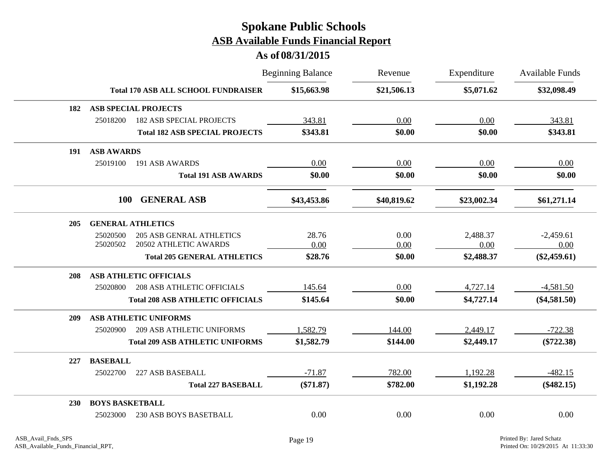|            |                                               | <b>Beginning Balance</b> | Revenue     | Expenditure | <b>Available Funds</b> |
|------------|-----------------------------------------------|--------------------------|-------------|-------------|------------------------|
|            | <b>Total 170 ASB ALL SCHOOL FUNDRAISER</b>    | \$15,663.98              | \$21,506.13 | \$5,071.62  | \$32,098.49            |
| 182        | <b>ASB SPECIAL PROJECTS</b>                   |                          |             |             |                        |
|            | 25018200<br><b>182 ASB SPECIAL PROJECTS</b>   | 343.81                   | 0.00        | 0.00        | 343.81                 |
|            | <b>Total 182 ASB SPECIAL PROJECTS</b>         | \$343.81                 | \$0.00      | \$0.00      | \$343.81               |
| 191        | <b>ASB AWARDS</b>                             |                          |             |             |                        |
|            | 25019100<br>191 ASB AWARDS                    | 0.00                     | 0.00        | 0.00        | 0.00                   |
|            | <b>Total 191 ASB AWARDS</b>                   | \$0.00                   | \$0.00      | \$0.00      | \$0.00                 |
|            | <b>100</b><br><b>GENERAL ASB</b>              | \$43,453.86              | \$40,819.62 | \$23,002.34 | \$61,271.14            |
| 205        | <b>GENERAL ATHLETICS</b>                      |                          |             |             |                        |
|            | 25020500<br><b>205 ASB GENRAL ATHLETICS</b>   | 28.76                    | 0.00        | 2,488.37    | $-2,459.61$            |
|            | 20502 ATHLETIC AWARDS<br>25020502             | 0.00                     | 0.00        | 0.00        | 0.00                   |
|            | <b>Total 205 GENERAL ATHLETICS</b>            | \$28.76                  | \$0.00      | \$2,488.37  | $(\$2,459.61)$         |
| 208        | <b>ASB ATHLETIC OFFICIALS</b>                 |                          |             |             |                        |
|            | <b>208 ASB ATHLETIC OFFICIALS</b><br>25020800 | 145.64                   | 0.00        | 4,727.14    | $-4,581.50$            |
|            | <b>Total 208 ASB ATHLETIC OFFICIALS</b>       | \$145.64                 | \$0.00      | \$4,727.14  | $(\$4,581.50)$         |
| 209        | <b>ASB ATHLETIC UNIFORMS</b>                  |                          |             |             |                        |
|            | 25020900<br><b>209 ASB ATHLETIC UNIFORMS</b>  | 1,582.79                 | 144.00      | 2,449.17    | $-722.38$              |
|            | <b>Total 209 ASB ATHLETIC UNIFORMS</b>        | \$1,582.79               | \$144.00    | \$2,449.17  | $(\$722.38)$           |
| 227        | <b>BASEBALL</b>                               |                          |             |             |                        |
|            | 227 ASB BASEBALL<br>25022700                  | $-71.87$                 | 782.00      | 1,192.28    | $-482.15$              |
|            | <b>Total 227 BASEBALL</b>                     | $(\$71.87)$              | \$782.00    | \$1,192.28  | $(\$482.15)$           |
| <b>230</b> | <b>BOYS BASKETBALL</b>                        |                          |             |             |                        |
|            | 230 ASB BOYS BASETBALL<br>25023000            | 0.00                     | 0.00        | 0.00        | 0.00                   |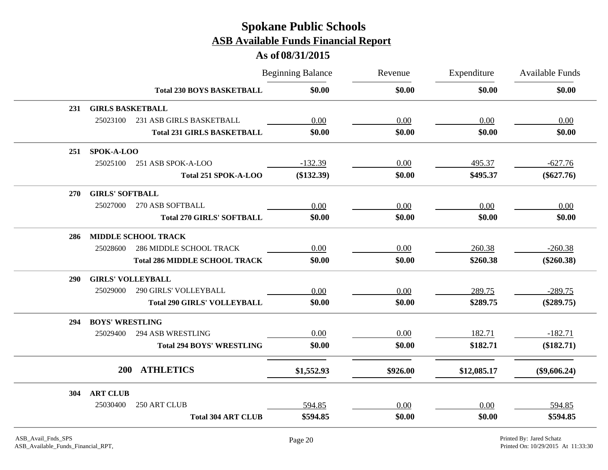|            |                          |                                      | <b>Beginning Balance</b> | Revenue  | Expenditure | <b>Available Funds</b> |
|------------|--------------------------|--------------------------------------|--------------------------|----------|-------------|------------------------|
|            |                          | <b>Total 230 BOYS BASKETBALL</b>     | \$0.00                   | \$0.00   | \$0.00      | \$0.00                 |
| 231        | <b>GIRLS BASKETBALL</b>  |                                      |                          |          |             |                        |
|            | 25023100                 | 231 ASB GIRLS BASKETBALL             | 0.00                     | 0.00     | 0.00        | 0.00                   |
|            |                          | <b>Total 231 GIRLS BASKETBALL</b>    | \$0.00                   | \$0.00   | \$0.00      | \$0.00                 |
| 251        | SPOK-A-LOO               |                                      |                          |          |             |                        |
|            | 25025100                 | 251 ASB SPOK-A-LOO                   | $-132.39$                | $0.00\,$ | 495.37      | $-627.76$              |
|            |                          | Total 251 SPOK-A-LOO                 | $(\$132.39)$             | \$0.00   | \$495.37    | $(\$627.76)$           |
| <b>270</b> | <b>GIRLS' SOFTBALL</b>   |                                      |                          |          |             |                        |
|            | 25027000                 | 270 ASB SOFTBALL                     | 0.00                     | 0.00     | 0.00        | 0.00                   |
|            |                          | <b>Total 270 GIRLS' SOFTBALL</b>     | \$0.00                   | \$0.00   | \$0.00      | \$0.00                 |
| 286        |                          | <b>MIDDLE SCHOOL TRACK</b>           |                          |          |             |                        |
|            | 25028600                 | <b>286 MIDDLE SCHOOL TRACK</b>       | 0.00                     | 0.00     | 260.38      | $-260.38$              |
|            |                          | <b>Total 286 MIDDLE SCHOOL TRACK</b> | \$0.00                   | \$0.00   | \$260.38    | $(\$260.38)$           |
| <b>290</b> | <b>GIRLS' VOLLEYBALL</b> |                                      |                          |          |             |                        |
|            | 25029000                 | <b>290 GIRLS' VOLLEYBALL</b>         | 0.00                     | 0.00     | 289.75      | $-289.75$              |
|            |                          | <b>Total 290 GIRLS' VOLLEYBALL</b>   | \$0.00                   | \$0.00   | \$289.75    | $(\$289.75)$           |
| 294        | <b>BOYS' WRESTLING</b>   |                                      |                          |          |             |                        |
|            | 25029400                 | <b>294 ASB WRESTLING</b>             | 0.00                     | 0.00     | 182.71      | $-182.71$              |
|            |                          | <b>Total 294 BOYS' WRESTLING</b>     | \$0.00                   | \$0.00   | \$182.71    | (\$182.71)             |
|            | <b>200</b>               | <b>ATHLETICS</b>                     | \$1,552.93               | \$926.00 | \$12,085.17 | $(\$9,606.24)$         |
| 304        | <b>ART CLUB</b>          |                                      |                          |          |             |                        |
|            | 25030400                 | 250 ART CLUB                         | 594.85                   | 0.00     | 0.00        | 594.85                 |
|            |                          | <b>Total 304 ART CLUB</b>            | \$594.85                 | \$0.00   | \$0.00      | \$594.85               |
|            |                          |                                      |                          |          |             |                        |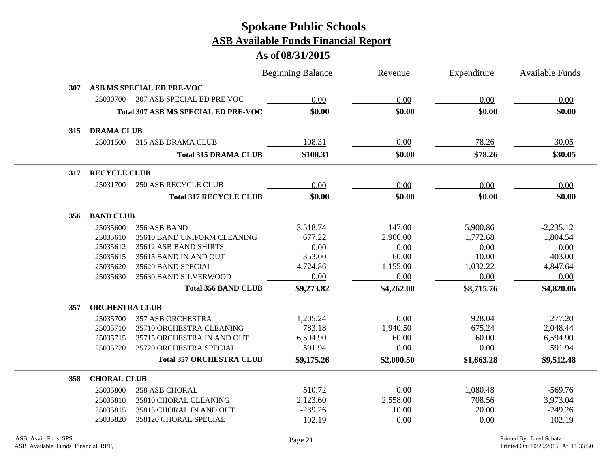|     |                       |                                            | <b>Beginning Balance</b> | Revenue    | Expenditure | <b>Available Funds</b> |
|-----|-----------------------|--------------------------------------------|--------------------------|------------|-------------|------------------------|
| 307 |                       | ASB MS SPECIAL ED PRE-VOC                  |                          |            |             |                        |
|     | 25030700              | 307 ASB SPECIAL ED PRE VOC                 | 0.00                     | 0.00       | 0.00        | 0.00                   |
|     |                       | <b>Total 307 ASB MS SPECIAL ED PRE-VOC</b> | \$0.00                   | \$0.00     | \$0.00      | \$0.00                 |
| 315 | <b>DRAMA CLUB</b>     |                                            |                          |            |             |                        |
|     | 25031500              | 315 ASB DRAMA CLUB                         | 108.31                   | 0.00       | 78.26       | 30.05                  |
|     |                       | <b>Total 315 DRAMA CLUB</b>                | \$108.31                 | \$0.00     | \$78.26     | \$30.05                |
| 317 | <b>RECYCLE CLUB</b>   |                                            |                          |            |             |                        |
|     | 25031700              | <b>250 ASB RECYCLE CLUB</b>                | 0.00                     | 0.00       | 0.00        | 0.00                   |
|     |                       | <b>Total 317 RECYCLE CLUB</b>              | \$0.00                   | \$0.00     | \$0.00      | \$0.00                 |
| 356 | <b>BAND CLUB</b>      |                                            |                          |            |             |                        |
|     | 25035600              | 356 ASB BAND                               | 3,518.74                 | 147.00     | 5,900.86    | $-2,235.12$            |
|     | 25035610              | 35610 BAND UNIFORM CLEANING                | 677.22                   | 2,900.00   | 1,772.68    | 1,804.54               |
|     | 25035612              | 35612 ASB BAND SHIRTS                      | 0.00                     | 0.00       | 0.00        | 0.00                   |
|     | 25035615              | 35615 BAND IN AND OUT                      | 353.00                   | 60.00      | 10.00       | 403.00                 |
|     | 25035620              | 35620 BAND SPECIAL                         | 4,724.86                 | 1,155.00   | 1,032.22    | 4,847.64               |
|     | 25035630              | 35630 BAND SILVERWOOD                      | 0.00                     | 0.00       | 0.00        | 0.00                   |
|     |                       | <b>Total 356 BAND CLUB</b>                 | \$9,273.82               | \$4,262.00 | \$8,715.76  | \$4,820.06             |
| 357 | <b>ORCHESTRA CLUB</b> |                                            |                          |            |             |                        |
|     | 25035700              | <b>357 ASB ORCHESTRA</b>                   | 1,205.24                 | 0.00       | 928.04      | 277.20                 |
|     | 25035710              | 35710 ORCHESTRA CLEANING                   | 783.18                   | 1,940.50   | 675.24      | 2,048.44               |
|     | 25035715              | 35715 ORCHESTRA IN AND OUT                 | 6,594.90                 | 60.00      | 60.00       | 6,594.90               |
|     | 25035720              | 35720 ORCHESTRA SPECIAL                    | 591.94                   | 0.00       | 0.00        | 591.94                 |
|     |                       | <b>Total 357 ORCHESTRA CLUB</b>            | \$9,175.26               | \$2,000.50 | \$1,663.28  | \$9,512.48             |
| 358 | <b>CHORAL CLUB</b>    |                                            |                          |            |             |                        |
|     | 25035800              | 358 ASB CHORAL                             | 510.72                   | 0.00       | 1,080.48    | $-569.76$              |
|     | 25035810              | 35810 CHORAL CLEANING                      | 2,123.60                 | 2,558.00   | 708.56      | 3,973.04               |
|     | 25035815              | 35815 CHORAL IN AND OUT                    | $-239.26$                | 10.00      | 20.00       | $-249.26$              |
|     | 25035820              | 358120 CHORAL SPECIAL                      | 102.19                   | 0.00       | 0.00        | 102.19                 |
|     |                       |                                            |                          |            |             |                        |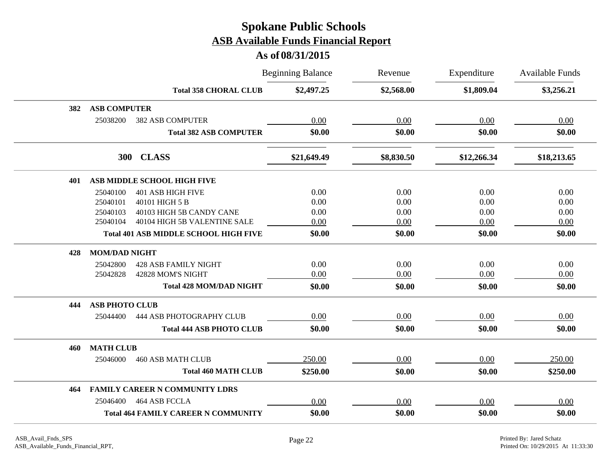|     |                       |                                              | <b>Beginning Balance</b> | Revenue    | Expenditure | Available Funds |
|-----|-----------------------|----------------------------------------------|--------------------------|------------|-------------|-----------------|
|     |                       | <b>Total 358 CHORAL CLUB</b>                 | \$2,497.25               | \$2,568.00 | \$1,809.04  | \$3,256.21      |
| 382 | <b>ASB COMPUTER</b>   |                                              |                          |            |             |                 |
|     | 25038200              | <b>382 ASB COMPUTER</b>                      | 0.00                     | 0.00       | 0.00        | 0.00            |
|     |                       | <b>Total 382 ASB COMPUTER</b>                | \$0.00                   | \$0.00     | \$0.00      | \$0.00          |
|     |                       | 300 CLASS                                    | \$21,649.49              | \$8,830.50 | \$12,266.34 | \$18,213.65     |
| 401 |                       | ASB MIDDLE SCHOOL HIGH FIVE                  |                          |            |             |                 |
|     | 25040100              | <b>401 ASB HIGH FIVE</b>                     | 0.00                     | 0.00       | 0.00        | 0.00            |
|     | 25040101              | 40101 HIGH 5 B                               | 0.00                     | 0.00       | 0.00        | 0.00            |
|     | 25040103              | 40103 HIGH 5B CANDY CANE                     | 0.00                     | 0.00       | 0.00        | 0.00            |
|     | 25040104              | 40104 HIGH 5B VALENTINE SALE                 | 0.00                     | 0.00       | 0.00        | 0.00            |
|     |                       | <b>Total 401 ASB MIDDLE SCHOOL HIGH FIVE</b> | \$0.00                   | \$0.00     | \$0.00      | \$0.00          |
| 428 | <b>MOM/DAD NIGHT</b>  |                                              |                          |            |             |                 |
|     | 25042800              | <b>428 ASB FAMILY NIGHT</b>                  | 0.00                     | 0.00       | 0.00        | 0.00            |
|     | 25042828              | 42828 MOM'S NIGHT                            | 0.00                     | 0.00       | 0.00        | 0.00            |
|     |                       | <b>Total 428 MOM/DAD NIGHT</b>               | \$0.00                   | \$0.00     | \$0.00      | \$0.00          |
| 444 | <b>ASB PHOTO CLUB</b> |                                              |                          |            |             |                 |
|     | 25044400              | 444 ASB PHOTOGRAPHY CLUB                     | 0.00                     | 0.00       | 0.00        | 0.00            |
|     |                       | <b>Total 444 ASB PHOTO CLUB</b>              | \$0.00                   | \$0.00     | \$0.00      | \$0.00          |
| 460 | <b>MATH CLUB</b>      |                                              |                          |            |             |                 |
|     | 25046000              | <b>460 ASB MATH CLUB</b>                     | 250.00                   | 0.00       | 0.00        | 250.00          |
|     |                       | <b>Total 460 MATH CLUB</b>                   | \$250.00                 | \$0.00     | \$0.00      | \$250.00        |
| 464 |                       | <b>FAMILY CAREER N COMMUNITY LDRS</b>        |                          |            |             |                 |
|     | 25046400              | 464 ASB FCCLA                                | 0.00                     | 0.00       | 0.00        | 0.00            |
|     |                       | <b>Total 464 FAMILY CAREER N COMMUNITY</b>   | \$0.00                   | \$0.00     | \$0.00      | \$0.00          |
|     |                       |                                              |                          |            |             |                 |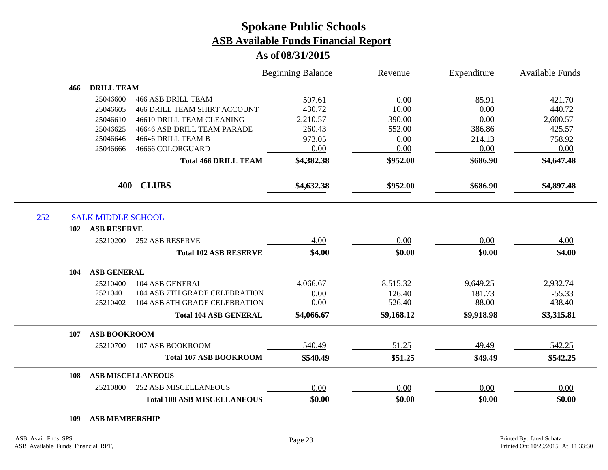### **As of 08/31/2015**

|     |                           |                                     | <b>Beginning Balance</b> | Revenue    | Expenditure | <b>Available Funds</b> |
|-----|---------------------------|-------------------------------------|--------------------------|------------|-------------|------------------------|
| 466 | <b>DRILL TEAM</b>         |                                     |                          |            |             |                        |
|     | 25046600                  | <b>466 ASB DRILL TEAM</b>           | 507.61                   | 0.00       | 85.91       | 421.70                 |
|     | 25046605                  | <b>466 DRILL TEAM SHIRT ACCOUNT</b> | 430.72                   | 10.00      | 0.00        | 440.72                 |
|     | 25046610                  | 46610 DRILL TEAM CLEANING           | 2,210.57                 | 390.00     | 0.00        | 2,600.57               |
|     | 25046625                  | 46646 ASB DRILL TEAM PARADE         | 260.43                   | 552.00     | 386.86      | 425.57                 |
|     | 25046646                  | 46646 DRILL TEAM B                  | 973.05                   | 0.00       | 214.13      | 758.92                 |
|     | 25046666                  | 46666 COLORGUARD                    | 0.00                     | 0.00       | 0.00        | 0.00                   |
|     |                           | <b>Total 466 DRILL TEAM</b>         | \$4,382.38               | \$952.00   | \$686.90    | \$4,647.48             |
|     | 400                       | <b>CLUBS</b>                        | \$4,632.38               | \$952.00   | \$686.90    | \$4,897.48             |
|     | <b>SALK MIDDLE SCHOOL</b> |                                     |                          |            |             |                        |
| 102 | <b>ASB RESERVE</b>        |                                     |                          |            |             |                        |
|     | 25210200                  | <b>252 ASB RESERVE</b>              | 4.00                     | 0.00       | 0.00        | 4.00                   |
|     |                           | <b>Total 102 ASB RESERVE</b>        | \$4.00                   | \$0.00     | \$0.00      | \$4.00                 |
| 104 | <b>ASB GENERAL</b>        |                                     |                          |            |             |                        |
|     | 25210400                  | 104 ASB GENERAL                     | 4,066.67                 | 8,515.32   | 9,649.25    | 2,932.74               |
|     | 25210401                  | 104 ASB 7TH GRADE CELEBRATION       | 0.00                     | 126.40     | 181.73      | $-55.33$               |
|     | 25210402                  | 104 ASB 8TH GRADE CELEBRATION       | 0.00                     | 526.40     | 88.00       | 438.40                 |
|     |                           | <b>Total 104 ASB GENERAL</b>        | \$4,066.67               | \$9,168.12 | \$9,918.98  | \$3,315.81             |
| 107 | <b>ASB BOOKROOM</b>       |                                     |                          |            |             |                        |
|     | 25210700                  | 107 ASB BOOKROOM                    | 540.49                   | 51.25      | 49.49       | 542.25                 |
|     |                           | <b>Total 107 ASB BOOKROOM</b>       | \$540.49                 | \$51.25    | \$49.49     | \$542.25               |
|     |                           |                                     |                          |            |             |                        |
| 108 |                           | <b>ASB MISCELLANEOUS</b>            |                          |            |             |                        |
|     | 25210800                  | <b>252 ASB MISCELLANEOUS</b>        | 0.00                     | 0.00       | 0.00        | 0.00                   |

**ASB MEMBERSHIP**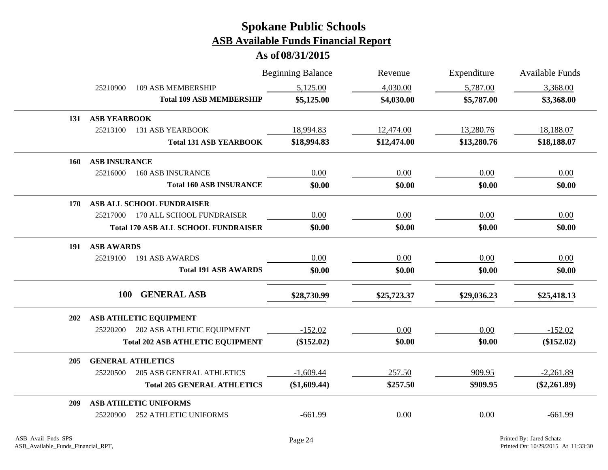|     |                      |                                            | <b>Beginning Balance</b> | Revenue     | Expenditure | <b>Available Funds</b> |
|-----|----------------------|--------------------------------------------|--------------------------|-------------|-------------|------------------------|
|     | 25210900             | <b>109 ASB MEMBERSHIP</b>                  | 5,125.00                 | 4,030.00    | 5,787.00    | 3,368.00               |
|     |                      | <b>Total 109 ASB MEMBERSHIP</b>            | \$5,125.00               | \$4,030.00  | \$5,787.00  | \$3,368.00             |
| 131 | <b>ASB YEARBOOK</b>  |                                            |                          |             |             |                        |
|     | 25213100             | <b>131 ASB YEARBOOK</b>                    | 18,994.83                | 12,474.00   | 13,280.76   | 18,188.07              |
|     |                      | <b>Total 131 ASB YEARBOOK</b>              | \$18,994.83              | \$12,474.00 | \$13,280.76 | \$18,188.07            |
| 160 | <b>ASB INSURANCE</b> |                                            |                          |             |             |                        |
|     | 25216000             | <b>160 ASB INSURANCE</b>                   | 0.00                     | 0.00        | 0.00        | 0.00                   |
|     |                      | <b>Total 160 ASB INSURANCE</b>             | \$0.00                   | \$0.00      | \$0.00      | \$0.00                 |
| 170 |                      | ASB ALL SCHOOL FUNDRAISER                  |                          |             |             |                        |
|     | 25217000             | <b>170 ALL SCHOOL FUNDRAISER</b>           | 0.00                     | 0.00        | $0.00\,$    | 0.00                   |
|     |                      | <b>Total 170 ASB ALL SCHOOL FUNDRAISER</b> | \$0.00                   | \$0.00      | \$0.00      | \$0.00                 |
| 191 | <b>ASB AWARDS</b>    |                                            |                          |             |             |                        |
|     | 25219100             | 191 ASB AWARDS                             | 0.00                     | 0.00        | 0.00        | 0.00                   |
|     |                      | <b>Total 191 ASB AWARDS</b>                | \$0.00                   | \$0.00      | \$0.00      | \$0.00                 |
|     | <b>100</b>           | <b>GENERAL ASB</b>                         | \$28,730.99              | \$25,723.37 | \$29,036.23 | \$25,418.13            |
| 202 |                      | ASB ATHLETIC EQUIPMENT                     |                          |             |             |                        |
|     | 25220200             | 202 ASB ATHLETIC EQUIPMENT                 | $-152.02$                | 0.00        | 0.00        | $-152.02$              |
|     |                      | <b>Total 202 ASB ATHLETIC EQUIPMENT</b>    | $(\$152.02)$             | \$0.00      | \$0.00      | $(\$152.02)$           |
| 205 |                      | <b>GENERAL ATHLETICS</b>                   |                          |             |             |                        |
|     | 25220500             | <b>205 ASB GENERAL ATHLETICS</b>           | $-1,609.44$              | 257.50      | 909.95      | $-2,261.89$            |
|     |                      | <b>Total 205 GENERAL ATHLETICS</b>         | (\$1,609.44)             | \$257.50    | \$909.95    | $(\$2,261.89)$         |
| 209 |                      | ASB ATHLETIC UNIFORMS                      |                          |             |             |                        |
|     | 25220900             | <b>252 ATHLETIC UNIFORMS</b>               | $-661.99$                | 0.00        | 0.00        | $-661.99$              |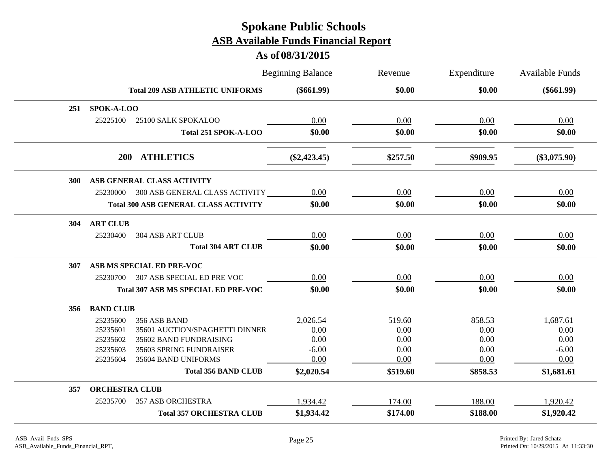|     |                       |                                             | <b>Beginning Balance</b> | Revenue  | Expenditure | Available Funds |
|-----|-----------------------|---------------------------------------------|--------------------------|----------|-------------|-----------------|
|     |                       | <b>Total 209 ASB ATHLETIC UNIFORMS</b>      | $(\$661.99)$             | \$0.00   | \$0.00      | $(\$661.99)$    |
| 251 | SPOK-A-LOO            |                                             |                          |          |             |                 |
|     | 25225100              | 25100 SALK SPOKALOO                         | 0.00                     | 0.00     | 0.00        | 0.00            |
|     |                       | Total 251 SPOK-A-LOO                        | \$0.00                   | \$0.00   | \$0.00      | \$0.00          |
|     | <b>200</b>            | <b>ATHLETICS</b>                            | $(\$2,423.45)$           | \$257.50 | \$909.95    | $(\$3,075.90)$  |
| 300 |                       | ASB GENERAL CLASS ACTIVITY                  |                          |          |             |                 |
|     |                       | 25230000 300 ASB GENERAL CLASS ACTIVITY     | 0.00                     | 0.00     | 0.00        | 0.00            |
|     |                       | <b>Total 300 ASB GENERAL CLASS ACTIVITY</b> | \$0.00                   | \$0.00   | \$0.00      | \$0.00          |
| 304 | <b>ART CLUB</b>       |                                             |                          |          |             |                 |
|     | 25230400              | <b>304 ASB ART CLUB</b>                     | 0.00                     | 0.00     | 0.00        | 0.00            |
|     |                       | <b>Total 304 ART CLUB</b>                   | \$0.00                   | \$0.00   | \$0.00      | \$0.00          |
| 307 |                       | ASB MS SPECIAL ED PRE-VOC                   |                          |          |             |                 |
|     | 25230700              | 307 ASB SPECIAL ED PRE VOC                  | 0.00                     | 0.00     | 0.00        | 0.00            |
|     |                       | <b>Total 307 ASB MS SPECIAL ED PRE-VOC</b>  | \$0.00                   | \$0.00   | \$0.00      | \$0.00          |
| 356 | <b>BAND CLUB</b>      |                                             |                          |          |             |                 |
|     | 25235600              | 356 ASB BAND                                | 2,026.54                 | 519.60   | 858.53      | 1,687.61        |
|     | 25235601              | 35601 AUCTION/SPAGHETTI DINNER              | 0.00                     | 0.00     | 0.00        | 0.00            |
|     | 25235602              | 35602 BAND FUNDRAISING                      | 0.00                     | 0.00     | 0.00        | 0.00            |
|     | 25235603              | 35603 SPRING FUNDRAISER                     | $-6.00$                  | 0.00     | 0.00        | $-6.00$         |
|     | 25235604              | 35604 BAND UNIFORMS                         | 0.00                     | 0.00     | 0.00        | 0.00            |
|     |                       | <b>Total 356 BAND CLUB</b>                  | \$2,020.54               | \$519.60 | \$858.53    | \$1,681.61      |
| 357 | <b>ORCHESTRA CLUB</b> |                                             |                          |          |             |                 |
|     | 25235700              | <b>357 ASB ORCHESTRA</b>                    | 1,934.42                 | 174.00   | 188.00      | 1,920.42        |
|     |                       | <b>Total 357 ORCHESTRA CLUB</b>             | \$1,934.42               | \$174.00 | \$188.00    | \$1,920.42      |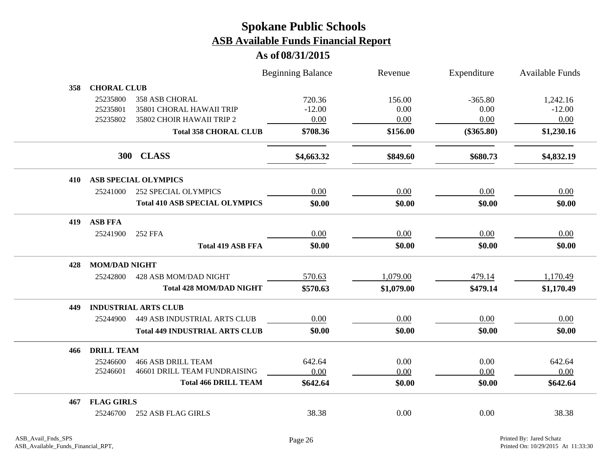|     |                      |                                       | <b>Beginning Balance</b> | Revenue    | Expenditure  | <b>Available Funds</b> |
|-----|----------------------|---------------------------------------|--------------------------|------------|--------------|------------------------|
| 358 | <b>CHORAL CLUB</b>   |                                       |                          |            |              |                        |
|     | 25235800             | <b>358 ASB CHORAL</b>                 | 720.36                   | 156.00     | $-365.80$    | 1,242.16               |
|     | 25235801             | 35801 CHORAL HAWAII TRIP              | $-12.00$                 | 0.00       | 0.00         | $-12.00$               |
|     | 25235802             | 35802 CHOIR HAWAII TRIP 2             | 0.00                     | 0.00       | 0.00         | 0.00                   |
|     |                      | <b>Total 358 CHORAL CLUB</b>          | \$708.36                 | \$156.00   | $(\$365.80)$ | \$1,230.16             |
|     |                      | 300 CLASS                             | \$4,663.32               | \$849.60   | \$680.73     | \$4,832.19             |
| 410 |                      | ASB SPECIAL OLYMPICS                  |                          |            |              |                        |
|     | 25241000             | 252 SPECIAL OLYMPICS                  | 0.00                     | 0.00       | 0.00         | 0.00                   |
|     |                      | <b>Total 410 ASB SPECIAL OLYMPICS</b> | \$0.00                   | \$0.00     | \$0.00       | \$0.00                 |
| 419 | <b>ASB FFA</b>       |                                       |                          |            |              |                        |
|     | 25241900             | <b>252 FFA</b>                        | 0.00                     | $0.00\,$   | 0.00         | 0.00                   |
|     |                      | <b>Total 419 ASB FFA</b>              | \$0.00                   | \$0.00     | \$0.00       | \$0.00                 |
| 428 | <b>MOM/DAD NIGHT</b> |                                       |                          |            |              |                        |
|     | 25242800             | 428 ASB MOM/DAD NIGHT                 | 570.63                   | 1,079.00   | 479.14       | 1,170.49               |
|     |                      | <b>Total 428 MOM/DAD NIGHT</b>        | \$570.63                 | \$1,079.00 | \$479.14     | \$1,170.49             |
| 449 |                      | <b>INDUSTRIAL ARTS CLUB</b>           |                          |            |              |                        |
|     | 25244900             | <b>449 ASB INDUSTRIAL ARTS CLUB</b>   | 0.00                     | 0.00       | 0.00         | 0.00                   |
|     |                      | <b>Total 449 INDUSTRIAL ARTS CLUB</b> | \$0.00                   | \$0.00     | \$0.00       | \$0.00                 |
| 466 | <b>DRILL TEAM</b>    |                                       |                          |            |              |                        |
|     | 25246600             | <b>466 ASB DRILL TEAM</b>             | 642.64                   | 0.00       | 0.00         | 642.64                 |
|     | 25246601             | 46601 DRILL TEAM FUNDRAISING          | 0.00                     | 0.00       | 0.00         | 0.00                   |
|     |                      | <b>Total 466 DRILL TEAM</b>           | \$642.64                 | \$0.00     | \$0.00       | \$642.64               |
| 467 | <b>FLAG GIRLS</b>    |                                       |                          |            |              |                        |
|     | 25246700             | <b>252 ASB FLAG GIRLS</b>             | 38.38                    | 0.00       | 0.00         | 38.38                  |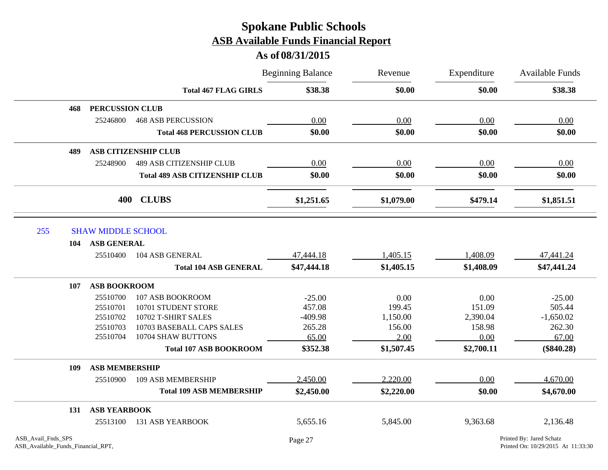|                                                          |                           |                                       | <b>Beginning Balance</b> | Revenue    | Expenditure | Available Funds                                                |
|----------------------------------------------------------|---------------------------|---------------------------------------|--------------------------|------------|-------------|----------------------------------------------------------------|
|                                                          |                           | <b>Total 467 FLAG GIRLS</b>           | \$38.38                  | \$0.00     | \$0.00      | \$38.38                                                        |
| 468                                                      | <b>PERCUSSION CLUB</b>    |                                       |                          |            |             |                                                                |
|                                                          | 25246800                  | <b>468 ASB PERCUSSION</b>             | 0.00                     | 0.00       | 0.00        | 0.00                                                           |
|                                                          |                           | <b>Total 468 PERCUSSION CLUB</b>      | \$0.00                   | \$0.00     | \$0.00      | \$0.00                                                         |
| 489                                                      |                           | <b>ASB CITIZENSHIP CLUB</b>           |                          |            |             |                                                                |
|                                                          | 25248900                  | <b>489 ASB CITIZENSHIP CLUB</b>       | 0.00                     | 0.00       | 0.00        | 0.00                                                           |
|                                                          |                           | <b>Total 489 ASB CITIZENSHIP CLUB</b> | \$0.00                   | \$0.00     | \$0.00      | \$0.00                                                         |
|                                                          | 400                       | <b>CLUBS</b>                          | \$1,251.65               | \$1,079.00 | \$479.14    | \$1,851.51                                                     |
| 255                                                      | <b>SHAW MIDDLE SCHOOL</b> |                                       |                          |            |             |                                                                |
| 104                                                      | <b>ASB GENERAL</b>        |                                       |                          |            |             |                                                                |
|                                                          | 25510400                  | 104 ASB GENERAL                       | 47,444.18                | 1,405.15   | 1,408.09    | 47,441.24                                                      |
|                                                          |                           | <b>Total 104 ASB GENERAL</b>          | \$47,444.18              | \$1,405.15 | \$1,408.09  | \$47,441.24                                                    |
| 107                                                      | <b>ASB BOOKROOM</b>       |                                       |                          |            |             |                                                                |
|                                                          | 25510700                  | 107 ASB BOOKROOM                      | $-25.00$                 | 0.00       | 0.00        | $-25.00$                                                       |
|                                                          | 25510701                  | 10701 STUDENT STORE                   | 457.08                   | 199.45     | 151.09      | 505.44                                                         |
|                                                          | 25510702                  | 10702 T-SHIRT SALES                   | $-409.98$                | 1,150.00   | 2,390.04    | $-1,650.02$                                                    |
|                                                          | 25510703                  | 10703 BASEBALL CAPS SALES             | 265.28                   | 156.00     | 158.98      | 262.30                                                         |
|                                                          | 25510704                  | 10704 SHAW BUTTONS                    | 65.00                    | 2.00       | 0.00        | 67.00                                                          |
|                                                          |                           | <b>Total 107 ASB BOOKROOM</b>         | \$352.38                 | \$1,507.45 | \$2,700.11  | $(\$840.28)$                                                   |
| 109                                                      | <b>ASB MEMBERSHIP</b>     |                                       |                          |            |             |                                                                |
|                                                          | 25510900                  | 109 ASB MEMBERSHIP                    | 2,450.00                 | 2,220.00   | 0.00        | 4,670.00                                                       |
|                                                          |                           | <b>Total 109 ASB MEMBERSHIP</b>       | \$2,450.00               | \$2,220.00 | \$0.00      | \$4,670.00                                                     |
| 131                                                      | <b>ASB YEARBOOK</b>       |                                       |                          |            |             |                                                                |
|                                                          | 25513100                  | <b>131 ASB YEARBOOK</b>               | 5,655.16                 | 5,845.00   | 9,363.68    | 2,136.48                                                       |
| ASB_Avail_Fnds_SPS<br>ASB_Available_Funds_Financial_RPT, |                           |                                       | Page 27                  |            |             | Printed By: Jared Schatz<br>Printed On: 10/29/2015 At 11:33:30 |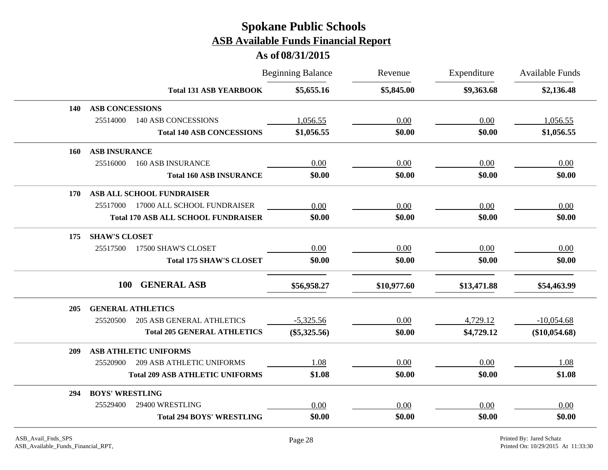|     |                                              | <b>Beginning Balance</b> | Revenue     | Expenditure | <b>Available Funds</b> |
|-----|----------------------------------------------|--------------------------|-------------|-------------|------------------------|
|     | <b>Total 131 ASB YEARBOOK</b>                | \$5,655.16               | \$5,845.00  | \$9,363.68  | \$2,136.48             |
| 140 | <b>ASB CONCESSIONS</b>                       |                          |             |             |                        |
|     | 25514000<br><b>140 ASB CONCESSIONS</b>       | 1,056.55                 | 0.00        | 0.00        | 1,056.55               |
|     | <b>Total 140 ASB CONCESSIONS</b>             | \$1,056.55               | \$0.00      | \$0.00      | \$1,056.55             |
| 160 | <b>ASB INSURANCE</b>                         |                          |             |             |                        |
|     | 25516000<br><b>160 ASB INSURANCE</b>         | 0.00                     | 0.00        | 0.00        | 0.00                   |
|     | <b>Total 160 ASB INSURANCE</b>               | \$0.00                   | \$0.00      | \$0.00      | \$0.00                 |
| 170 | ASB ALL SCHOOL FUNDRAISER                    |                          |             |             |                        |
|     | 25517000<br>17000 ALL SCHOOL FUNDRAISER      | 0.00                     | 0.00        | 0.00        | 0.00                   |
|     | <b>Total 170 ASB ALL SCHOOL FUNDRAISER</b>   | \$0.00                   | \$0.00      | \$0.00      | \$0.00                 |
| 175 | <b>SHAW'S CLOSET</b>                         |                          |             |             |                        |
|     | 25517500<br>17500 SHAW'S CLOSET              | 0.00                     | 0.00        | 0.00        | 0.00                   |
|     | <b>Total 175 SHAW'S CLOSET</b>               | \$0.00                   | \$0.00      | \$0.00      | \$0.00                 |
|     | <b>GENERAL ASB</b><br><b>100</b>             | \$56,958.27              | \$10,977.60 | \$13,471.88 | \$54,463.99            |
| 205 | <b>GENERAL ATHLETICS</b>                     |                          |             |             |                        |
|     | 25520500<br><b>205 ASB GENERAL ATHLETICS</b> | $-5,325.56$              | 0.00        | 4,729.12    | $-10,054.68$           |
|     | <b>Total 205 GENERAL ATHLETICS</b>           | $(\$5,325.56)$           | \$0.00      | \$4,729.12  | (\$10,054.68)          |
| 209 | <b>ASB ATHLETIC UNIFORMS</b>                 |                          |             |             |                        |
|     | <b>209 ASB ATHLETIC UNIFORMS</b><br>25520900 | 1.08                     | 0.00        | 0.00        | 1.08                   |
|     | <b>Total 209 ASB ATHLETIC UNIFORMS</b>       | \$1.08                   | \$0.00      | \$0.00      | \$1.08                 |
| 294 | <b>BOYS' WRESTLING</b>                       |                          |             |             |                        |
|     | 29400 WRESTLING<br>25529400                  | 0.00                     | 0.00        | 0.00        | 0.00                   |
|     | <b>Total 294 BOYS' WRESTLING</b>             | \$0.00                   | \$0.00      | \$0.00      | \$0.00                 |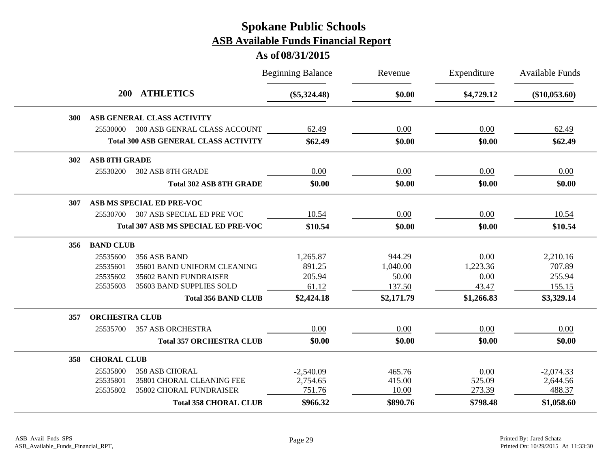|                                             | <b>Beginning Balance</b> | Revenue    | Expenditure | <b>Available Funds</b> |
|---------------------------------------------|--------------------------|------------|-------------|------------------------|
| <b>ATHLETICS</b><br><b>200</b>              | $(\$5,324.48)$           | \$0.00     | \$4,729.12  | $(\$10,053.60)$        |
| ASB GENERAL CLASS ACTIVITY<br>300           |                          |            |             |                        |
| 25530000 300 ASB GENRAL CLASS ACCOUNT       | 62.49                    | 0.00       | 0.00        | 62.49                  |
| <b>Total 300 ASB GENERAL CLASS ACTIVITY</b> | \$62.49                  | \$0.00     | \$0.00      | \$62.49                |
| <b>ASB 8TH GRADE</b><br>302                 |                          |            |             |                        |
| 25530200<br>302 ASB 8TH GRADE               | 0.00                     | 0.00       | 0.00        | 0.00                   |
| <b>Total 302 ASB 8TH GRADE</b>              | \$0.00                   | \$0.00     | \$0.00      | \$0.00                 |
| ASB MS SPECIAL ED PRE-VOC<br>307            |                          |            |             |                        |
| 307 ASB SPECIAL ED PRE VOC<br>25530700      | 10.54                    | 0.00       | 0.00        | 10.54                  |
| <b>Total 307 ASB MS SPECIAL ED PRE-VOC</b>  | \$10.54                  | \$0.00     | \$0.00      | \$10.54                |
| <b>BAND CLUB</b><br>356                     |                          |            |             |                        |
| 25535600<br>356 ASB BAND                    | 1,265.87                 | 944.29     | 0.00        | 2,210.16               |
| 25535601<br>35601 BAND UNIFORM CLEANING     | 891.25                   | 1,040.00   | 1,223.36    | 707.89                 |
| 25535602<br>35602 BAND FUNDRAISER           | 205.94                   | 50.00      | 0.00        | 255.94                 |
| 35603 BAND SUPPLIES SOLD<br>25535603        | 61.12                    | 137.50     | 43.47       | 155.15                 |
| <b>Total 356 BAND CLUB</b>                  | \$2,424.18               | \$2,171.79 | \$1,266.83  | \$3,329.14             |
| <b>ORCHESTRA CLUB</b><br>357                |                          |            |             |                        |
| 25535700<br><b>357 ASB ORCHESTRA</b>        | 0.00                     | 0.00       | 0.00        | 0.00                   |
| <b>Total 357 ORCHESTRA CLUB</b>             | \$0.00                   | \$0.00     | \$0.00      | \$0.00                 |
| <b>CHORAL CLUB</b><br>358                   |                          |            |             |                        |
| 25535800<br><b>358 ASB CHORAL</b>           | $-2,540.09$              | 465.76     | 0.00        | $-2,074.33$            |
| 25535801<br>35801 CHORAL CLEANING FEE       | 2,754.65                 | 415.00     | 525.09      | 2,644.56               |
| 25535802<br>35802 CHORAL FUNDRAISER         | 751.76                   | 10.00      | 273.39      | 488.37                 |
| <b>Total 358 CHORAL CLUB</b>                | \$966.32                 | \$890.76   | \$798.48    | \$1,058.60             |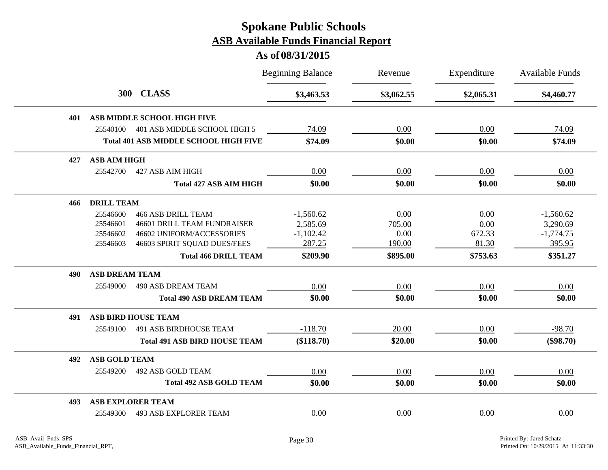|     |                       |                                              | <b>Beginning Balance</b> | Revenue    | Expenditure | <b>Available Funds</b> |
|-----|-----------------------|----------------------------------------------|--------------------------|------------|-------------|------------------------|
|     |                       | 300 CLASS                                    | \$3,463.53               | \$3,062.55 | \$2,065.31  | \$4,460.77             |
| 401 |                       | <b>ASB MIDDLE SCHOOL HIGH FIVE</b>           |                          |            |             |                        |
|     | 25540100              | 401 ASB MIDDLE SCHOOL HIGH 5                 | 74.09                    | 0.00       | 0.00        | 74.09                  |
|     |                       | <b>Total 401 ASB MIDDLE SCHOOL HIGH FIVE</b> | \$74.09                  | \$0.00     | \$0.00      | \$74.09                |
| 427 | <b>ASB AIM HIGH</b>   |                                              |                          |            |             |                        |
|     | 25542700              | 427 ASB AIM HIGH                             | 0.00                     | 0.00       | 0.00        | 0.00                   |
|     |                       | <b>Total 427 ASB AIM HIGH</b>                | \$0.00                   | \$0.00     | \$0.00      | \$0.00                 |
| 466 | <b>DRILL TEAM</b>     |                                              |                          |            |             |                        |
|     | 25546600              | <b>466 ASB DRILL TEAM</b>                    | $-1,560.62$              | 0.00       | 0.00        | $-1,560.62$            |
|     | 25546601              | <b>46601 DRILL TEAM FUNDRAISER</b>           | 2,585.69                 | 705.00     | 0.00        | 3,290.69               |
|     | 25546602              | 46602 UNIFORM/ACCESSORIES                    | $-1,102.42$              | 0.00       | 672.33      | $-1,774.75$            |
|     | 25546603              | 46603 SPIRIT SQUAD DUES/FEES                 | 287.25                   | 190.00     | 81.30       | 395.95                 |
|     |                       | <b>Total 466 DRILL TEAM</b>                  | \$209.90                 | \$895.00   | \$753.63    | \$351.27               |
| 490 | <b>ASB DREAM TEAM</b> |                                              |                          |            |             |                        |
|     | 25549000              | <b>490 ASB DREAM TEAM</b>                    | 0.00                     | 0.00       | 0.00        | 0.00                   |
|     |                       | <b>Total 490 ASB DREAM TEAM</b>              | \$0.00                   | \$0.00     | \$0.00      | \$0.00                 |
| 491 |                       | <b>ASB BIRD HOUSE TEAM</b>                   |                          |            |             |                        |
|     | 25549100              | <b>491 ASB BIRDHOUSE TEAM</b>                | $-118.70$                | 20.00      | 0.00        | $-98.70$               |
|     |                       | <b>Total 491 ASB BIRD HOUSE TEAM</b>         | (\$118.70)               | \$20.00    | \$0.00      | $(\$98.70)$            |
| 492 | <b>ASB GOLD TEAM</b>  |                                              |                          |            |             |                        |
|     | 25549200              | 492 ASB GOLD TEAM                            | 0.00                     | 0.00       | 0.00        | 0.00                   |
|     |                       | <b>Total 492 ASB GOLD TEAM</b>               | \$0.00                   | \$0.00     | \$0.00      | \$0.00                 |
| 493 |                       | <b>ASB EXPLORER TEAM</b>                     |                          |            |             |                        |
|     | 25549300              | <b>493 ASB EXPLORER TEAM</b>                 | 0.00                     | 0.00       | 0.00        | 0.00                   |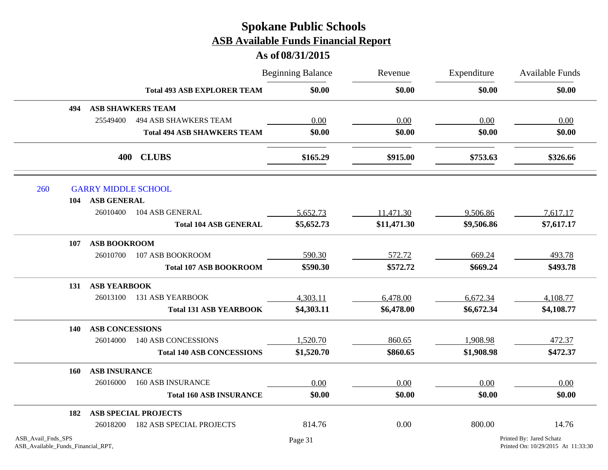|                                                          |                            |                                    | <b>Beginning Balance</b> | Revenue     | Expenditure<br>\$0.00 | Available Funds                                                |
|----------------------------------------------------------|----------------------------|------------------------------------|--------------------------|-------------|-----------------------|----------------------------------------------------------------|
|                                                          |                            | <b>Total 493 ASB EXPLORER TEAM</b> | \$0.00                   | \$0.00      |                       | \$0.00                                                         |
| 494                                                      |                            | <b>ASB SHAWKERS TEAM</b>           |                          |             |                       |                                                                |
|                                                          | 25549400                   | <b>494 ASB SHAWKERS TEAM</b>       | 0.00                     | 0.00        | 0.00                  | 0.00                                                           |
|                                                          |                            | <b>Total 494 ASB SHAWKERS TEAM</b> | \$0.00                   | \$0.00      | \$0.00                | \$0.00                                                         |
|                                                          | 400                        | <b>CLUBS</b>                       | \$165.29                 | \$915.00    | \$753.63              | \$326.66                                                       |
| 260                                                      | <b>GARRY MIDDLE SCHOOL</b> |                                    |                          |             |                       |                                                                |
| 104                                                      | <b>ASB GENERAL</b>         |                                    |                          |             |                       |                                                                |
|                                                          | 26010400                   | 104 ASB GENERAL                    | 5,652.73                 | 11,471.30   | 9,506.86              | 7,617.17                                                       |
|                                                          |                            | <b>Total 104 ASB GENERAL</b>       | \$5,652.73               | \$11,471.30 | \$9,506.86            | \$7,617.17                                                     |
| 107                                                      | <b>ASB BOOKROOM</b>        |                                    |                          |             |                       |                                                                |
|                                                          | 26010700                   | 107 ASB BOOKROOM                   | 590.30                   | 572.72      | 669.24                | 493.78                                                         |
|                                                          |                            | <b>Total 107 ASB BOOKROOM</b>      | \$590.30                 | \$572.72    | \$669.24              | \$493.78                                                       |
| 131                                                      | <b>ASB YEARBOOK</b>        |                                    |                          |             |                       |                                                                |
|                                                          | 26013100                   | <b>131 ASB YEARBOOK</b>            | 4,303.11                 | 6,478.00    | 6,672.34              | 4,108.77                                                       |
|                                                          |                            | <b>Total 131 ASB YEARBOOK</b>      | \$4,303.11               | \$6,478.00  | \$6,672.34            | \$4,108.77                                                     |
| 140                                                      | <b>ASB CONCESSIONS</b>     |                                    |                          |             |                       |                                                                |
|                                                          | 26014000                   | <b>140 ASB CONCESSIONS</b>         | 1,520.70                 | 860.65      | 1,908.98              | 472.37                                                         |
|                                                          |                            | <b>Total 140 ASB CONCESSIONS</b>   | \$1,520.70               | \$860.65    | \$1,908.98            | \$472.37                                                       |
| 160                                                      | <b>ASB INSURANCE</b>       |                                    |                          |             |                       |                                                                |
|                                                          | 26016000                   | <b>160 ASB INSURANCE</b>           | 0.00                     | 0.00        | 0.00                  | 0.00                                                           |
|                                                          |                            | <b>Total 160 ASB INSURANCE</b>     | \$0.00                   | \$0.00      | \$0.00                | \$0.00                                                         |
| 182                                                      |                            | <b>ASB SPECIAL PROJECTS</b>        |                          |             |                       |                                                                |
|                                                          | 26018200                   | <b>182 ASB SPECIAL PROJECTS</b>    | 814.76                   | 0.00        | 800.00                | 14.76                                                          |
| ASB_Avail_Fnds_SPS<br>ASB_Available_Funds_Financial_RPT, |                            |                                    | Page 31                  |             |                       | Printed By: Jared Schatz<br>Printed On: 10/29/2015 At 11:33:30 |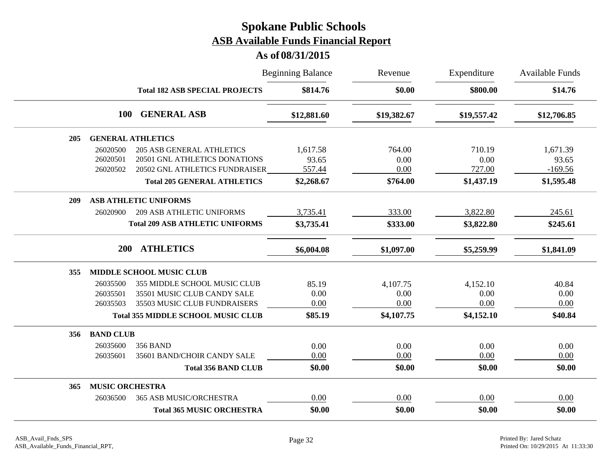|     |                        | <b>Beginning Balance</b>                  |             | Revenue     | Expenditure | <b>Available Funds</b> |
|-----|------------------------|-------------------------------------------|-------------|-------------|-------------|------------------------|
|     |                        | <b>Total 182 ASB SPECIAL PROJECTS</b>     | \$814.76    | \$0.00      | \$800.00    | \$14.76                |
|     | <b>100</b>             | <b>GENERAL ASB</b>                        | \$12,881.60 | \$19,382.67 | \$19,557.42 | \$12,706.85            |
| 205 |                        | <b>GENERAL ATHLETICS</b>                  |             |             |             |                        |
|     | 26020500               | <b>205 ASB GENERAL ATHLETICS</b>          | 1,617.58    | 764.00      | 710.19      | 1,671.39               |
|     | 26020501               | 20501 GNL ATHLETICS DONATIONS             | 93.65       | 0.00        | 0.00        | 93.65                  |
|     | 26020502               | 20502 GNL ATHLETICS FUNDRAISER            | 557.44      | 0.00        | 727.00      | $-169.56$              |
|     |                        | <b>Total 205 GENERAL ATHLETICS</b>        | \$2,268.67  | \$764.00    | \$1,437.19  | \$1,595.48             |
| 209 |                        | <b>ASB ATHLETIC UNIFORMS</b>              |             |             |             |                        |
|     | 26020900               | <b>209 ASB ATHLETIC UNIFORMS</b>          | 3,735.41    | 333.00      | 3,822.80    | 245.61                 |
|     |                        | <b>Total 209 ASB ATHLETIC UNIFORMS</b>    | \$3,735.41  | \$333.00    | \$3,822.80  | \$245.61               |
|     | <b>200</b>             | <b>ATHLETICS</b>                          | \$6,004.08  | \$1,097.00  | \$5,259.99  | \$1,841.09             |
| 355 |                        | MIDDLE SCHOOL MUSIC CLUB                  |             |             |             |                        |
|     | 26035500               | 355 MIDDLE SCHOOL MUSIC CLUB              | 85.19       | 4,107.75    | 4,152.10    | 40.84                  |
|     | 26035501               | 35501 MUSIC CLUB CANDY SALE               | 0.00        | 0.00        | 0.00        | 0.00                   |
|     | 26035503               | 35503 MUSIC CLUB FUNDRAISERS              | 0.00        | 0.00        | 0.00        | 0.00                   |
|     |                        | <b>Total 355 MIDDLE SCHOOL MUSIC CLUB</b> | \$85.19     | \$4,107.75  | \$4,152.10  | \$40.84                |
| 356 | <b>BAND CLUB</b>       |                                           |             |             |             |                        |
|     | 26035600               | <b>356 BAND</b>                           | 0.00        | 0.00        | 0.00        | 0.00                   |
|     | 26035601               | 35601 BAND/CHOIR CANDY SALE               | 0.00        | 0.00        | 0.00        | 0.00                   |
|     |                        | <b>Total 356 BAND CLUB</b>                | \$0.00      | \$0.00      | \$0.00      | \$0.00                 |
| 365 | <b>MUSIC ORCHESTRA</b> |                                           |             |             |             |                        |
|     | 26036500               | 365 ASB MUSIC/ORCHESTRA                   | 0.00        | 0.00        | 0.00        | 0.00                   |
|     |                        | <b>Total 365 MUSIC ORCHESTRA</b>          | \$0.00      | \$0.00      | \$0.00      | \$0.00                 |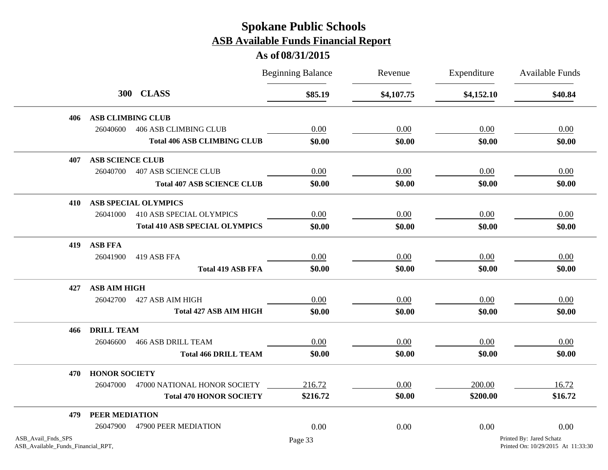|                                                          |                          |                                       | <b>Beginning Balance</b> | Revenue    | Expenditure | <b>Available Funds</b>                                         |
|----------------------------------------------------------|--------------------------|---------------------------------------|--------------------------|------------|-------------|----------------------------------------------------------------|
|                                                          |                          | 300 CLASS                             | \$85.19                  | \$4,107.75 | \$4,152.10  | \$40.84                                                        |
| 406                                                      | <b>ASB CLIMBING CLUB</b> |                                       |                          |            |             |                                                                |
|                                                          | 26040600                 | <b>406 ASB CLIMBING CLUB</b>          | 0.00                     | 0.00       | 0.00        | 0.00                                                           |
|                                                          |                          | <b>Total 406 ASB CLIMBING CLUB</b>    | \$0.00                   | \$0.00     | \$0.00      | \$0.00                                                         |
| 407                                                      | <b>ASB SCIENCE CLUB</b>  |                                       |                          |            |             |                                                                |
|                                                          | 26040700                 | <b>407 ASB SCIENCE CLUB</b>           | 0.00                     | 0.00       | 0.00        | 0.00                                                           |
|                                                          |                          | <b>Total 407 ASB SCIENCE CLUB</b>     | \$0.00                   | \$0.00     | \$0.00      | \$0.00                                                         |
| 410                                                      |                          | <b>ASB SPECIAL OLYMPICS</b>           |                          |            |             |                                                                |
|                                                          | 26041000                 | 410 ASB SPECIAL OLYMPICS              | 0.00                     | 0.00       | 0.00        | 0.00                                                           |
|                                                          |                          | <b>Total 410 ASB SPECIAL OLYMPICS</b> | \$0.00                   | \$0.00     | \$0.00      | \$0.00                                                         |
| 419                                                      | <b>ASB FFA</b>           |                                       |                          |            |             |                                                                |
|                                                          | 26041900                 | 419 ASB FFA                           | 0.00                     | 0.00       | 0.00        | $0.00\,$                                                       |
|                                                          |                          | <b>Total 419 ASB FFA</b>              | \$0.00                   | \$0.00     | \$0.00      | \$0.00                                                         |
| 427                                                      | <b>ASB AIM HIGH</b>      |                                       |                          |            |             |                                                                |
|                                                          | 26042700                 | 427 ASB AIM HIGH                      | 0.00                     | 0.00       | 0.00        | 0.00                                                           |
|                                                          |                          | <b>Total 427 ASB AIM HIGH</b>         | \$0.00                   | \$0.00     | \$0.00      | \$0.00                                                         |
| 466                                                      | <b>DRILL TEAM</b>        |                                       |                          |            |             |                                                                |
|                                                          | 26046600                 | <b>466 ASB DRILL TEAM</b>             | 0.00                     | 0.00       | 0.00        | 0.00                                                           |
|                                                          |                          | <b>Total 466 DRILL TEAM</b>           | \$0.00                   | \$0.00     | \$0.00      | \$0.00                                                         |
| 470                                                      | <b>HONOR SOCIETY</b>     |                                       |                          |            |             |                                                                |
|                                                          | 26047000                 | 47000 NATIONAL HONOR SOCIETY          | 216.72                   | 0.00       | 200.00      | 16.72                                                          |
|                                                          |                          | <b>Total 470 HONOR SOCIETY</b>        | \$216.72                 | \$0.00     | \$200.00    | \$16.72                                                        |
| 479                                                      | PEER MEDIATION           |                                       |                          |            |             |                                                                |
|                                                          | 26047900                 | 47900 PEER MEDIATION                  | 0.00                     | 0.00       | 0.00        | 0.00                                                           |
| ASB_Avail_Fnds_SPS<br>ASB_Available_Funds_Financial_RPT, |                          |                                       | Page 33                  |            |             | Printed By: Jared Schatz<br>Printed On: 10/29/2015 At 11:33:30 |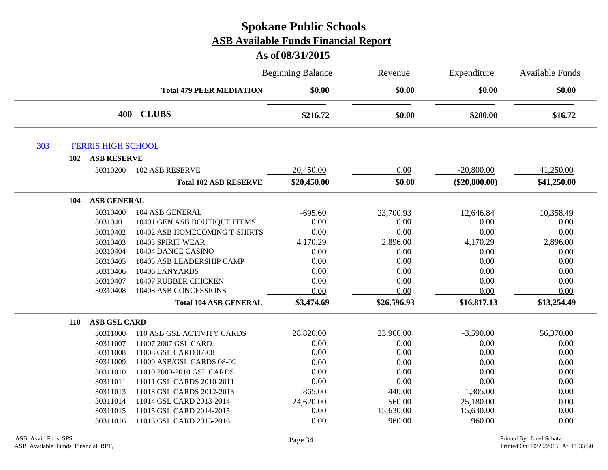|     |                           |                                 | <b>Beginning Balance</b> | Revenue     | Expenditure     | <b>Available Funds</b> |
|-----|---------------------------|---------------------------------|--------------------------|-------------|-----------------|------------------------|
|     |                           | <b>Total 479 PEER MEDIATION</b> | \$0.00                   | \$0.00      | \$0.00          | \$0.00                 |
|     |                           | 400 CLUBS                       | \$216.72                 | \$0.00      | \$200.00        | \$16.72                |
| 303 | <b>FERRIS HIGH SCHOOL</b> |                                 |                          |             |                 |                        |
| 102 | <b>ASB RESERVE</b>        |                                 |                          |             |                 |                        |
|     | 30310200                  | <b>102 ASB RESERVE</b>          | 20,450.00                | 0.00        | $-20,800.00$    | 41,250.00              |
|     |                           | <b>Total 102 ASB RESERVE</b>    | \$20,450.00              | \$0.00      | $(\$20,800.00)$ | \$41,250.00            |
| 104 | <b>ASB GENERAL</b>        |                                 |                          |             |                 |                        |
|     | 30310400                  | 104 ASB GENERAL                 | $-695.60$                | 23,700.93   | 12,646.84       | 10,358.49              |
|     | 30310401                  | 10401 GEN ASB BOUTIQUE ITEMS    | 0.00                     | 0.00        | 0.00            | 0.00                   |
|     | 30310402                  | 10402 ASB HOMECOMING T-SHIRTS   | 0.00                     | 0.00        | 0.00            | 0.00                   |
|     | 30310403                  | 10403 SPIRIT WEAR               | 4,170.29                 | 2,896.00    | 4,170.29        | 2,896.00               |
|     | 30310404                  | 10404 DANCE CASINO              | 0.00                     | 0.00        | 0.00            | 0.00                   |
|     | 30310405                  | 10405 ASB LEADERSHIP CAMP       | 0.00                     | 0.00        | 0.00            | 0.00                   |
|     | 30310406                  | 10406 LANYARDS                  | 0.00                     | 0.00        | 0.00            | 0.00                   |
|     | 30310407                  | 10407 RUBBER CHICKEN            | 0.00                     | 0.00        | 0.00            | 0.00                   |
|     | 30310408                  | 10408 ASB CONCESSIONS           | 0.00                     | 0.00        | 0.00            | 0.00                   |
|     |                           | <b>Total 104 ASB GENERAL</b>    | \$3,474.69               | \$26,596.93 | \$16,817.13     | \$13,254.49            |
| 110 | <b>ASB GSL CARD</b>       |                                 |                          |             |                 |                        |
|     | 30311000                  | 110 ASB GSL ACTIVITY CARDS      | 28,820.00                | 23,960.00   | $-3,590.00$     | 56,370.00              |
|     | 30311007                  | 11007 2007 GSL CARD             | 0.00                     | 0.00        | 0.00            | 0.00                   |
|     | 30311008                  | 11008 GSL CARD 07-08            | 0.00                     | 0.00        | 0.00            | 0.00                   |
|     | 30311009                  | 11009 ASB/GSL CARDS 08-09       | 0.00                     | 0.00        | 0.00            | 0.00                   |
|     | 30311010                  | 11010 2009-2010 GSL CARDS       | 0.00                     | 0.00        | 0.00            | 0.00                   |
|     | 30311011                  | 11011 GSL CARDS 2010-2011       | 0.00                     | 0.00        | 0.00            | 0.00                   |
|     | 30311013                  | 11013 GSL CARDS 2012-2013       | 865.00                   | 440.00      | 1,305.00        | 0.00                   |
|     | 30311014                  | 11014 GSL CARD 2013-2014        | 24,620.00                | 560.00      | 25,180.00       | 0.00                   |
|     | 30311015                  | 11015 GSL CARD 2014-2015        | 0.00                     | 15,630.00   | 15,630.00       | 0.00                   |
|     | 30311016                  | 11016 GSL CARD 2015-2016        | 0.00                     | 960.00      | 960.00          | 0.00                   |
|     |                           |                                 |                          |             |                 |                        |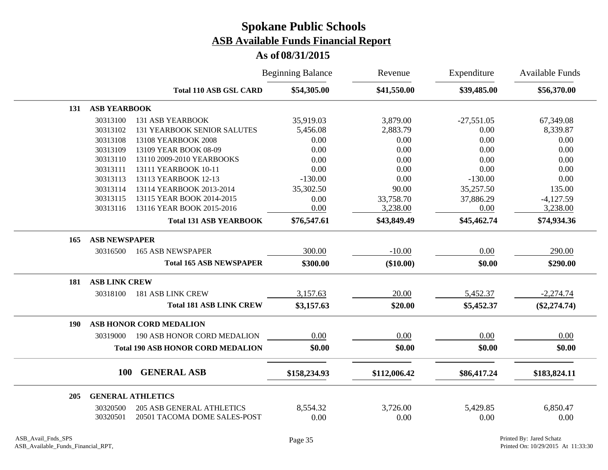|     |                      |                                          | <b>Beginning Balance</b> | Revenue      | Expenditure  | Available Funds |
|-----|----------------------|------------------------------------------|--------------------------|--------------|--------------|-----------------|
|     |                      | <b>Total 110 ASB GSL CARD</b>            | \$54,305.00              | \$41,550.00  | \$39,485.00  | \$56,370.00     |
| 131 | <b>ASB YEARBOOK</b>  |                                          |                          |              |              |                 |
|     | 30313100             | <b>131 ASB YEARBOOK</b>                  | 35,919.03                | 3,879.00     | $-27,551.05$ | 67,349.08       |
|     | 30313102             | <b>131 YEARBOOK SENIOR SALUTES</b>       | 5,456.08                 | 2,883.79     | 0.00         | 8,339.87        |
|     | 30313108             | 13108 YEARBOOK 2008                      | 0.00                     | 0.00         | 0.00         | 0.00            |
|     | 30313109             | 13109 YEAR BOOK 08-09                    | 0.00                     | 0.00         | 0.00         | 0.00            |
|     | 30313110             | 13110 2009-2010 YEARBOOKS                | 0.00                     | 0.00         | 0.00         | 0.00            |
|     | 30313111             | 13111 YEARBOOK 10-11                     | 0.00                     | 0.00         | 0.00         | 0.00            |
|     | 30313113             | 13113 YEARBOOK 12-13                     | $-130.00$                | 0.00         | $-130.00$    | 0.00            |
|     | 30313114             | 13114 YEARBOOK 2013-2014                 | 35,302.50                | 90.00        | 35,257.50    | 135.00          |
|     | 30313115             | 13115 YEAR BOOK 2014-2015                | 0.00                     | 33,758.70    | 37,886.29    | $-4,127.59$     |
|     | 30313116             | 13116 YEAR BOOK 2015-2016                | 0.00                     | 3,238.00     | 0.00         | 3,238.00        |
|     |                      | <b>Total 131 ASB YEARBOOK</b>            | \$76,547.61              | \$43,849.49  | \$45,462.74  | \$74,934.36     |
| 165 | <b>ASB NEWSPAPER</b> |                                          |                          |              |              |                 |
|     | 30316500             | <b>165 ASB NEWSPAPER</b>                 | 300.00                   | $-10.00$     | 0.00         | 290.00          |
|     |                      | <b>Total 165 ASB NEWSPAPER</b>           | \$300.00                 | $(\$10.00)$  | \$0.00       | \$290.00        |
| 181 | <b>ASB LINK CREW</b> |                                          |                          |              |              |                 |
|     | 30318100             | <b>181 ASB LINK CREW</b>                 | 3,157.63                 | 20.00        | 5,452.37     | $-2,274.74$     |
|     |                      | <b>Total 181 ASB LINK CREW</b>           | \$3,157.63               | \$20.00      | \$5,452.37   | $(\$2,274.74)$  |
| 190 |                      | <b>ASB HONOR CORD MEDALION</b>           |                          |              |              |                 |
|     | 30319000             | 190 ASB HONOR CORD MEDALION              | 0.00                     | 0.00         | 0.00         | 0.00            |
|     |                      | <b>Total 190 ASB HONOR CORD MEDALION</b> | \$0.00                   | \$0.00       | \$0.00       | \$0.00          |
|     | <b>100</b>           | <b>GENERAL ASB</b>                       |                          |              |              |                 |
|     |                      |                                          | \$158,234.93             | \$112,006.42 | \$86,417.24  | \$183,824.11    |
| 205 |                      | <b>GENERAL ATHLETICS</b>                 |                          |              |              |                 |
|     | 30320500             | <b>205 ASB GENERAL ATHLETICS</b>         | 8,554.32                 | 3,726.00     | 5,429.85     | 6,850.47        |
|     | 30320501             | 20501 TACOMA DOME SALES-POST             | 0.00                     | 0.00         | 0.00         | 0.00            |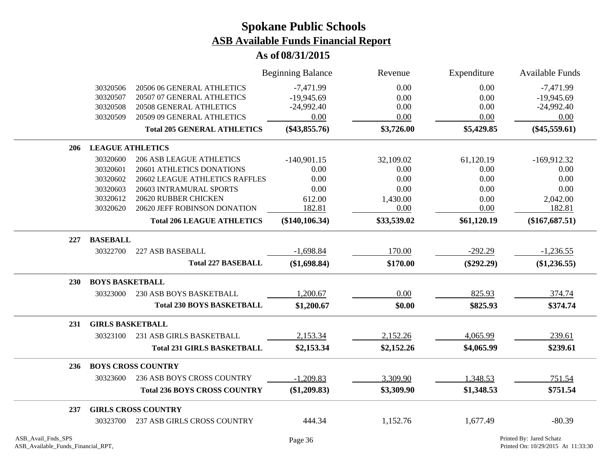|     |                         |                                     | <b>Beginning Balance</b> | Revenue     | Expenditure  | <b>Available Funds</b> |
|-----|-------------------------|-------------------------------------|--------------------------|-------------|--------------|------------------------|
|     | 30320506                | 20506 06 GENERAL ATHLETICS          | $-7,471.99$              | 0.00        | 0.00         | $-7,471.99$            |
|     | 30320507                | 20507 07 GENERAL ATHLETICS          | $-19,945.69$             | 0.00        | 0.00         | $-19,945.69$           |
|     | 30320508                | 20508 GENERAL ATHLETICS             | $-24,992.40$             | 0.00        | 0.00         | $-24,992.40$           |
|     | 30320509                | 20509 09 GENERAL ATHLETICS          | 0.00                     | 0.00        | 0.00         | 0.00                   |
|     |                         | <b>Total 205 GENERAL ATHLETICS</b>  | $(\$43,855.76)$          | \$3,726.00  | \$5,429.85   | $(\$45,559.61)$        |
| 206 | <b>LEAGUE ATHLETICS</b> |                                     |                          |             |              |                        |
|     | 30320600                | <b>206 ASB LEAGUE ATHLETICS</b>     | $-140,901.15$            | 32,109.02   | 61,120.19    | $-169,912.32$          |
|     | 30320601                | 20601 ATHLETICS DONATIONS           | 0.00                     | 0.00        | 0.00         | 0.00                   |
|     | 30320602                | 20602 LEAGUE ATHLETICS RAFFLES      | 0.00                     | 0.00        | 0.00         | 0.00                   |
|     | 30320603                | 20603 INTRAMURAL SPORTS             | 0.00                     | 0.00        | 0.00         | 0.00                   |
|     | 30320612                | 20620 RUBBER CHICKEN                | 612.00                   | 1,430.00    | 0.00         | 2,042.00               |
|     | 30320620                | 20620 JEFF ROBINSON DONATION        | 182.81                   | 0.00        | 0.00         | 182.81                 |
|     |                         | <b>Total 206 LEAGUE ATHLETICS</b>   | $(\$140, 106.34)$        | \$33,539.02 | \$61,120.19  | $(\$167,687.51)$       |
| 227 | <b>BASEBALL</b>         |                                     |                          |             |              |                        |
|     | 30322700                | 227 ASB BASEBALL                    | $-1,698.84$              | 170.00      | $-292.29$    | $-1,236.55$            |
|     |                         | <b>Total 227 BASEBALL</b>           | (\$1,698.84)             | \$170.00    | $(\$292.29)$ | $(\$1,236.55)$         |
| 230 | <b>BOYS BASKETBALL</b>  |                                     |                          |             |              |                        |
|     | 30323000                | <b>230 ASB BOYS BASKETBALL</b>      | 1,200.67                 | 0.00        | 825.93       | 374.74                 |
|     |                         | <b>Total 230 BOYS BASKETBALL</b>    | \$1,200.67               | \$0.00      | \$825.93     | \$374.74               |
| 231 | <b>GIRLS BASKETBALL</b> |                                     |                          |             |              |                        |
|     | 30323100                | 231 ASB GIRLS BASKETBALL            | 2,153.34                 | 2,152.26    | 4,065.99     | 239.61                 |
|     |                         | <b>Total 231 GIRLS BASKETBALL</b>   | \$2,153.34               | \$2,152.26  | \$4,065.99   | \$239.61               |
| 236 |                         | <b>BOYS CROSS COUNTRY</b>           |                          |             |              |                        |
|     | 30323600                | 236 ASB BOYS CROSS COUNTRY          | $-1,209.83$              | 3,309.90    | 1,348.53     | 751.54                 |
|     |                         | <b>Total 236 BOYS CROSS COUNTRY</b> | (\$1,209.83)             | \$3,309.90  | \$1,348.53   | \$751.54               |
| 237 |                         | <b>GIRLS CROSS COUNTRY</b>          |                          |             |              |                        |
|     | 30323700                | <b>237 ASB GIRLS CROSS COUNTRY</b>  | 444.34                   | 1,152.76    | 1,677.49     | $-80.39$               |
|     |                         |                                     |                          |             |              |                        |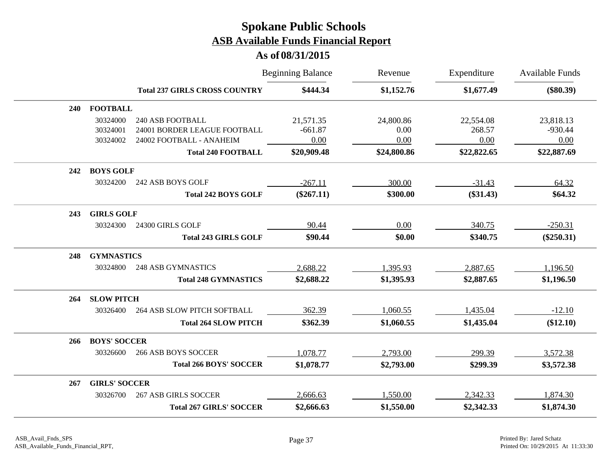|            |                      |                                      | <b>Beginning Balance</b> | Revenue     | Expenditure | <b>Available Funds</b> |
|------------|----------------------|--------------------------------------|--------------------------|-------------|-------------|------------------------|
|            |                      | <b>Total 237 GIRLS CROSS COUNTRY</b> | \$444.34                 | \$1,152.76  | \$1,677.49  | $(\$80.39)$            |
| <b>240</b> | <b>FOOTBALL</b>      |                                      |                          |             |             |                        |
|            | 30324000             | <b>240 ASB FOOTBALL</b>              | 21,571.35                | 24,800.86   | 22,554.08   | 23,818.13              |
|            | 30324001             | 24001 BORDER LEAGUE FOOTBALL         | $-661.87$                | 0.00        | 268.57      | $-930.44$              |
|            | 30324002             | 24002 FOOTBALL - ANAHEIM             | 0.00                     | 0.00        | 0.00        | 0.00                   |
|            |                      | <b>Total 240 FOOTBALL</b>            | \$20,909.48              | \$24,800.86 | \$22,822.65 | \$22,887.69            |
| 242        | <b>BOYS GOLF</b>     |                                      |                          |             |             |                        |
|            | 30324200             | 242 ASB BOYS GOLF                    | $-267.11$                | 300.00      | $-31.43$    | 64.32                  |
|            |                      | <b>Total 242 BOYS GOLF</b>           | $(\$267.11)$             | \$300.00    | $(\$31.43)$ | \$64.32                |
| 243        | <b>GIRLS GOLF</b>    |                                      |                          |             |             |                        |
|            | 30324300             | 24300 GIRLS GOLF                     | 90.44                    | 0.00        | 340.75      | $-250.31$              |
|            |                      | <b>Total 243 GIRLS GOLF</b>          | \$90.44                  | \$0.00      | \$340.75    | $(\$250.31)$           |
| 248        | <b>GYMNASTICS</b>    |                                      |                          |             |             |                        |
|            | 30324800             | <b>248 ASB GYMNASTICS</b>            | 2,688.22                 | 1,395.93    | 2,887.65    | 1,196.50               |
|            |                      | <b>Total 248 GYMNASTICS</b>          | \$2,688.22               | \$1,395.93  | \$2,887.65  | \$1,196.50             |
| 264        | <b>SLOW PITCH</b>    |                                      |                          |             |             |                        |
|            | 30326400             | <b>264 ASB SLOW PITCH SOFTBALL</b>   | 362.39                   | 1,060.55    | 1,435.04    | $-12.10$               |
|            |                      | <b>Total 264 SLOW PITCH</b>          | \$362.39                 | \$1,060.55  | \$1,435.04  | (\$12.10)              |
| 266        | <b>BOYS' SOCCER</b>  |                                      |                          |             |             |                        |
|            | 30326600             | <b>266 ASB BOYS SOCCER</b>           | 1,078.77                 | 2,793.00    | 299.39      | 3,572.38               |
|            |                      | <b>Total 266 BOYS' SOCCER</b>        | \$1,078.77               | \$2,793.00  | \$299.39    | \$3,572.38             |
| 267        | <b>GIRLS' SOCCER</b> |                                      |                          |             |             |                        |
|            | 30326700             | <b>267 ASB GIRLS SOCCER</b>          | 2,666.63                 | 1,550.00    | 2,342.33    | 1,874.30               |
|            |                      | <b>Total 267 GIRLS' SOCCER</b>       | \$2,666.63               | \$1,550.00  | \$2,342.33  | \$1,874.30             |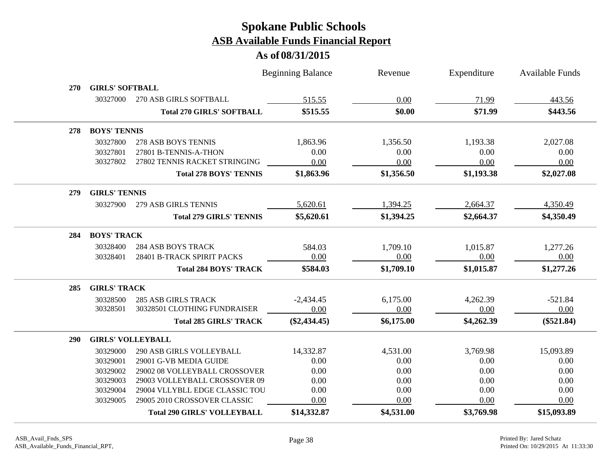|            |                          |                                    | <b>Beginning Balance</b> | Revenue    | Expenditure | Available Funds |
|------------|--------------------------|------------------------------------|--------------------------|------------|-------------|-----------------|
| <b>270</b> | <b>GIRLS' SOFTBALL</b>   |                                    |                          |            |             |                 |
|            | 30327000                 | 270 ASB GIRLS SOFTBALL             | 515.55                   | 0.00       | 71.99       | 443.56          |
|            |                          | <b>Total 270 GIRLS' SOFTBALL</b>   | \$515.55                 | \$0.00     | \$71.99     | \$443.56        |
| 278        | <b>BOYS' TENNIS</b>      |                                    |                          |            |             |                 |
|            | 30327800                 | 278 ASB BOYS TENNIS                | 1,863.96                 | 1,356.50   | 1,193.38    | 2,027.08        |
|            | 30327801                 | 27801 B-TENNIS-A-THON              | 0.00                     | 0.00       | 0.00        | 0.00            |
|            | 30327802                 | 27802 TENNIS RACKET STRINGING      | 0.00                     | 0.00       | 0.00        | 0.00            |
|            |                          | <b>Total 278 BOYS' TENNIS</b>      | \$1,863.96               | \$1,356.50 | \$1,193.38  | \$2,027.08      |
| 279        | <b>GIRLS' TENNIS</b>     |                                    |                          |            |             |                 |
|            | 30327900                 | 279 ASB GIRLS TENNIS               | 5,620.61                 | 1,394.25   | 2,664.37    | 4,350.49        |
|            |                          | <b>Total 279 GIRLS' TENNIS</b>     | \$5,620.61               | \$1,394.25 | \$2,664.37  | \$4,350.49      |
| 284        | <b>BOYS' TRACK</b>       |                                    |                          |            |             |                 |
|            | 30328400                 | <b>284 ASB BOYS TRACK</b>          | 584.03                   | 1,709.10   | 1,015.87    | 1,277.26        |
|            | 30328401                 | 28401 B-TRACK SPIRIT PACKS         | 0.00                     | 0.00       | 0.00        | 0.00            |
|            |                          | <b>Total 284 BOYS' TRACK</b>       | \$584.03                 | \$1,709.10 | \$1,015.87  | \$1,277.26      |
| 285        | <b>GIRLS' TRACK</b>      |                                    |                          |            |             |                 |
|            | 30328500                 | <b>285 ASB GIRLS TRACK</b>         | $-2,434.45$              | 6,175.00   | 4,262.39    | $-521.84$       |
|            | 30328501                 | 30328501 CLOTHING FUNDRAISER       | 0.00                     | 0.00       | 0.00        | 0.00            |
|            |                          | <b>Total 285 GIRLS' TRACK</b>      | $(\$2,434.45)$           | \$6,175.00 | \$4,262.39  | $(\$521.84)$    |
| <b>290</b> | <b>GIRLS' VOLLEYBALL</b> |                                    |                          |            |             |                 |
|            | 30329000                 | <b>290 ASB GIRLS VOLLEYBALL</b>    | 14,332.87                | 4,531.00   | 3,769.98    | 15,093.89       |
|            | 30329001                 | 29001 G-VB MEDIA GUIDE             | 0.00                     | 0.00       | 0.00        | 0.00            |
|            | 30329002                 | 29002 08 VOLLEYBALL CROSSOVER      | 0.00                     | 0.00       | 0.00        | 0.00            |
|            | 30329003                 | 29003 VOLLEYBALL CROSSOVER 09      | 0.00                     | 0.00       | 0.00        | 0.00            |
|            | 30329004                 | 29004 VLLYBLL EDGE CLASSIC TOU     | 0.00                     | 0.00       | 0.00        | 0.00            |
|            | 30329005                 | 29005 2010 CROSSOVER CLASSIC       | 0.00                     | 0.00       | 0.00        | 0.00            |
|            |                          | <b>Total 290 GIRLS' VOLLEYBALL</b> | \$14,332.87              | \$4,531.00 | \$3,769.98  | \$15,093.89     |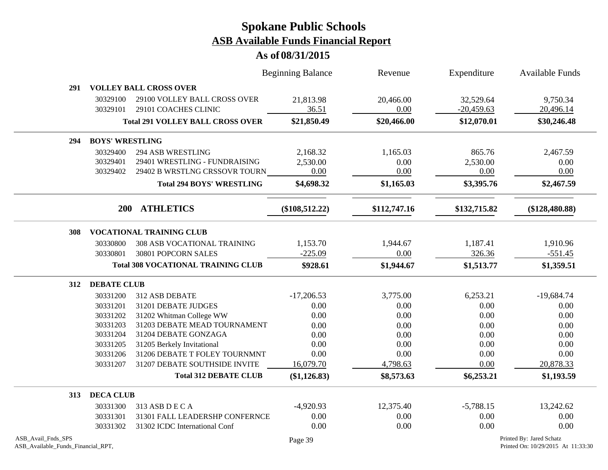|                                                          |                                  |                                                                                            | <b>Beginning Balance</b>     | Revenue                  | Expenditure                | Available Funds                                                |
|----------------------------------------------------------|----------------------------------|--------------------------------------------------------------------------------------------|------------------------------|--------------------------|----------------------------|----------------------------------------------------------------|
| 291                                                      |                                  | <b>VOLLEY BALL CROSS OVER</b>                                                              |                              |                          |                            |                                                                |
|                                                          | 30329100<br>30329101             | 29100 VOLLEY BALL CROSS OVER<br>29101 COACHES CLINIC                                       | 21,813.98<br>36.51           | 20,466.00<br>0.00        | 32,529.64<br>$-20,459.63$  | 9,750.34<br>20,496.14                                          |
|                                                          |                                  | <b>Total 291 VOLLEY BALL CROSS OVER</b>                                                    | \$21,850.49                  | \$20,466.00              | \$12,070.01                | \$30,246.48                                                    |
| 294                                                      |                                  | <b>BOYS' WRESTLING</b>                                                                     |                              |                          |                            |                                                                |
|                                                          | 30329400<br>30329401<br>30329402 | <b>294 ASB WRESTLING</b><br>29401 WRESTLING - FUNDRAISING<br>29402 B WRSTLNG CRSSOVR TOURN | 2,168.32<br>2,530.00<br>0.00 | 1,165.03<br>0.00<br>0.00 | 865.76<br>2,530.00<br>0.00 | 2,467.59<br>0.00<br>0.00                                       |
|                                                          |                                  | <b>Total 294 BOYS' WRESTLING</b>                                                           | \$4,698.32                   | \$1,165.03               | \$3,395.76                 | \$2,467.59                                                     |
|                                                          | <b>200</b>                       | <b>ATHLETICS</b>                                                                           | $(\$108,512.22)$             | \$112,747.16             | \$132,715.82               | $(\$128,480.88)$                                               |
| 308                                                      |                                  | <b>VOCATIONAL TRAINING CLUB</b>                                                            |                              |                          |                            |                                                                |
|                                                          | 30330800                         | <b>308 ASB VOCATIONAL TRAINING</b>                                                         | 1,153.70                     | 1,944.67                 | 1,187.41                   | 1,910.96                                                       |
|                                                          | 30330801                         | 30801 POPCORN SALES                                                                        | $-225.09$                    | 0.00                     | 326.36                     | $-551.45$                                                      |
|                                                          |                                  | <b>Total 308 VOCATIONAL TRAINING CLUB</b>                                                  | \$928.61                     | \$1,944.67               | \$1,513.77                 | \$1,359.51                                                     |
| 312                                                      | <b>DEBATE CLUB</b>               |                                                                                            |                              |                          |                            |                                                                |
|                                                          | 30331200                         | 312 ASB DEBATE                                                                             | $-17,206.53$                 | 3,775.00                 | 6,253.21                   | $-19,684.74$                                                   |
|                                                          | 30331201                         | 31201 DEBATE JUDGES                                                                        | 0.00                         | 0.00                     | 0.00                       | 0.00                                                           |
|                                                          | 30331202                         | 31202 Whitman College WW                                                                   | 0.00                         | 0.00                     | 0.00                       | 0.00                                                           |
|                                                          | 30331203                         | 31203 DEBATE MEAD TOURNAMENT                                                               | 0.00                         | 0.00                     | 0.00                       | 0.00                                                           |
|                                                          | 30331204                         | 31204 DEBATE GONZAGA                                                                       | 0.00                         | 0.00                     | 0.00                       | 0.00                                                           |
|                                                          | 30331205                         | 31205 Berkely Invitational                                                                 | 0.00                         | 0.00                     | 0.00                       | 0.00                                                           |
|                                                          | 30331206                         | 31206 DEBATE T FOLEY TOURNMNT                                                              | 0.00                         | 0.00                     | 0.00                       | 0.00                                                           |
|                                                          | 30331207                         | 31207 DEBATE SOUTHSIDE INVITE                                                              | 16,079.70                    | 4,798.63                 | 0.00                       | 20,878.33                                                      |
|                                                          |                                  | <b>Total 312 DEBATE CLUB</b>                                                               | $(\$1,126.83)$               | \$8,573.63               | \$6,253.21                 | \$1,193.59                                                     |
| 313                                                      | <b>DECA CLUB</b>                 |                                                                                            |                              |                          |                            |                                                                |
|                                                          | 30331300                         | 313 ASB D E C A                                                                            | $-4,920.93$                  | 12,375.40                | $-5,788.15$                | 13,242.62                                                      |
|                                                          | 30331301                         | 31301 FALL LEADERSHP CONFERNCE                                                             | 0.00                         | 0.00                     | 0.00                       | 0.00                                                           |
|                                                          | 30331302                         | 31302 ICDC International Conf                                                              | 0.00                         | 0.00                     | 0.00                       | 0.00                                                           |
| ASB_Avail_Fnds_SPS<br>ASB_Available_Funds_Financial_RPT, |                                  |                                                                                            | Page 39                      |                          |                            | Printed By: Jared Schatz<br>Printed On: 10/29/2015 At 11:33:30 |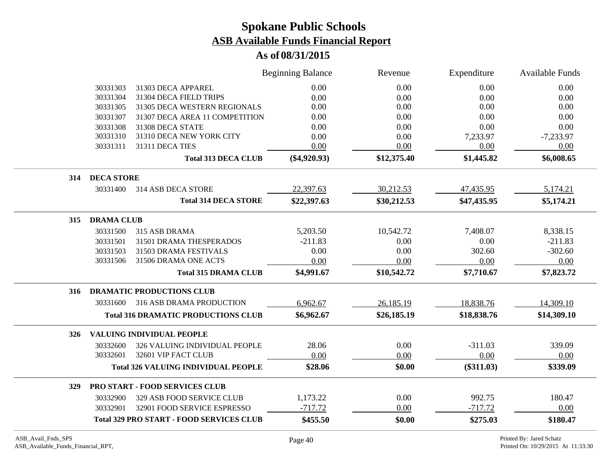|                          |                                                 | <b>Beginning Balance</b> | Revenue     | Expenditure  | <b>Available Funds</b> |
|--------------------------|-------------------------------------------------|--------------------------|-------------|--------------|------------------------|
| 30331303                 | 31303 DECA APPAREL                              | 0.00                     | 0.00        | 0.00         | 0.00                   |
| 30331304                 | 31304 DECA FIELD TRIPS                          | 0.00                     | 0.00        | 0.00         | 0.00                   |
| 30331305                 | 31305 DECA WESTERN REGIONALS                    | 0.00                     | 0.00        | 0.00         | 0.00                   |
| 30331307                 | 31307 DECA AREA 11 COMPETITION                  | 0.00                     | 0.00        | 0.00         | 0.00                   |
| 30331308                 | 31308 DECA STATE                                | 0.00                     | 0.00        | 0.00         | 0.00                   |
| 30331310                 | 31310 DECA NEW YORK CITY                        | 0.00                     | 0.00        | 7,233.97     | $-7,233.97$            |
| 30331311                 | 31311 DECA TIES                                 | 0.00                     | 0.00        | 0.00         | 0.00                   |
|                          | <b>Total 313 DECA CLUB</b>                      | $(\$4,920.93)$           | \$12,375.40 | \$1,445.82   | \$6,008.65             |
| <b>DECA STORE</b><br>314 |                                                 |                          |             |              |                        |
| 30331400                 | 314 ASB DECA STORE                              | 22,397.63                | 30,212.53   | 47,435.95    | 5,174.21               |
|                          | <b>Total 314 DECA STORE</b>                     | \$22,397.63              | \$30,212.53 | \$47,435.95  | \$5,174.21             |
| <b>DRAMA CLUB</b><br>315 |                                                 |                          |             |              |                        |
| 30331500                 | 315 ASB DRAMA                                   | 5,203.50                 | 10,542.72   | 7,408.07     | 8,338.15               |
| 30331501                 | 31501 DRAMA THESPERADOS                         | $-211.83$                | 0.00        | 0.00         | $-211.83$              |
| 30331503                 | 31503 DRAMA FESTIVALS                           | 0.00                     | 0.00        | 302.60       | $-302.60$              |
| 30331506                 | 31506 DRAMA ONE ACTS                            | 0.00                     | 0.00        | 0.00         | 0.00                   |
|                          | <b>Total 315 DRAMA CLUB</b>                     | \$4,991.67               | \$10,542.72 | \$7,710.67   | \$7,823.72             |
| 316                      | <b>DRAMATIC PRODUCTIONS CLUB</b>                |                          |             |              |                        |
| 30331600                 | <b>316 ASB DRAMA PRODUCTION</b>                 | 6,962.67                 | 26,185.19   | 18,838.76    | 14,309.10              |
|                          | <b>Total 316 DRAMATIC PRODUCTIONS CLUB</b>      | \$6,962.67               | \$26,185.19 | \$18,838.76  | \$14,309.10            |
| 326                      | VALUING INDIVIDUAL PEOPLE                       |                          |             |              |                        |
| 30332600                 | 326 VALUING INDIVIDUAL PEOPLE                   | 28.06                    | 0.00        | $-311.03$    | 339.09                 |
| 30332601                 | 32601 VIP FACT CLUB                             | 0.00                     | 0.00        | 0.00         | 0.00                   |
|                          | <b>Total 326 VALUING INDIVIDUAL PEOPLE</b>      | \$28.06                  | \$0.00      | $(\$311.03)$ | \$339.09               |
| <b>329</b>               | <b>PRO START - FOOD SERVICES CLUB</b>           |                          |             |              |                        |
| 30332900                 | 329 ASB FOOD SERVICE CLUB                       | 1,173.22                 | 0.00        | 992.75       | 180.47                 |
| 30332901                 | 32901 FOOD SERVICE ESPRESSO                     | $-717.72$                | 0.00        | $-717.72$    | 0.00                   |
|                          | <b>Total 329 PRO START - FOOD SERVICES CLUB</b> | \$455.50                 | \$0.00      | \$275.03     | \$180.47               |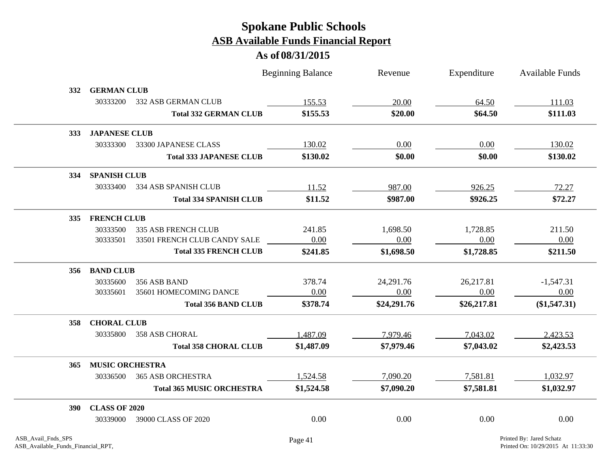|            |                        |                                  | <b>Beginning Balance</b> | Revenue     | Expenditure | <b>Available Funds</b> |
|------------|------------------------|----------------------------------|--------------------------|-------------|-------------|------------------------|
| <b>332</b> | <b>GERMAN CLUB</b>     |                                  |                          |             |             |                        |
|            | 30333200               | 332 ASB GERMAN CLUB              | 155.53                   | 20.00       | 64.50       | 111.03                 |
|            |                        | <b>Total 332 GERMAN CLUB</b>     | \$155.53                 | \$20.00     | \$64.50     | \$111.03               |
| <b>333</b> | <b>JAPANESE CLUB</b>   |                                  |                          |             |             |                        |
|            | 30333300               | 33300 JAPANESE CLASS             | 130.02                   | 0.00        | 0.00        | 130.02                 |
|            |                        | <b>Total 333 JAPANESE CLUB</b>   | \$130.02                 | \$0.00      | \$0.00      | \$130.02               |
| 334        | <b>SPANISH CLUB</b>    |                                  |                          |             |             |                        |
|            | 30333400               | 334 ASB SPANISH CLUB             | 11.52                    | 987.00      | 926.25      | 72.27                  |
|            |                        | <b>Total 334 SPANISH CLUB</b>    | \$11.52                  | \$987.00    | \$926.25    | \$72.27                |
| 335        | <b>FRENCH CLUB</b>     |                                  |                          |             |             |                        |
|            | 30333500               | <b>335 ASB FRENCH CLUB</b>       | 241.85                   | 1,698.50    | 1,728.85    | 211.50                 |
|            | 30333501               | 33501 FRENCH CLUB CANDY SALE     | 0.00                     | 0.00        | 0.00        | 0.00                   |
|            |                        | <b>Total 335 FRENCH CLUB</b>     | \$241.85                 | \$1,698.50  | \$1,728.85  | \$211.50               |
| 356        | <b>BAND CLUB</b>       |                                  |                          |             |             |                        |
|            | 30335600               | 356 ASB BAND                     | 378.74                   | 24,291.76   | 26,217.81   | $-1,547.31$            |
|            | 30335601               | 35601 HOMECOMING DANCE           | 0.00                     | 0.00        | 0.00        | 0.00                   |
|            |                        | <b>Total 356 BAND CLUB</b>       | \$378.74                 | \$24,291.76 | \$26,217.81 | (\$1,547.31)           |
| 358        | <b>CHORAL CLUB</b>     |                                  |                          |             |             |                        |
|            | 30335800               | <b>358 ASB CHORAL</b>            | 1,487.09                 | 7,979.46    | 7,043.02    | 2,423.53               |
|            |                        | <b>Total 358 CHORAL CLUB</b>     | \$1,487.09               | \$7,979.46  | \$7,043.02  | \$2,423.53             |
| 365        | <b>MUSIC ORCHESTRA</b> |                                  |                          |             |             |                        |
|            | 30336500               | <b>365 ASB ORCHESTRA</b>         | 1,524.58                 | 7,090.20    | 7,581.81    | 1,032.97               |
|            |                        | <b>Total 365 MUSIC ORCHESTRA</b> | \$1,524.58               | \$7,090.20  | \$7,581.81  | \$1,032.97             |
| <b>390</b> | <b>CLASS OF 2020</b>   |                                  |                          |             |             |                        |
|            | 30339000               | 39000 CLASS OF 2020              | 0.00                     | 0.00        | 0.00        | 0.00                   |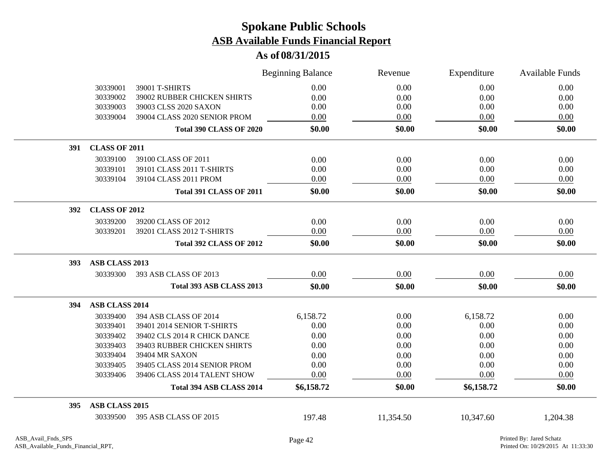|     |                       |                                 | <b>Beginning Balance</b> | Revenue   | Expenditure | Available Funds |
|-----|-----------------------|---------------------------------|--------------------------|-----------|-------------|-----------------|
|     | 30339001              | 39001 T-SHIRTS                  | 0.00                     | 0.00      | 0.00        | 0.00            |
|     | 30339002              | 39002 RUBBER CHICKEN SHIRTS     | 0.00                     | 0.00      | 0.00        | 0.00            |
|     | 30339003              | 39003 CLSS 2020 SAXON           | 0.00                     | 0.00      | 0.00        | 0.00            |
|     | 30339004              | 39004 CLASS 2020 SENIOR PROM    | 0.00                     | 0.00      | 0.00        | 0.00            |
|     |                       | <b>Total 390 CLASS OF 2020</b>  | \$0.00                   | \$0.00    | \$0.00      | \$0.00          |
| 391 | <b>CLASS OF 2011</b>  |                                 |                          |           |             |                 |
|     | 30339100              | 39100 CLASS OF 2011             | 0.00                     | 0.00      | 0.00        | 0.00            |
|     | 30339101              | 39101 CLASS 2011 T-SHIRTS       | 0.00                     | 0.00      | 0.00        | 0.00            |
|     | 30339104              | 39104 CLASS 2011 PROM           | 0.00                     | 0.00      | 0.00        | 0.00            |
|     |                       | <b>Total 391 CLASS OF 2011</b>  | \$0.00                   | \$0.00    | \$0.00      | \$0.00          |
| 392 | <b>CLASS OF 2012</b>  |                                 |                          |           |             |                 |
|     | 30339200              | 39200 CLASS OF 2012             | 0.00                     | 0.00      | 0.00        | 0.00            |
|     | 30339201              | 39201 CLASS 2012 T-SHIRTS       | 0.00                     | 0.00      | 0.00        | 0.00            |
|     |                       | <b>Total 392 CLASS OF 2012</b>  | \$0.00                   | \$0.00    | \$0.00      | \$0.00          |
| 393 | ASB CLASS 2013        |                                 |                          |           |             |                 |
|     | 30339300              | 393 ASB CLASS OF 2013           | 0.00                     | 0.00      | 0.00        | 0.00            |
|     |                       | <b>Total 393 ASB CLASS 2013</b> | \$0.00                   | \$0.00    | \$0.00      | \$0.00          |
| 394 | <b>ASB CLASS 2014</b> |                                 |                          |           |             |                 |
|     | 30339400              | 394 ASB CLASS OF 2014           | 6,158.72                 | 0.00      | 6,158.72    | 0.00            |
|     | 30339401              | 39401 2014 SENIOR T-SHIRTS      | 0.00                     | 0.00      | 0.00        | 0.00            |
|     | 30339402              | 39402 CLS 2014 R CHICK DANCE    | 0.00                     | 0.00      | 0.00        | 0.00            |
|     | 30339403              | 39403 RUBBER CHICKEN SHIRTS     | 0.00                     | 0.00      | 0.00        | 0.00            |
|     | 30339404              | 39404 MR SAXON                  | 0.00                     | 0.00      | 0.00        | 0.00            |
|     | 30339405              | 39405 CLASS 2014 SENIOR PROM    | 0.00                     | 0.00      | 0.00        | 0.00            |
|     | 30339406              | 39406 CLASS 2014 TALENT SHOW    | 0.00                     | 0.00      | 0.00        | 0.00            |
|     |                       | Total 394 ASB CLASS 2014        | \$6,158.72               | \$0.00    | \$6,158.72  | \$0.00          |
| 395 | ASB CLASS 2015        |                                 |                          |           |             |                 |
|     | 30339500              | 395 ASB CLASS OF 2015           | 197.48                   | 11,354.50 | 10,347.60   | 1,204.38        |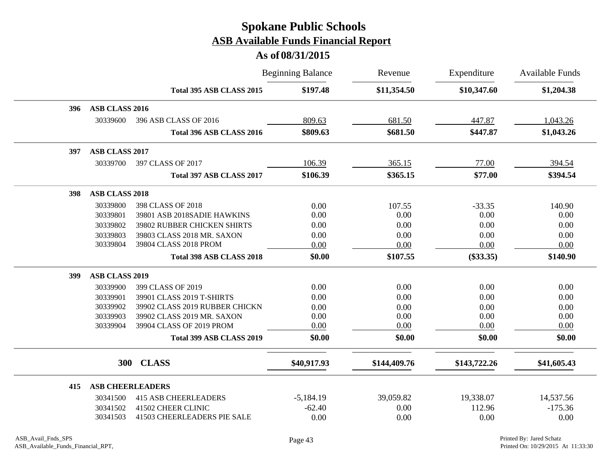|     |                         |                                | <b>Beginning Balance</b> | Revenue      | Expenditure  | <b>Available Funds</b> |
|-----|-------------------------|--------------------------------|--------------------------|--------------|--------------|------------------------|
|     |                         | Total 395 ASB CLASS 2015       | \$197.48                 | \$11,354.50  | \$10,347.60  | \$1,204.38             |
| 396 | ASB CLASS 2016          |                                |                          |              |              |                        |
|     | 30339600                | 396 ASB CLASS OF 2016          | 809.63                   | 681.50       | 447.87       | 1,043.26               |
|     |                         | Total 396 ASB CLASS 2016       | \$809.63                 | \$681.50     | \$447.87     | \$1,043.26             |
| 397 | ASB CLASS 2017          |                                |                          |              |              |                        |
|     | 30339700                | 397 CLASS OF 2017              | 106.39                   | 365.15       | 77.00        | 394.54                 |
|     |                         | Total 397 ASB CLASS 2017       | \$106.39                 | \$365.15     | \$77.00      | \$394.54               |
| 398 | <b>ASB CLASS 2018</b>   |                                |                          |              |              |                        |
|     | 30339800                | 398 CLASS OF 2018              | 0.00                     | 107.55       | $-33.35$     | 140.90                 |
|     | 30339801                | 39801 ASB 2018SADIE HAWKINS    | 0.00                     | 0.00         | 0.00         | 0.00                   |
|     | 30339802                | 39802 RUBBER CHICKEN SHIRTS    | 0.00                     | 0.00         | 0.00         | 0.00                   |
|     | 30339803                | 39803 CLASS 2018 MR. SAXON     | 0.00                     | 0.00         | 0.00         | 0.00                   |
|     | 30339804                | 39804 CLASS 2018 PROM          | 0.00                     | 0.00         | 0.00         | 0.00                   |
|     |                         | Total 398 ASB CLASS 2018       | \$0.00                   | \$107.55     | $(\$33.35)$  | \$140.90               |
| 399 | <b>ASB CLASS 2019</b>   |                                |                          |              |              |                        |
|     | 30339900                | 399 CLASS OF 2019              | 0.00                     | 0.00         | 0.00         | 0.00                   |
|     | 30339901                | 39901 CLASS 2019 T-SHIRTS      | 0.00                     | 0.00         | 0.00         | 0.00                   |
|     | 30339902                | 39902 CLASS 2019 RUBBER CHICKN | 0.00                     | 0.00         | 0.00         | 0.00                   |
|     | 30339903                | 39902 CLASS 2019 MR. SAXON     | 0.00                     | 0.00         | 0.00         | 0.00                   |
|     | 30339904                | 39904 CLASS OF 2019 PROM       | 0.00                     | 0.00         | 0.00         | 0.00                   |
|     |                         | Total 399 ASB CLASS 2019       | \$0.00                   | \$0.00       | \$0.00       | \$0.00                 |
|     | 300                     | <b>CLASS</b>                   | \$40,917.93              | \$144,409.76 | \$143,722.26 | \$41,605.43            |
|     |                         |                                |                          |              |              |                        |
| 415 | <b>ASB CHEERLEADERS</b> |                                |                          |              |              |                        |
|     | 30341500                | <b>415 ASB CHEERLEADERS</b>    | $-5,184.19$              | 39,059.82    | 19,338.07    | 14,537.56              |
|     | 30341502                | 41502 CHEER CLINIC             | $-62.40$                 | 0.00         | 112.96       | $-175.36$              |
|     | 30341503                | 41503 CHEERLEADERS PIE SALE    | 0.00                     | 0.00         | 0.00         | 0.00                   |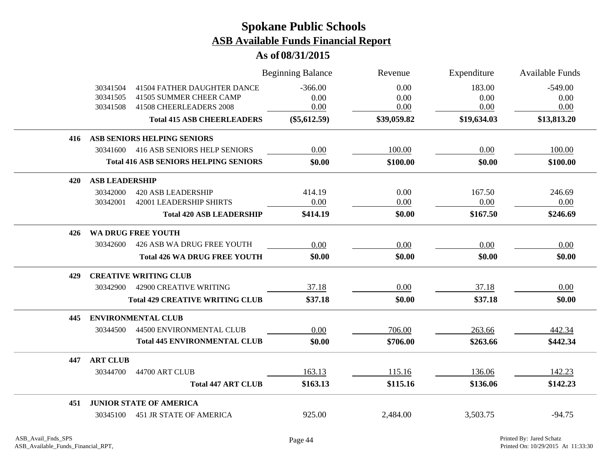|     |                                  |                                                                                   | <b>Beginning Balance</b>  | Revenue              | Expenditure            | <b>Available Funds</b>    |
|-----|----------------------------------|-----------------------------------------------------------------------------------|---------------------------|----------------------|------------------------|---------------------------|
|     | 30341504<br>30341505<br>30341508 | 41504 FATHER DAUGHTER DANCE<br>41505 SUMMER CHEER CAMP<br>41508 CHEERLEADERS 2008 | $-366.00$<br>0.00<br>0.00 | 0.00<br>0.00<br>0.00 | 183.00<br>0.00<br>0.00 | $-549.00$<br>0.00<br>0.00 |
|     |                                  | <b>Total 415 ASB CHEERLEADERS</b>                                                 | $(\$5,612.59)$            | \$39,059.82          | \$19,634.03            | \$13,813.20               |
| 416 |                                  | ASB SENIORS HELPING SENIORS                                                       |                           |                      |                        |                           |
|     | 30341600                         | 416 ASB SENIORS HELP SENIORS                                                      | 0.00                      | 100.00               | 0.00                   | 100.00                    |
|     |                                  | <b>Total 416 ASB SENIORS HELPING SENIORS</b>                                      | \$0.00                    | \$100.00             | \$0.00                 | \$100.00                  |
| 420 | <b>ASB LEADERSHIP</b>            |                                                                                   |                           |                      |                        |                           |
|     | 30342000                         | <b>420 ASB LEADERSHIP</b>                                                         | 414.19                    | 0.00                 | 167.50                 | 246.69                    |
|     | 30342001                         | <b>42001 LEADERSHIP SHIRTS</b>                                                    | 0.00                      | 0.00                 | 0.00                   | 0.00                      |
|     |                                  | <b>Total 420 ASB LEADERSHIP</b>                                                   | \$414.19                  | \$0.00               | \$167.50               | \$246.69                  |
| 426 |                                  | <b>WA DRUG FREE YOUTH</b>                                                         |                           |                      |                        |                           |
|     | 30342600                         | 426 ASB WA DRUG FREE YOUTH                                                        | 0.00                      | 0.00                 | 0.00                   | 0.00                      |
|     |                                  | <b>Total 426 WA DRUG FREE YOUTH</b>                                               | \$0.00                    | \$0.00               | \$0.00                 | \$0.00                    |
| 429 |                                  | <b>CREATIVE WRITING CLUB</b>                                                      |                           |                      |                        |                           |
|     | 30342900                         | <b>42900 CREATIVE WRITING</b>                                                     | 37.18                     | 0.00                 | 37.18                  | 0.00                      |
|     |                                  | <b>Total 429 CREATIVE WRITING CLUB</b>                                            | \$37.18                   | \$0.00               | \$37.18                | \$0.00                    |
| 445 |                                  | <b>ENVIRONMENTAL CLUB</b>                                                         |                           |                      |                        |                           |
|     | 30344500                         | 44500 ENVIRONMENTAL CLUB                                                          | 0.00                      | 706.00               | 263.66                 | 442.34                    |
|     |                                  | <b>Total 445 ENVIRONMENTAL CLUB</b>                                               | \$0.00                    | \$706.00             | \$263.66               | \$442.34                  |
| 447 | <b>ART CLUB</b>                  |                                                                                   |                           |                      |                        |                           |
|     | 30344700                         | 44700 ART CLUB                                                                    | 163.13                    | 115.16               | 136.06                 | 142.23                    |
|     |                                  | <b>Total 447 ART CLUB</b>                                                         | \$163.13                  | \$115.16             | \$136.06               | \$142.23                  |
| 451 |                                  | <b>JUNIOR STATE OF AMERICA</b>                                                    |                           |                      |                        |                           |
|     | 30345100                         | <b>451 JR STATE OF AMERICA</b>                                                    | 925.00                    | 2,484.00             | 3,503.75               | $-94.75$                  |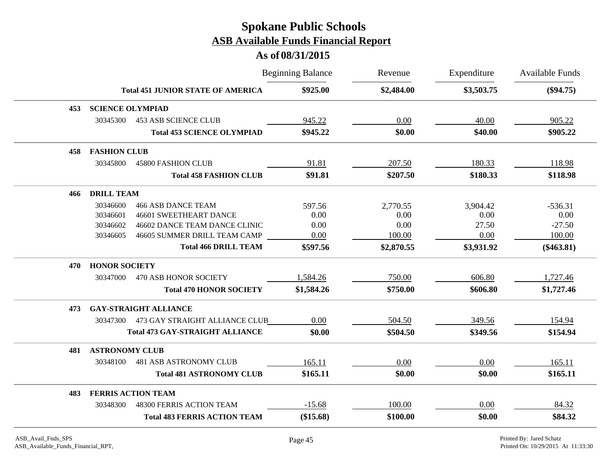|     |                           |                                          | <b>Beginning Balance</b> | Revenue    | Expenditure | Available Funds |
|-----|---------------------------|------------------------------------------|--------------------------|------------|-------------|-----------------|
|     |                           | <b>Total 451 JUNIOR STATE OF AMERICA</b> | \$925.00                 | \$2,484.00 | \$3,503.75  | $(\$94.75)$     |
| 453 | <b>SCIENCE OLYMPIAD</b>   |                                          |                          |            |             |                 |
|     | 30345300                  | <b>453 ASB SCIENCE CLUB</b>              | 945.22                   | 0.00       | 40.00       | 905.22          |
|     |                           | <b>Total 453 SCIENCE OLYMPIAD</b>        | \$945.22                 | \$0.00     | \$40.00     | \$905.22        |
| 458 | <b>FASHION CLUB</b>       |                                          |                          |            |             |                 |
|     | 30345800                  | <b>45800 FASHION CLUB</b>                | 91.81                    | 207.50     | 180.33      | 118.98          |
|     |                           | <b>Total 458 FASHION CLUB</b>            | \$91.81                  | \$207.50   | \$180.33    | \$118.98        |
| 466 | <b>DRILL TEAM</b>         |                                          |                          |            |             |                 |
|     | 30346600                  | <b>466 ASB DANCE TEAM</b>                | 597.56                   | 2,770.55   | 3,904.42    | $-536.31$       |
|     | 30346601                  | <b>46601 SWEETHEART DANCE</b>            | 0.00                     | 0.00       | 0.00        | 0.00            |
|     | 30346602                  | 46602 DANCE TEAM DANCE CLINIC            | 0.00                     | 0.00       | 27.50       | $-27.50$        |
|     | 30346605                  | 46605 SUMMER DRILL TEAM CAMP             | 0.00                     | 100.00     | 0.00        | 100.00          |
|     |                           | <b>Total 466 DRILL TEAM</b>              | \$597.56                 | \$2,870.55 | \$3,931.92  | $(\$463.81)$    |
| 470 | <b>HONOR SOCIETY</b>      |                                          |                          |            |             |                 |
|     | 30347000                  | <b>470 ASB HONOR SOCIETY</b>             | 1,584.26                 | 750.00     | 606.80      | 1,727.46        |
|     |                           | <b>Total 470 HONOR SOCIETY</b>           | \$1,584.26               | \$750.00   | \$606.80    | \$1,727.46      |
| 473 |                           | <b>GAY-STRAIGHT ALLIANCE</b>             |                          |            |             |                 |
|     | 30347300                  | 473 GAY STRAIGHT ALLIANCE CLUB           | 0.00                     | 504.50     | 349.56      | 154.94          |
|     |                           | <b>Total 473 GAY-STRAIGHT ALLIANCE</b>   | \$0.00                   | \$504.50   | \$349.56    | \$154.94        |
| 481 | <b>ASTRONOMY CLUB</b>     |                                          |                          |            |             |                 |
|     | 30348100                  | <b>481 ASB ASTRONOMY CLUB</b>            | 165.11                   | 0.00       | 0.00        | 165.11          |
|     |                           | <b>Total 481 ASTRONOMY CLUB</b>          | \$165.11                 | \$0.00     | \$0.00      | \$165.11        |
| 483 | <b>FERRIS ACTION TEAM</b> |                                          |                          |            |             |                 |
|     | 30348300                  | 48300 FERRIS ACTION TEAM                 | $-15.68$                 | 100.00     | 0.00        | 84.32           |
|     |                           | <b>Total 483 FERRIS ACTION TEAM</b>      | $(\$15.68)$              | \$100.00   | \$0.00      | \$84.32         |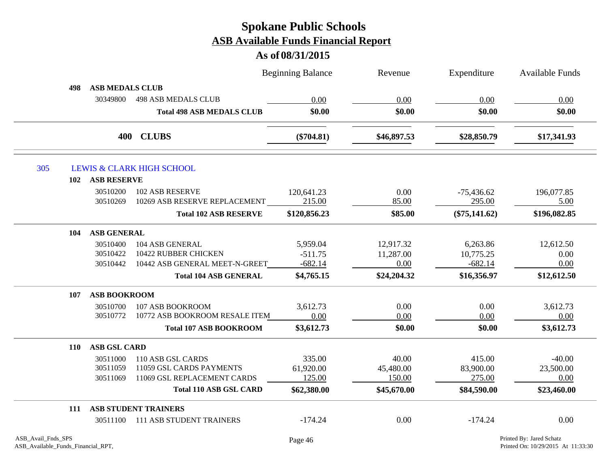|            |                                             | <b>Beginning Balance</b> | Revenue     | Expenditure     | Available Funds |
|------------|---------------------------------------------|--------------------------|-------------|-----------------|-----------------|
| 498        | <b>ASB MEDALS CLUB</b>                      |                          |             |                 |                 |
|            | <b>498 ASB MEDALS CLUB</b><br>30349800      | 0.00                     | 0.00        | 0.00            | 0.00            |
|            | <b>Total 498 ASB MEDALS CLUB</b>            | \$0.00                   | \$0.00      | \$0.00          | \$0.00          |
|            | 400 CLUBS                                   | $(\$704.81)$             | \$46,897.53 | \$28,850.79     | \$17,341.93     |
| 305        | <b>LEWIS &amp; CLARK HIGH SCHOOL</b>        |                          |             |                 |                 |
| 102        | <b>ASB RESERVE</b>                          |                          |             |                 |                 |
|            | 30510200<br>102 ASB RESERVE                 | 120,641.23               | 0.00        | $-75,436.62$    | 196,077.85      |
|            | 10269 ASB RESERVE REPLACEMENT<br>30510269   | 215.00                   | 85.00       | 295.00          | 5.00            |
|            | <b>Total 102 ASB RESERVE</b>                | \$120,856.23             | \$85.00     | $(\$75,141.62)$ | \$196,082.85    |
| 104        | <b>ASB GENERAL</b>                          |                          |             |                 |                 |
|            | 104 ASB GENERAL<br>30510400                 | 5,959.04                 | 12,917.32   | 6,263.86        | 12,612.50       |
|            | 10422 RUBBER CHICKEN<br>30510422            | $-511.75$                | 11,287.00   | 10,775.25       | 0.00            |
|            | 10442 ASB GENERAL MEET-N-GREET<br>30510442  | $-682.14$                | 0.00        | $-682.14$       | 0.00            |
|            | <b>Total 104 ASB GENERAL</b>                | \$4,765.15               | \$24,204.32 | \$16,356.97     | \$12,612.50     |
| 107        | <b>ASB BOOKROOM</b>                         |                          |             |                 |                 |
|            | 30510700<br>107 ASB BOOKROOM                | 3,612.73                 | 0.00        | 0.00            | 3,612.73        |
|            | 10772 ASB BOOKROOM RESALE ITEM<br>30510772  | 0.00                     | 0.00        | 0.00            | 0.00            |
|            | <b>Total 107 ASB BOOKROOM</b>               | \$3,612.73               | \$0.00      | \$0.00          | \$3,612.73      |
| <b>110</b> | <b>ASB GSL CARD</b>                         |                          |             |                 |                 |
|            | 30511000<br>110 ASB GSL CARDS               | 335.00                   | 40.00       | 415.00          | $-40.00$        |
|            | 11059 GSL CARDS PAYMENTS<br>30511059        | 61,920.00                | 45,480.00   | 83,900.00       | 23,500.00       |
|            | 11069 GSL REPLACEMENT CARDS<br>30511069     | 125.00                   | 150.00      | 275.00          | 0.00            |
|            | <b>Total 110 ASB GSL CARD</b>               | \$62,380.00              | \$45,670.00 | \$84,590.00     | \$23,460.00     |
| 111        | <b>ASB STUDENT TRAINERS</b>                 |                          |             |                 |                 |
|            | <b>111 ASB STUDENT TRAINERS</b><br>30511100 | $-174.24$                | 0.00        | $-174.24$       | 0.00            |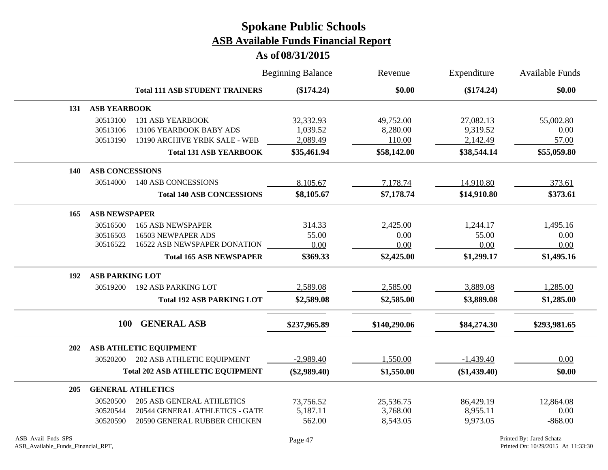|     |                        |                                         | <b>Beginning Balance</b> | Revenue      | Expenditure    | Available Funds |
|-----|------------------------|-----------------------------------------|--------------------------|--------------|----------------|-----------------|
|     |                        | <b>Total 111 ASB STUDENT TRAINERS</b>   | (\$174.24)               | \$0.00       | $(\$174.24)$   | \$0.00          |
| 131 | <b>ASB YEARBOOK</b>    |                                         |                          |              |                |                 |
|     | 30513100               | <b>131 ASB YEARBOOK</b>                 | 32,332.93                | 49,752.00    | 27,082.13      | 55,002.80       |
|     | 30513106               | 13106 YEARBOOK BABY ADS                 | 1,039.52                 | 8,280.00     | 9,319.52       | 0.00            |
|     | 30513190               | 13190 ARCHIVE YRBK SALE - WEB           | 2,089.49                 | 110.00       | 2,142.49       | 57.00           |
|     |                        | <b>Total 131 ASB YEARBOOK</b>           | \$35,461.94              | \$58,142.00  | \$38,544.14    | \$55,059.80     |
| 140 | <b>ASB CONCESSIONS</b> |                                         |                          |              |                |                 |
|     | 30514000               | 140 ASB CONCESSIONS                     | 8,105.67                 | 7,178.74     | 14,910.80      | 373.61          |
|     |                        | <b>Total 140 ASB CONCESSIONS</b>        | \$8,105.67               | \$7,178.74   | \$14,910.80    | \$373.61        |
| 165 | <b>ASB NEWSPAPER</b>   |                                         |                          |              |                |                 |
|     | 30516500               | <b>165 ASB NEWSPAPER</b>                | 314.33                   | 2,425.00     | 1,244.17       | 1,495.16        |
|     | 30516503               | 16503 NEWPAPER ADS                      | 55.00                    | 0.00         | 55.00          | 0.00            |
|     | 30516522               | 16522 ASB NEWSPAPER DONATION            | 0.00                     | 0.00         | 0.00           | 0.00            |
|     |                        | <b>Total 165 ASB NEWSPAPER</b>          | \$369.33                 | \$2,425.00   | \$1,299.17     | \$1,495.16      |
| 192 | <b>ASB PARKING LOT</b> |                                         |                          |              |                |                 |
|     | 30519200               | <b>192 ASB PARKING LOT</b>              | 2,589.08                 | 2,585.00     | 3,889.08       | 1,285.00        |
|     |                        | <b>Total 192 ASB PARKING LOT</b>        | \$2,589.08               | \$2,585.00   | \$3,889.08     | \$1,285.00      |
|     | 100                    | <b>GENERAL ASB</b>                      | \$237,965.89             | \$140,290.06 | \$84,274.30    | \$293,981.65    |
| 202 |                        | ASB ATHLETIC EQUIPMENT                  |                          |              |                |                 |
|     | 30520200               | 202 ASB ATHLETIC EQUIPMENT              | $-2,989.40$              | 1,550.00     | $-1,439.40$    | 0.00            |
|     |                        | <b>Total 202 ASB ATHLETIC EQUIPMENT</b> | $(\$2,989.40)$           | \$1,550.00   | $(\$1,439.40)$ | \$0.00          |
| 205 |                        | <b>GENERAL ATHLETICS</b>                |                          |              |                |                 |
|     | 30520500               | <b>205 ASB GENERAL ATHLETICS</b>        | 73,756.52                | 25,536.75    | 86,429.19      | 12,864.08       |
|     | 30520544               | 20544 GENERAL ATHLETICS - GATE          | 5,187.11                 | 3,768.00     | 8,955.11       | 0.00            |
|     | 30520590               | 20590 GENERAL RUBBER CHICKEN            | 562.00                   | 8,543.05     | 9,973.05       | $-868.00$       |
|     |                        |                                         |                          |              |                |                 |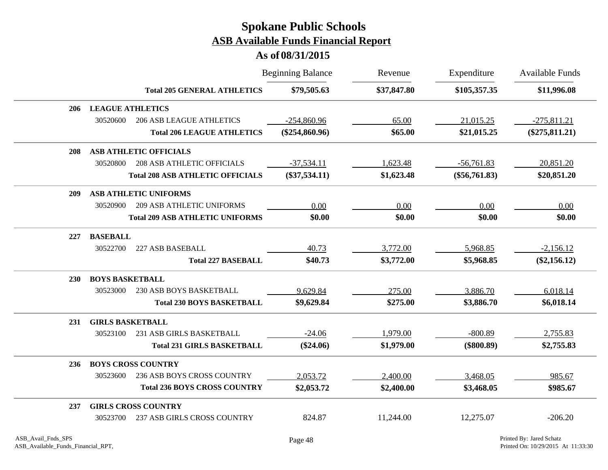|            |                                                | <b>Beginning Balance</b> | Revenue     | Expenditure     | <b>Available Funds</b> |
|------------|------------------------------------------------|--------------------------|-------------|-----------------|------------------------|
|            | <b>Total 205 GENERAL ATHLETICS</b>             | \$79,505.63              | \$37,847.80 | \$105,357.35    | \$11,996.08            |
| 206        | <b>LEAGUE ATHLETICS</b>                        |                          |             |                 |                        |
|            | 30520600<br><b>206 ASB LEAGUE ATHLETICS</b>    | $-254,860.96$            | 65.00       | 21,015.25       | $-275,811.21$          |
|            | <b>Total 206 LEAGUE ATHLETICS</b>              | $(\$254,860.96)$         | \$65.00     | \$21,015.25     | $(\$275,811.21)$       |
| 208        | <b>ASB ATHLETIC OFFICIALS</b>                  |                          |             |                 |                        |
|            | <b>208 ASB ATHLETIC OFFICIALS</b><br>30520800  | $-37,534.11$             | 1,623.48    | $-56,761.83$    | 20,851.20              |
|            | <b>Total 208 ASB ATHLETIC OFFICIALS</b>        | $(\$37,534.11)$          | \$1,623.48  | $(\$56,761.83)$ | \$20,851.20            |
| 209        | <b>ASB ATHLETIC UNIFORMS</b>                   |                          |             |                 |                        |
|            | <b>209 ASB ATHLETIC UNIFORMS</b><br>30520900   | 0.00                     | 0.00        | 0.00            | 0.00                   |
|            | <b>Total 209 ASB ATHLETIC UNIFORMS</b>         | \$0.00                   | \$0.00      | \$0.00          | \$0.00                 |
| 227        | <b>BASEBALL</b>                                |                          |             |                 |                        |
|            | 30522700<br>227 ASB BASEBALL                   | 40.73                    | 3,772.00    | 5,968.85        | $-2,156.12$            |
|            | <b>Total 227 BASEBALL</b>                      | \$40.73                  | \$3,772.00  | \$5,968.85      | $(\$2,156.12)$         |
| <b>230</b> | <b>BOYS BASKETBALL</b>                         |                          |             |                 |                        |
|            | 230 ASB BOYS BASKETBALL<br>30523000            | 9,629.84                 | 275.00      | 3,886.70        | 6,018.14               |
|            | <b>Total 230 BOYS BASKETBALL</b>               | \$9,629.84               | \$275.00    | \$3,886.70      | \$6,018.14             |
| 231        | <b>GIRLS BASKETBALL</b>                        |                          |             |                 |                        |
|            | 231 ASB GIRLS BASKETBALL<br>30523100           | $-24.06$                 | 1,979.00    | $-800.89$       | 2,755.83               |
|            | <b>Total 231 GIRLS BASKETBALL</b>              | $(\$24.06)$              | \$1,979.00  | $(\$800.89)$    | \$2,755.83             |
| 236        | <b>BOYS CROSS COUNTRY</b>                      |                          |             |                 |                        |
|            | 30523600<br>236 ASB BOYS CROSS COUNTRY         | 2,053.72                 | 2,400.00    | 3,468.05        | 985.67                 |
|            | <b>Total 236 BOYS CROSS COUNTRY</b>            | \$2,053.72               | \$2,400.00  | \$3,468.05      | \$985.67               |
| 237        | <b>GIRLS CROSS COUNTRY</b>                     |                          |             |                 |                        |
|            | <b>237 ASB GIRLS CROSS COUNTRY</b><br>30523700 | 824.87                   | 11,244.00   | 12,275.07       | $-206.20$              |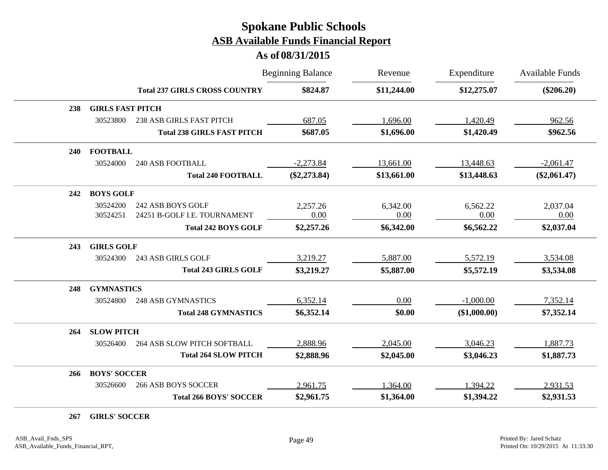#### **As of 08/31/2015**

|     |                         |                                      | <b>Beginning Balance</b> | Revenue     | Expenditure  | <b>Available Funds</b> |
|-----|-------------------------|--------------------------------------|--------------------------|-------------|--------------|------------------------|
|     |                         | <b>Total 237 GIRLS CROSS COUNTRY</b> | \$824.87                 | \$11,244.00 | \$12,275.07  | $(\$206.20)$           |
| 238 | <b>GIRLS FAST PITCH</b> |                                      |                          |             |              |                        |
|     | 30523800                | <b>238 ASB GIRLS FAST PITCH</b>      | 687.05                   | 1,696.00    | 1,420.49     | 962.56                 |
|     |                         | <b>Total 238 GIRLS FAST PITCH</b>    | \$687.05                 | \$1,696.00  | \$1,420.49   | \$962.56               |
| 240 | <b>FOOTBALL</b>         |                                      |                          |             |              |                        |
|     | 30524000                | <b>240 ASB FOOTBALL</b>              | $-2,273.84$              | 13,661.00   | 13,448.63    | $-2,061.47$            |
|     |                         | <b>Total 240 FOOTBALL</b>            | $(\$2,273.84)$           | \$13,661.00 | \$13,448.63  | $(\$2,061.47)$         |
| 242 | <b>BOYS GOLF</b>        |                                      |                          |             |              |                        |
|     | 30524200                | 242 ASB BOYS GOLF                    | 2,257.26                 | 6,342.00    | 6,562.22     | 2,037.04               |
|     | 30524251                | 24251 B-GOLF I.E. TOURNAMENT         | 0.00                     | 0.00        | 0.00         | 0.00                   |
|     |                         | <b>Total 242 BOYS GOLF</b>           | \$2,257.26               | \$6,342.00  | \$6,562.22   | \$2,037.04             |
| 243 | <b>GIRLS GOLF</b>       |                                      |                          |             |              |                        |
|     | 30524300                | 243 ASB GIRLS GOLF                   | 3,219.27                 | 5,887.00    | 5,572.19     | 3,534.08               |
|     |                         | <b>Total 243 GIRLS GOLF</b>          | \$3,219.27               | \$5,887.00  | \$5,572.19   | \$3,534.08             |
| 248 | <b>GYMNASTICS</b>       |                                      |                          |             |              |                        |
|     | 30524800                | <b>248 ASB GYMNASTICS</b>            | 6,352.14                 | 0.00        | $-1,000.00$  | 7,352.14               |
|     |                         | <b>Total 248 GYMNASTICS</b>          | \$6,352.14               | \$0.00      | (\$1,000.00) | \$7,352.14             |
| 264 | <b>SLOW PITCH</b>       |                                      |                          |             |              |                        |
|     | 30526400                | 264 ASB SLOW PITCH SOFTBALL          | 2,888.96                 | 2,045.00    | 3,046.23     | 1,887.73               |
|     |                         | <b>Total 264 SLOW PITCH</b>          | \$2,888.96               | \$2,045.00  | \$3,046.23   | \$1,887.73             |
| 266 | <b>BOYS' SOCCER</b>     |                                      |                          |             |              |                        |
|     | 30526600                | <b>266 ASB BOYS SOCCER</b>           | 2,961.75                 | 1,364.00    | 1,394.22     | 2,931.53               |
|     |                         | <b>Total 266 BOYS' SOCCER</b>        | \$2,961.75               | \$1,364.00  | \$1,394.22   | \$2,931.53             |

**267 GIRLS' SOCCER**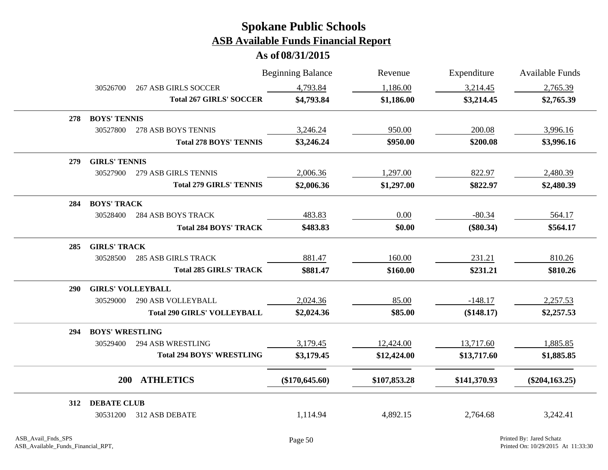|            |                          |                                    | <b>Beginning Balance</b> | Revenue      | Expenditure  | Available Funds   |
|------------|--------------------------|------------------------------------|--------------------------|--------------|--------------|-------------------|
|            | 30526700                 | <b>267 ASB GIRLS SOCCER</b>        | 4,793.84                 | 1,186.00     | 3,214.45     | 2,765.39          |
|            |                          | <b>Total 267 GIRLS' SOCCER</b>     | \$4,793.84               | \$1,186.00   | \$3,214.45   | \$2,765.39        |
| 278        | <b>BOYS' TENNIS</b>      |                                    |                          |              |              |                   |
|            | 30527800                 | 278 ASB BOYS TENNIS                | 3,246.24                 | 950.00       | 200.08       | 3,996.16          |
|            |                          | <b>Total 278 BOYS' TENNIS</b>      | \$3,246.24               | \$950.00     | \$200.08     | \$3,996.16        |
| 279        | <b>GIRLS' TENNIS</b>     |                                    |                          |              |              |                   |
|            | 30527900                 | 279 ASB GIRLS TENNIS               | 2,006.36                 | 1,297.00     | 822.97       | 2,480.39          |
|            |                          | <b>Total 279 GIRLS' TENNIS</b>     | \$2,006.36               | \$1,297.00   | \$822.97     | \$2,480.39        |
| 284        | <b>BOYS' TRACK</b>       |                                    |                          |              |              |                   |
|            | 30528400                 | <b>284 ASB BOYS TRACK</b>          | 483.83                   | 0.00         | $-80.34$     | 564.17            |
|            |                          | <b>Total 284 BOYS' TRACK</b>       | \$483.83                 | \$0.00       | $(\$80.34)$  | \$564.17          |
| 285        | <b>GIRLS' TRACK</b>      |                                    |                          |              |              |                   |
|            | 30528500                 | <b>285 ASB GIRLS TRACK</b>         | 881.47                   | 160.00       | 231.21       | 810.26            |
|            |                          | <b>Total 285 GIRLS' TRACK</b>      | \$881.47                 | \$160.00     | \$231.21     | \$810.26          |
| <b>290</b> | <b>GIRLS' VOLLEYBALL</b> |                                    |                          |              |              |                   |
|            | 30529000                 | <b>290 ASB VOLLEYBALL</b>          | 2,024.36                 | 85.00        | $-148.17$    | 2,257.53          |
|            |                          | <b>Total 290 GIRLS' VOLLEYBALL</b> | \$2,024.36               | \$85.00      | (\$148.17)   | \$2,257.53        |
| 294        | <b>BOYS' WRESTLING</b>   |                                    |                          |              |              |                   |
|            | 30529400                 | <b>294 ASB WRESTLING</b>           | 3,179.45                 | 12,424.00    | 13,717.60    | 1,885.85          |
|            |                          | <b>Total 294 BOYS' WRESTLING</b>   | \$3,179.45               | \$12,424.00  | \$13,717.60  | \$1,885.85        |
|            | <b>200</b>               | <b>ATHLETICS</b>                   | $(\$170,645.60)$         | \$107,853.28 | \$141,370.93 | $(\$204, 163.25)$ |
| 312        | <b>DEBATE CLUB</b>       |                                    |                          |              |              |                   |
|            | 30531200                 | 312 ASB DEBATE                     | 1,114.94                 | 4,892.15     | 2,764.68     | 3,242.41          |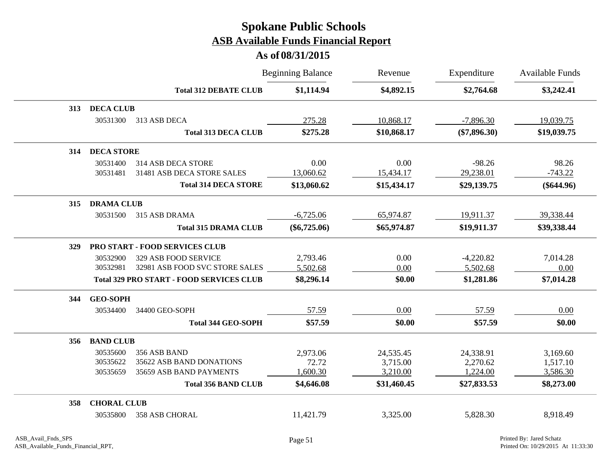|     |                    |                                                 | <b>Beginning Balance</b> | Revenue     | Expenditure    | <b>Available Funds</b> |
|-----|--------------------|-------------------------------------------------|--------------------------|-------------|----------------|------------------------|
|     |                    | <b>Total 312 DEBATE CLUB</b>                    | \$1,114.94               | \$4,892.15  | \$2,764.68     | \$3,242.41             |
| 313 | <b>DECA CLUB</b>   |                                                 |                          |             |                |                        |
|     | 30531300           | 313 ASB DECA                                    | 275.28                   | 10,868.17   | $-7,896.30$    | 19,039.75              |
|     |                    | <b>Total 313 DECA CLUB</b>                      | \$275.28                 | \$10,868.17 | $(\$7,896.30)$ | \$19,039.75            |
| 314 | <b>DECA STORE</b>  |                                                 |                          |             |                |                        |
|     | 30531400           | 314 ASB DECA STORE                              | 0.00                     | 0.00        | $-98.26$       | 98.26                  |
|     | 30531481           | 31481 ASB DECA STORE SALES                      | 13,060.62                | 15,434.17   | 29,238.01      | $-743.22$              |
|     |                    | <b>Total 314 DECA STORE</b>                     | \$13,060.62              | \$15,434.17 | \$29,139.75    | $(\$644.96)$           |
| 315 | <b>DRAMA CLUB</b>  |                                                 |                          |             |                |                        |
|     | 30531500           | 315 ASB DRAMA                                   | $-6,725.06$              | 65,974.87   | 19,911.37      | 39,338.44              |
|     |                    | <b>Total 315 DRAMA CLUB</b>                     | $(\$6,725.06)$           | \$65,974.87 | \$19,911.37    | \$39,338.44            |
| 329 |                    | <b>PRO START - FOOD SERVICES CLUB</b>           |                          |             |                |                        |
|     | 30532900           | 329 ASB FOOD SERVICE                            | 2,793.46                 | 0.00        | $-4,220.82$    | 7,014.28               |
|     | 30532981           | 32981 ASB FOOD SVC STORE SALES                  | 5,502.68                 | 0.00        | 5,502.68       | 0.00                   |
|     |                    | <b>Total 329 PRO START - FOOD SERVICES CLUB</b> | \$8,296.14               | \$0.00      | \$1,281.86     | \$7,014.28             |
| 344 | <b>GEO-SOPH</b>    |                                                 |                          |             |                |                        |
|     | 30534400           | 34400 GEO-SOPH                                  | 57.59                    | 0.00        | 57.59          | 0.00                   |
|     |                    | <b>Total 344 GEO-SOPH</b>                       | \$57.59                  | \$0.00      | \$57.59        | \$0.00                 |
|     | 356 BAND CLUB      |                                                 |                          |             |                |                        |
|     | 30535600           | 356 ASB BAND                                    | 2,973.06                 | 24,535.45   | 24,338.91      | 3,169.60               |
|     | 30535622           | 35622 ASB BAND DONATIONS                        | 72.72                    | 3,715.00    | 2,270.62       | 1,517.10               |
|     | 30535659           | 35659 ASB BAND PAYMENTS                         | 1,600.30                 | 3,210.00    | 1,224.00       | 3,586.30               |
|     |                    | <b>Total 356 BAND CLUB</b>                      | \$4,646.08               | \$31,460.45 | \$27,833.53    | \$8,273.00             |
| 358 | <b>CHORAL CLUB</b> |                                                 |                          |             |                |                        |
|     | 30535800           | 358 ASB CHORAL                                  | 11,421.79                | 3,325.00    | 5,828.30       | 8,918.49               |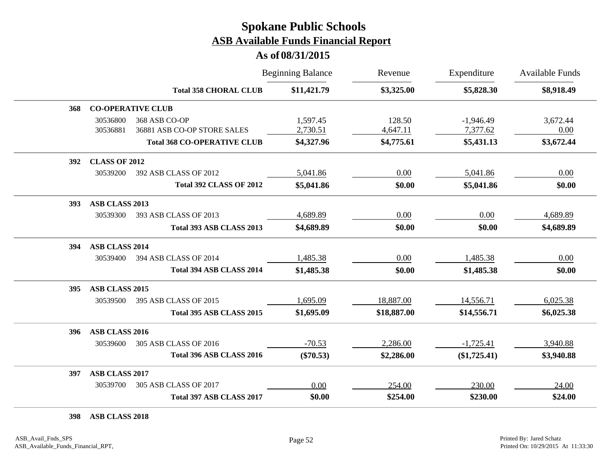#### **As of 08/31/2015**

|     |                       |                                              | <b>Beginning Balance</b> | Revenue            | Expenditure             | <b>Available Funds</b> |
|-----|-----------------------|----------------------------------------------|--------------------------|--------------------|-------------------------|------------------------|
|     |                       | <b>Total 358 CHORAL CLUB</b>                 | \$11,421.79              | \$3,325.00         | \$5,828.30              | \$8,918.49             |
| 368 |                       | <b>CO-OPERATIVE CLUB</b>                     |                          |                    |                         |                        |
|     | 30536800<br>30536881  | 368 ASB CO-OP<br>36881 ASB CO-OP STORE SALES | 1,597.45<br>2,730.51     | 128.50<br>4,647.11 | $-1,946.49$<br>7,377.62 | 3,672.44<br>0.00       |
|     |                       | <b>Total 368 CO-OPERATIVE CLUB</b>           | \$4,327.96               | \$4,775.61         | \$5,431.13              | \$3,672.44             |
| 392 | <b>CLASS OF 2012</b>  |                                              |                          |                    |                         |                        |
|     | 30539200              | 392 ASB CLASS OF 2012                        | 5,041.86                 | 0.00               | 5,041.86                | 0.00                   |
|     |                       | <b>Total 392 CLASS OF 2012</b>               | \$5,041.86               | \$0.00             | \$5,041.86              | \$0.00                 |
| 393 | <b>ASB CLASS 2013</b> |                                              |                          |                    |                         |                        |
|     | 30539300              | 393 ASB CLASS OF 2013                        | 4,689.89                 | 0.00               | 0.00                    | 4,689.89               |
|     |                       | <b>Total 393 ASB CLASS 2013</b>              | \$4,689.89               | \$0.00             | \$0.00                  | \$4,689.89             |
| 394 | <b>ASB CLASS 2014</b> |                                              |                          |                    |                         |                        |
|     | 30539400              | 394 ASB CLASS OF 2014                        | 1,485.38                 | 0.00               | 1,485.38                | 0.00                   |
|     |                       | Total 394 ASB CLASS 2014                     | \$1,485.38               | \$0.00             | \$1,485.38              | \$0.00                 |
| 395 | ASB CLASS 2015        |                                              |                          |                    |                         |                        |
|     | 30539500              | 395 ASB CLASS OF 2015                        | 1,695.09                 | 18,887.00          | 14,556.71               | 6,025.38               |
|     |                       | Total 395 ASB CLASS 2015                     | \$1,695.09               | \$18,887.00        | \$14,556.71             | \$6,025.38             |
| 396 | ASB CLASS 2016        |                                              |                          |                    |                         |                        |
|     | 30539600              | 305 ASB CLASS OF 2016                        | $-70.53$                 | 2,286.00           | $-1,725.41$             | 3,940.88               |
|     |                       | Total 396 ASB CLASS 2016                     | $(\$70.53)$              | \$2,286.00         | $(\$1,725.41)$          | \$3,940.88             |
| 397 | <b>ASB CLASS 2017</b> |                                              |                          |                    |                         |                        |
|     | 30539700              | 305 ASB CLASS OF 2017                        | 0.00                     | 254.00             | 230.00                  | 24.00                  |
|     |                       | Total 397 ASB CLASS 2017                     | \$0.00                   | \$254.00           | \$230.00                | \$24.00                |

**398 ASB CLASS 2018**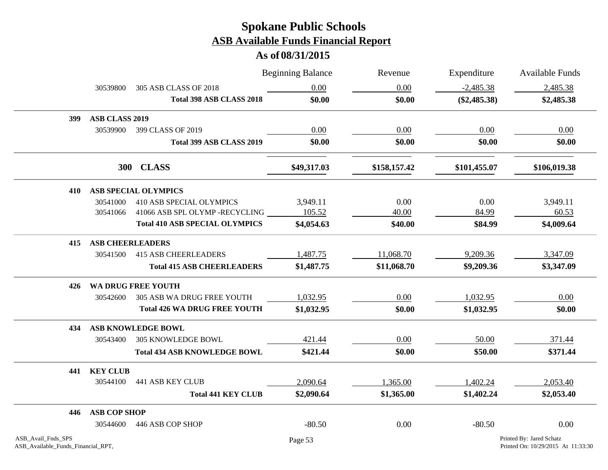|                                                          |                         |                                       | <b>Beginning Balance</b> | Revenue      | Expenditure    | Available Funds                                                |
|----------------------------------------------------------|-------------------------|---------------------------------------|--------------------------|--------------|----------------|----------------------------------------------------------------|
|                                                          | 30539800                | 305 ASB CLASS OF 2018                 | 0.00                     | 0.00         | $-2,485.38$    | 2,485.38                                                       |
|                                                          |                         | Total 398 ASB CLASS 2018              | \$0.00                   | \$0.00       | $(\$2,485.38)$ | \$2,485.38                                                     |
| 399                                                      | <b>ASB CLASS 2019</b>   |                                       |                          |              |                |                                                                |
|                                                          | 30539900                | 399 CLASS OF 2019                     | 0.00                     | 0.00         | 0.00           | 0.00                                                           |
|                                                          |                         | Total 399 ASB CLASS 2019              | \$0.00                   | \$0.00       | \$0.00         | \$0.00                                                         |
|                                                          |                         | 300 CLASS                             | \$49,317.03              | \$158,157.42 | \$101,455.07   | \$106,019.38                                                   |
| 410                                                      |                         | <b>ASB SPECIAL OLYMPICS</b>           |                          |              |                |                                                                |
|                                                          | 30541000                | <b>410 ASB SPECIAL OLYMPICS</b>       | 3,949.11                 | 0.00         | 0.00           | 3,949.11                                                       |
|                                                          | 30541066                | 41066 ASB SPL OLYMP -RECYCLING        | 105.52                   | 40.00        | 84.99          | 60.53                                                          |
|                                                          |                         | <b>Total 410 ASB SPECIAL OLYMPICS</b> | \$4,054.63               | \$40.00      | \$84.99        | \$4,009.64                                                     |
| 415                                                      | <b>ASB CHEERLEADERS</b> |                                       |                          |              |                |                                                                |
|                                                          | 30541500                | <b>415 ASB CHEERLEADERS</b>           | 1,487.75                 | 11,068.70    | 9,209.36       | 3,347.09                                                       |
|                                                          |                         | <b>Total 415 ASB CHEERLEADERS</b>     | \$1,487.75               | \$11,068.70  | \$9,209.36     | \$3,347.09                                                     |
| 426.                                                     |                         | WA DRUG FREE YOUTH                    |                          |              |                |                                                                |
|                                                          | 30542600                | 305 ASB WA DRUG FREE YOUTH            | 1,032.95                 | 0.00         | 1,032.95       | 0.00                                                           |
|                                                          |                         | <b>Total 426 WA DRUG FREE YOUTH</b>   | \$1,032.95               | \$0.00       | \$1,032.95     | \$0.00                                                         |
| 434                                                      |                         | ASB KNOWLEDGE BOWL                    |                          |              |                |                                                                |
|                                                          | 30543400                | <b>305 KNOWLEDGE BOWL</b>             | 421.44                   | 0.00         | 50.00          | 371.44                                                         |
|                                                          |                         | <b>Total 434 ASB KNOWLEDGE BOWL</b>   | \$421.44                 | \$0.00       | \$50.00        | \$371.44                                                       |
| 441                                                      | <b>KEY CLUB</b>         |                                       |                          |              |                |                                                                |
|                                                          | 30544100                | <b>441 ASB KEY CLUB</b>               | 2,090.64                 | 1,365.00     | 1,402.24       | 2,053.40                                                       |
|                                                          |                         | <b>Total 441 KEY CLUB</b>             | \$2,090.64               | \$1,365.00   | \$1,402.24     | \$2,053.40                                                     |
| 446                                                      | <b>ASB COP SHOP</b>     |                                       |                          |              |                |                                                                |
|                                                          | 30544600                | 446 ASB COP SHOP                      | $-80.50$                 | 0.00         | $-80.50$       | 0.00                                                           |
| ASB_Avail_Fnds_SPS<br>ASB_Available_Funds_Financial_RPT, |                         |                                       | Page 53                  |              |                | Printed By: Jared Schatz<br>Printed On: 10/29/2015 At 11:33:30 |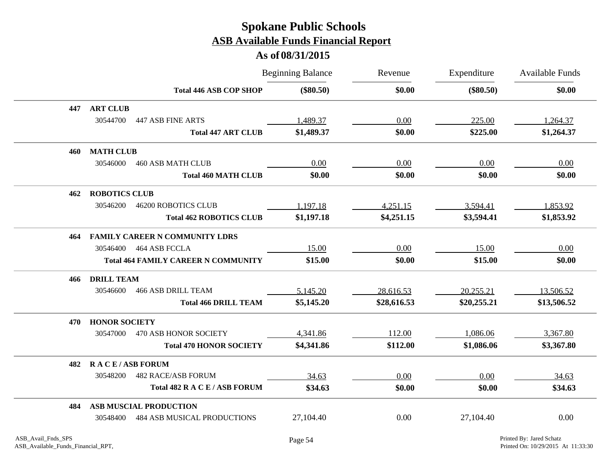|     |                       |                                            | <b>Beginning Balance</b> | Revenue     | Expenditure | Available Funds |
|-----|-----------------------|--------------------------------------------|--------------------------|-------------|-------------|-----------------|
|     |                       | <b>Total 446 ASB COP SHOP</b>              | $(\$80.50)$              | \$0.00      | $(\$80.50)$ | \$0.00          |
| 447 | <b>ART CLUB</b>       |                                            |                          |             |             |                 |
|     | 30544700              | <b>447 ASB FINE ARTS</b>                   | 1,489.37                 | 0.00        | 225.00      | 1,264.37        |
|     |                       | <b>Total 447 ART CLUB</b>                  | \$1,489.37               | \$0.00      | \$225.00    | \$1,264.37      |
| 460 | <b>MATH CLUB</b>      |                                            |                          |             |             |                 |
|     | 30546000              | <b>460 ASB MATH CLUB</b>                   | 0.00                     | 0.00        | 0.00        | 0.00            |
|     |                       | <b>Total 460 MATH CLUB</b>                 | \$0.00                   | \$0.00      | \$0.00      | \$0.00          |
| 462 | <b>ROBOTICS CLUB</b>  |                                            |                          |             |             |                 |
|     | 30546200              | <b>46200 ROBOTICS CLUB</b>                 | 1,197.18                 | 4,251.15    | 3,594.41    | 1,853.92        |
|     |                       | <b>Total 462 ROBOTICS CLUB</b>             | \$1,197.18               | \$4,251.15  | \$3,594.41  | \$1,853.92      |
| 464 |                       | <b>FAMILY CAREER N COMMUNITY LDRS</b>      |                          |             |             |                 |
|     | 30546400              | 464 ASB FCCLA                              | 15.00                    | 0.00        | 15.00       | 0.00            |
|     |                       | <b>Total 464 FAMILY CAREER N COMMUNITY</b> | \$15.00                  | \$0.00      | \$15.00     | \$0.00          |
| 466 | <b>DRILL TEAM</b>     |                                            |                          |             |             |                 |
|     | 30546600              | <b>466 ASB DRILL TEAM</b>                  | 5,145.20                 | 28,616.53   | 20,255.21   | 13,506.52       |
|     |                       | <b>Total 466 DRILL TEAM</b>                | \$5,145.20               | \$28,616.53 | \$20,255.21 | \$13,506.52     |
| 470 | <b>HONOR SOCIETY</b>  |                                            |                          |             |             |                 |
|     | 30547000              | 470 ASB HONOR SOCIETY                      | 4,341.86                 | 112.00      | 1,086.06    | 3,367.80        |
|     |                       | <b>Total 470 HONOR SOCIETY</b>             | \$4,341.86               | \$112.00    | \$1,086.06  | \$3,367.80      |
| 482 | <b>RACE/ASB FORUM</b> |                                            |                          |             |             |                 |
|     | 30548200              | <b>482 RACE/ASB FORUM</b>                  | 34.63                    | 0.00        | 0.00        | 34.63           |
|     |                       | Total 482 R A C E / ASB FORUM              | \$34.63                  | \$0.00      | \$0.00      | \$34.63         |
| 484 |                       | <b>ASB MUSCIAL PRODUCTION</b>              |                          |             |             |                 |
|     | 30548400              | <b>484 ASB MUSICAL PRODUCTIONS</b>         | 27,104.40                | 0.00        | 27,104.40   | 0.00            |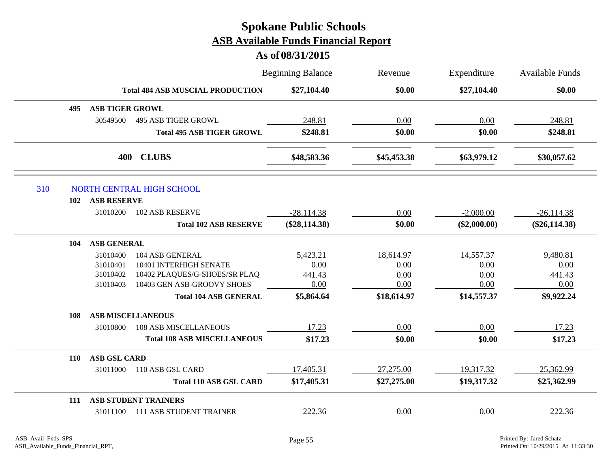|     |            |                        |                                         | <b>Beginning Balance</b> | Revenue     | Expenditure    | <b>Available Funds</b> |
|-----|------------|------------------------|-----------------------------------------|--------------------------|-------------|----------------|------------------------|
|     |            |                        | <b>Total 484 ASB MUSCIAL PRODUCTION</b> | \$27,104.40              | \$0.00      | \$27,104.40    | \$0.00                 |
|     | 495        | <b>ASB TIGER GROWL</b> |                                         |                          |             |                |                        |
|     |            | 30549500               | <b>495 ASB TIGER GROWL</b>              | 248.81                   | 0.00        | 0.00           | 248.81                 |
|     |            |                        | <b>Total 495 ASB TIGER GROWL</b>        | \$248.81                 | \$0.00      | \$0.00         | \$248.81               |
|     |            | 400                    | <b>CLUBS</b>                            | \$48,583.36              | \$45,453.38 | \$63,979.12    | \$30,057.62            |
| 310 |            |                        | NORTH CENTRAL HIGH SCHOOL               |                          |             |                |                        |
|     | 102        | <b>ASB RESERVE</b>     |                                         |                          |             |                |                        |
|     |            | 31010200               | <b>102 ASB RESERVE</b>                  | $-28,114.38$             | 0.00        | $-2,000.00$    | $-26,114.38$           |
|     |            |                        | <b>Total 102 ASB RESERVE</b>            | $(\$28,114.38)$          | \$0.00      | $(\$2,000.00)$ | $(\$26,114.38)$        |
|     | 104        | <b>ASB GENERAL</b>     |                                         |                          |             |                |                        |
|     |            | 31010400               | 104 ASB GENERAL                         | 5,423.21                 | 18,614.97   | 14,557.37      | 9,480.81               |
|     |            | 31010401               | 10401 INTERHIGH SENATE                  | 0.00                     | 0.00        | 0.00           | 0.00                   |
|     |            | 31010402               | 10402 PLAQUES/G-SHOES/SR PLAQ           | 441.43                   | 0.00        | 0.00           | 441.43                 |
|     |            | 31010403               | 10403 GEN ASB-GROOVY SHOES              | 0.00                     | 0.00        | 0.00           | 0.00                   |
|     |            |                        | <b>Total 104 ASB GENERAL</b>            | \$5,864.64               | \$18,614.97 | \$14,557.37    | \$9,922.24             |
|     | 108        |                        | <b>ASB MISCELLANEOUS</b>                |                          |             |                |                        |
|     |            | 31010800               | <b>108 ASB MISCELLANEOUS</b>            | 17.23                    | 0.00        | 0.00           | 17.23                  |
|     |            |                        | <b>Total 108 ASB MISCELLANEOUS</b>      | \$17.23                  | \$0.00      | \$0.00         | \$17.23                |
|     | <b>110</b> | <b>ASB GSL CARD</b>    |                                         |                          |             |                |                        |
|     |            | 31011000               | 110 ASB GSL CARD                        | 17,405.31                | 27,275.00   | 19,317.32      | 25,362.99              |
|     |            |                        | <b>Total 110 ASB GSL CARD</b>           | \$17,405.31              | \$27,275.00 | \$19,317.32    | \$25,362.99            |
|     | <b>111</b> |                        | <b>ASB STUDENT TRAINERS</b>             |                          |             |                |                        |
|     |            | 31011100               | <b>111 ASB STUDENT TRAINER</b>          | 222.36                   | 0.00        | 0.00           | 222.36                 |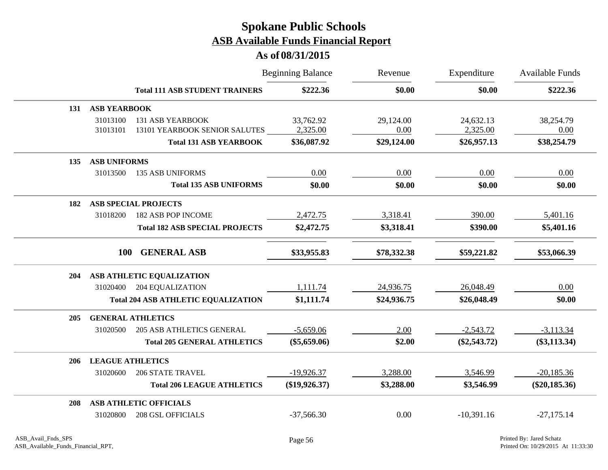|     |                         |                                            | <b>Beginning Balance</b> | Revenue     | Expenditure    | <b>Available Funds</b> |
|-----|-------------------------|--------------------------------------------|--------------------------|-------------|----------------|------------------------|
|     |                         | <b>Total 111 ASB STUDENT TRAINERS</b>      | \$222.36                 | \$0.00      | \$0.00         | \$222.36               |
| 131 | <b>ASB YEARBOOK</b>     |                                            |                          |             |                |                        |
|     | 31013100                | <b>131 ASB YEARBOOK</b>                    | 33,762.92                | 29,124.00   | 24,632.13      | 38,254.79              |
|     | 31013101                | 13101 YEARBOOK SENIOR SALUTES              | 2,325.00                 | 0.00        | 2,325.00       | 0.00                   |
|     |                         | <b>Total 131 ASB YEARBOOK</b>              | \$36,087.92              | \$29,124.00 | \$26,957.13    | \$38,254.79            |
| 135 | <b>ASB UNIFORMS</b>     |                                            |                          |             |                |                        |
|     | 31013500                | <b>135 ASB UNIFORMS</b>                    | 0.00                     | 0.00        | 0.00           | 0.00                   |
|     |                         | <b>Total 135 ASB UNIFORMS</b>              | \$0.00                   | \$0.00      | \$0.00         | \$0.00                 |
| 182 |                         | <b>ASB SPECIAL PROJECTS</b>                |                          |             |                |                        |
|     | 31018200                | <b>182 ASB POP INCOME</b>                  | 2,472.75                 | 3,318.41    | 390.00         | 5,401.16               |
|     |                         | <b>Total 182 ASB SPECIAL PROJECTS</b>      | \$2,472.75               | \$3,318.41  | \$390.00       | \$5,401.16             |
|     | <b>100</b>              | <b>GENERAL ASB</b>                         | \$33,955.83              | \$78,332.38 | \$59,221.82    | \$53,066.39            |
| 204 |                         | ASB ATHLETIC EQUALIZATION                  |                          |             |                |                        |
|     |                         | 31020400 204 EQUALIZATION                  | 1,111.74                 | 24,936.75   | 26,048.49      | 0.00                   |
|     |                         | <b>Total 204 ASB ATHLETIC EQUALIZATION</b> | \$1,111.74               | \$24,936.75 | \$26,048.49    | \$0.00                 |
| 205 |                         | <b>GENERAL ATHLETICS</b>                   |                          |             |                |                        |
|     | 31020500                | <b>205 ASB ATHLETICS GENERAL</b>           | $-5,659.06$              | 2.00        | $-2,543.72$    | $-3,113.34$            |
|     |                         | <b>Total 205 GENERAL ATHLETICS</b>         | $(\$5,659.06)$           | \$2.00      | $(\$2,543.72)$ | $(\$3,113.34)$         |
| 206 | <b>LEAGUE ATHLETICS</b> |                                            |                          |             |                |                        |
|     | 31020600                | <b>206 STATE TRAVEL</b>                    | $-19,926.37$             | 3,288.00    | 3,546.99       | $-20,185.36$           |
|     |                         | <b>Total 206 LEAGUE ATHLETICS</b>          | $(\$19,926.37)$          | \$3,288.00  | \$3,546.99     | $(\$20,185.36)$        |
| 208 |                         | <b>ASB ATHLETIC OFFICIALS</b>              |                          |             |                |                        |
|     | 31020800                | <b>208 GSL OFFICIALS</b>                   | $-37,566.30$             | 0.00        | $-10,391.16$   | $-27,175.14$           |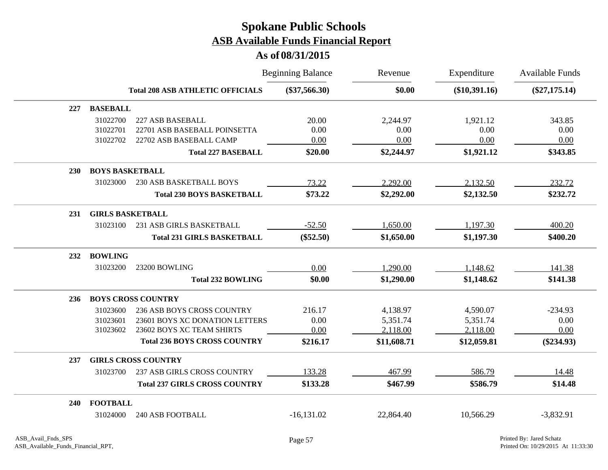|            |                         |                                         | <b>Beginning Balance</b> | Revenue     | Expenditure     | <b>Available Funds</b> |
|------------|-------------------------|-----------------------------------------|--------------------------|-------------|-----------------|------------------------|
|            |                         | <b>Total 208 ASB ATHLETIC OFFICIALS</b> | $(\$37,566.30)$          | \$0.00      | $(\$10,391.16)$ | $(\$27,175.14)$        |
| 227        | <b>BASEBALL</b>         |                                         |                          |             |                 |                        |
|            | 31022700                | 227 ASB BASEBALL                        | 20.00                    | 2,244.97    | 1,921.12        | 343.85                 |
|            | 31022701                | 22701 ASB BASEBALL POINSETTA            | 0.00                     | 0.00        | 0.00            | 0.00                   |
|            | 31022702                | 22702 ASB BASEBALL CAMP                 | 0.00                     | 0.00        | 0.00            | 0.00                   |
|            |                         | <b>Total 227 BASEBALL</b>               | \$20.00                  | \$2,244.97  | \$1,921.12      | \$343.85               |
| <b>230</b> | <b>BOYS BASKETBALL</b>  |                                         |                          |             |                 |                        |
|            | 31023000                | <b>230 ASB BASKETBALL BOYS</b>          | 73.22                    | 2,292.00    | 2,132.50        | 232.72                 |
|            |                         | <b>Total 230 BOYS BASKETBALL</b>        | \$73.22                  | \$2,292.00  | \$2,132.50      | \$232.72               |
| 231        | <b>GIRLS BASKETBALL</b> |                                         |                          |             |                 |                        |
|            | 31023100                | 231 ASB GIRLS BASKETBALL                | $-52.50$                 | 1,650.00    | 1,197.30        | 400.20                 |
|            |                         | <b>Total 231 GIRLS BASKETBALL</b>       | $(\$52.50)$              | \$1,650.00  | \$1,197.30      | \$400.20               |
| 232        | <b>BOWLING</b>          |                                         |                          |             |                 |                        |
|            | 31023200                | 23200 BOWLING                           | 0.00                     | 1,290.00    | 1,148.62        | 141.38                 |
|            |                         | <b>Total 232 BOWLING</b>                | \$0.00                   | \$1,290.00  | \$1,148.62      | \$141.38               |
| 236        |                         | <b>BOYS CROSS COUNTRY</b>               |                          |             |                 |                        |
|            | 31023600                | 236 ASB BOYS CROSS COUNTRY              | 216.17                   | 4,138.97    | 4,590.07        | $-234.93$              |
|            | 31023601                | 23601 BOYS XC DONATION LETTERS          | 0.00                     | 5,351.74    | 5,351.74        | 0.00                   |
|            | 31023602                | 23602 BOYS XC TEAM SHIRTS               | 0.00                     | 2,118.00    | 2,118.00        | 0.00                   |
|            |                         | <b>Total 236 BOYS CROSS COUNTRY</b>     | \$216.17                 | \$11,608.71 | \$12,059.81     | $(\$234.93)$           |
| 237        |                         | <b>GIRLS CROSS COUNTRY</b>              |                          |             |                 |                        |
|            | 31023700                | 237 ASB GIRLS CROSS COUNTRY             | 133.28                   | 467.99      | 586.79          | 14.48                  |
|            |                         | <b>Total 237 GIRLS CROSS COUNTRY</b>    | \$133.28                 | \$467.99    | \$586.79        | \$14.48                |
| <b>240</b> | <b>FOOTBALL</b>         |                                         |                          |             |                 |                        |
|            | 31024000                | <b>240 ASB FOOTBALL</b>                 | $-16,131.02$             | 22,864.40   | 10,566.29       | $-3,832.91$            |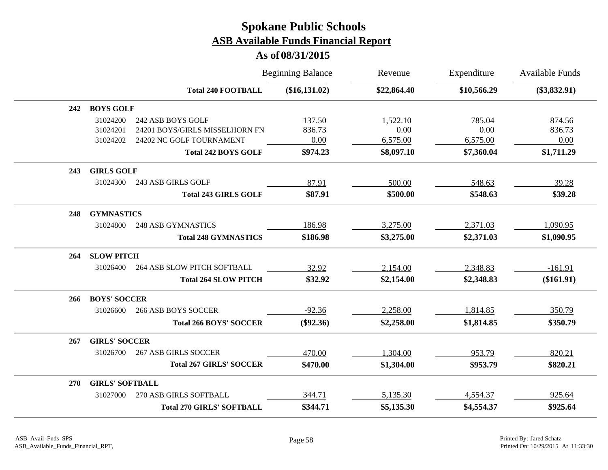|     |                        |                                                     | <b>Beginning Balance</b> | Revenue          | Expenditure    | <b>Available Funds</b> |
|-----|------------------------|-----------------------------------------------------|--------------------------|------------------|----------------|------------------------|
|     |                        | <b>Total 240 FOOTBALL</b>                           | (\$16,131.02)            | \$22,864.40      | \$10,566.29    | $(\$3,832.91)$         |
| 242 | <b>BOYS GOLF</b>       |                                                     |                          |                  |                |                        |
|     | 31024200<br>31024201   | 242 ASB BOYS GOLF<br>24201 BOYS/GIRLS MISSELHORN FN | 137.50<br>836.73         | 1,522.10<br>0.00 | 785.04<br>0.00 | 874.56<br>836.73       |
|     | 31024202               | 24202 NC GOLF TOURNAMENT                            | 0.00                     | 6,575.00         | 6,575.00       | 0.00                   |
|     |                        | <b>Total 242 BOYS GOLF</b>                          | \$974.23                 | \$8,097.10       | \$7,360.04     | \$1,711.29             |
| 243 | <b>GIRLS GOLF</b>      |                                                     |                          |                  |                |                        |
|     | 31024300               | 243 ASB GIRLS GOLF                                  | 87.91                    | 500.00           | 548.63         | 39.28                  |
|     |                        | <b>Total 243 GIRLS GOLF</b>                         | \$87.91                  | \$500.00         | \$548.63       | \$39.28                |
| 248 | <b>GYMNASTICS</b>      |                                                     |                          |                  |                |                        |
|     | 31024800               | <b>248 ASB GYMNASTICS</b>                           | 186.98                   | 3,275.00         | 2,371.03       | 1,090.95               |
|     |                        | <b>Total 248 GYMNASTICS</b>                         | \$186.98                 | \$3,275.00       | \$2,371.03     | \$1,090.95             |
| 264 | <b>SLOW PITCH</b>      |                                                     |                          |                  |                |                        |
|     | 31026400               | <b>264 ASB SLOW PITCH SOFTBALL</b>                  | 32.92                    | 2,154.00         | 2,348.83       | $-161.91$              |
|     |                        | <b>Total 264 SLOW PITCH</b>                         | \$32.92                  | \$2,154.00       | \$2,348.83     | $(\$161.91)$           |
| 266 | <b>BOYS' SOCCER</b>    |                                                     |                          |                  |                |                        |
|     | 31026600               | <b>266 ASB BOYS SOCCER</b>                          | $-92.36$                 | 2,258.00         | 1,814.85       | 350.79                 |
|     |                        | <b>Total 266 BOYS' SOCCER</b>                       | $(\$92.36)$              | \$2,258.00       | \$1,814.85     | \$350.79               |
| 267 | <b>GIRLS' SOCCER</b>   |                                                     |                          |                  |                |                        |
|     | 31026700               | <b>267 ASB GIRLS SOCCER</b>                         | 470.00                   | 1,304.00         | 953.79         | 820.21                 |
|     |                        | <b>Total 267 GIRLS' SOCCER</b>                      | \$470.00                 | \$1,304.00       | \$953.79       | \$820.21               |
| 270 | <b>GIRLS' SOFTBALL</b> |                                                     |                          |                  |                |                        |
|     | 31027000               | 270 ASB GIRLS SOFTBALL                              | 344.71                   | 5,135.30         | 4,554.37       | 925.64                 |
|     |                        | <b>Total 270 GIRLS' SOFTBALL</b>                    | \$344.71                 | \$5,135.30       | \$4,554.37     | \$925.64               |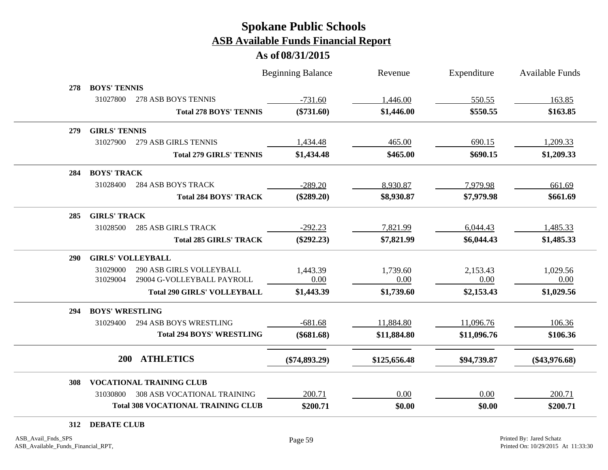**As of 08/31/2015**

|            |                                                                                   |                                | <b>Beginning Balance</b> | Revenue      | Expenditure | <b>Available Funds</b> |
|------------|-----------------------------------------------------------------------------------|--------------------------------|--------------------------|--------------|-------------|------------------------|
| 278        | <b>BOYS' TENNIS</b>                                                               |                                |                          |              |             |                        |
|            | 31027800<br>278 ASB BOYS TENNIS                                                   |                                | $-731.60$                | 1,446.00     | 550.55      | 163.85                 |
|            |                                                                                   | <b>Total 278 BOYS' TENNIS</b>  | $(\$731.60)$             | \$1,446.00   | \$550.55    | \$163.85               |
| 279        | <b>GIRLS' TENNIS</b>                                                              |                                |                          |              |             |                        |
|            | 31027900<br>279 ASB GIRLS TENNIS                                                  |                                | 1,434.48                 | 465.00       | 690.15      | 1,209.33               |
|            |                                                                                   | <b>Total 279 GIRLS' TENNIS</b> | \$1,434.48               | \$465.00     | \$690.15    | \$1,209.33             |
| 284        | <b>BOYS' TRACK</b>                                                                |                                |                          |              |             |                        |
|            | 31028400<br><b>284 ASB BOYS TRACK</b>                                             |                                | $-289.20$                | 8,930.87     | 7,979.98    | 661.69                 |
|            |                                                                                   | <b>Total 284 BOYS' TRACK</b>   | $(\$289.20)$             | \$8,930.87   | \$7,979.98  | \$661.69               |
| 285        | <b>GIRLS' TRACK</b>                                                               |                                |                          |              |             |                        |
|            | <b>285 ASB GIRLS TRACK</b><br>31028500                                            |                                | $-292.23$                | 7,821.99     | 6,044.43    | 1,485.33               |
|            |                                                                                   | <b>Total 285 GIRLS' TRACK</b>  | $(\$292.23)$             | \$7,821.99   | \$6,044.43  | \$1,485.33             |
| <b>290</b> | <b>GIRLS' VOLLEYBALL</b>                                                          |                                |                          |              |             |                        |
|            | 31029000<br><b>290 ASB GIRLS VOLLEYBALL</b>                                       |                                | 1,443.39                 | 1,739.60     | 2,153.43    | 1,029.56               |
|            | 29004 G-VOLLEYBALL PAYROLL<br>31029004                                            |                                | 0.00                     | 0.00         | 0.00        | 0.00                   |
|            | <b>Total 290 GIRLS' VOLLEYBALL</b>                                                |                                | \$1,443.39               | \$1,739.60   | \$2,153.43  | \$1,029.56             |
| 294        | <b>BOYS' WRESTLING</b>                                                            |                                |                          |              |             |                        |
|            | <b>294 ASB BOYS WRESTLING</b><br>31029400                                         |                                | $-681.68$                | 11,884.80    | 11,096.76   | 106.36                 |
|            | <b>Total 294 BOYS' WRESTLING</b>                                                  |                                | $(\$681.68)$             | \$11,884.80  | \$11,096.76 | \$106.36               |
|            | <b>ATHLETICS</b><br>200                                                           |                                | $(\$74,893.29)$          | \$125,656.48 | \$94,739.87 | $(\$43,976.68)$        |
|            |                                                                                   |                                |                          |              |             |                        |
| 308        | <b>VOCATIONAL TRAINING CLUB</b><br>31030800<br><b>308 ASB VOCATIONAL TRAINING</b> |                                | 200.71                   | 0.00         | 0.00        | 200.71                 |
|            | <b>Total 308 VOCATIONAL TRAINING CLUB</b>                                         |                                | \$200.71                 | \$0.00       | \$0.00      | \$200.71               |
|            |                                                                                   |                                |                          |              |             |                        |

**312 DEBATE CLUB**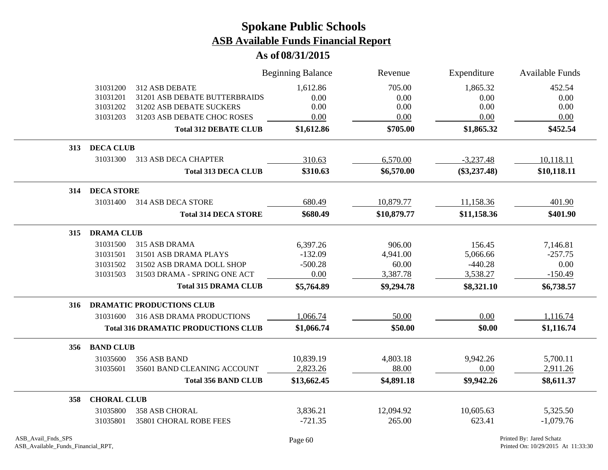|     |                    |                                            | <b>Beginning Balance</b> | Revenue     | Expenditure    | <b>Available Funds</b> |
|-----|--------------------|--------------------------------------------|--------------------------|-------------|----------------|------------------------|
|     | 31031200           | 312 ASB DEBATE                             | 1,612.86                 | 705.00      | 1,865.32       | 452.54                 |
|     | 31031201           | 31201 ASB DEBATE BUTTERBRAIDS              | 0.00                     | 0.00        | 0.00           | 0.00                   |
|     | 31031202           | 31202 ASB DEBATE SUCKERS                   | 0.00                     | 0.00        | 0.00           | 0.00                   |
|     | 31031203           | 31203 ASB DEBATE CHOC ROSES                | 0.00                     | 0.00        | 0.00           | 0.00                   |
|     |                    | <b>Total 312 DEBATE CLUB</b>               | \$1,612.86               | \$705.00    | \$1,865.32     | \$452.54               |
| 313 | <b>DECA CLUB</b>   |                                            |                          |             |                |                        |
|     | 31031300           | 313 ASB DECA CHAPTER                       | 310.63                   | 6,570.00    | $-3,237.48$    | 10,118.11              |
|     |                    | <b>Total 313 DECA CLUB</b>                 | \$310.63                 | \$6,570.00  | $(\$3,237.48)$ | \$10,118.11            |
| 314 | <b>DECA STORE</b>  |                                            |                          |             |                |                        |
|     | 31031400           | 314 ASB DECA STORE                         | 680.49                   | 10,879.77   | 11,158.36      | 401.90                 |
|     |                    | <b>Total 314 DECA STORE</b>                | \$680.49                 | \$10,879.77 | \$11,158.36    | \$401.90               |
| 315 | <b>DRAMA CLUB</b>  |                                            |                          |             |                |                        |
|     | 31031500           | 315 ASB DRAMA                              | 6,397.26                 | 906.00      | 156.45         | 7,146.81               |
|     | 31031501           | 31501 ASB DRAMA PLAYS                      | $-132.09$                | 4,941.00    | 5,066.66       | $-257.75$              |
|     | 31031502           | 31502 ASB DRAMA DOLL SHOP                  | $-500.28$                | 60.00       | $-440.28$      | 0.00                   |
|     | 31031503           | 31503 DRAMA - SPRING ONE ACT               | 0.00                     | 3,387.78    | 3,538.27       | $-150.49$              |
|     |                    | <b>Total 315 DRAMA CLUB</b>                | \$5,764.89               | \$9,294.78  | \$8,321.10     | \$6,738.57             |
| 316 |                    | <b>DRAMATIC PRODUCTIONS CLUB</b>           |                          |             |                |                        |
|     | 31031600           | <b>316 ASB DRAMA PRODUCTIONS</b>           | 1,066.74                 | 50.00       | 0.00           | 1,116.74               |
|     |                    | <b>Total 316 DRAMATIC PRODUCTIONS CLUB</b> | \$1,066.74               | \$50.00     | \$0.00         | \$1,116.74             |
| 356 | <b>BAND CLUB</b>   |                                            |                          |             |                |                        |
|     | 31035600           | 356 ASB BAND                               | 10,839.19                | 4,803.18    | 9,942.26       | 5,700.11               |
|     | 31035601           | 35601 BAND CLEANING ACCOUNT                | 2,823.26                 | 88.00       | 0.00           | 2,911.26               |
|     |                    | <b>Total 356 BAND CLUB</b>                 | \$13,662.45              | \$4,891.18  | \$9,942.26     | \$8,611.37             |
| 358 | <b>CHORAL CLUB</b> |                                            |                          |             |                |                        |
|     | 31035800           | <b>358 ASB CHORAL</b>                      | 3,836.21                 | 12,094.92   | 10,605.63      | 5,325.50               |
|     | 31035801           | 35801 CHORAL ROBE FEES                     | $-721.35$                | 265.00      | 623.41         | $-1,079.76$            |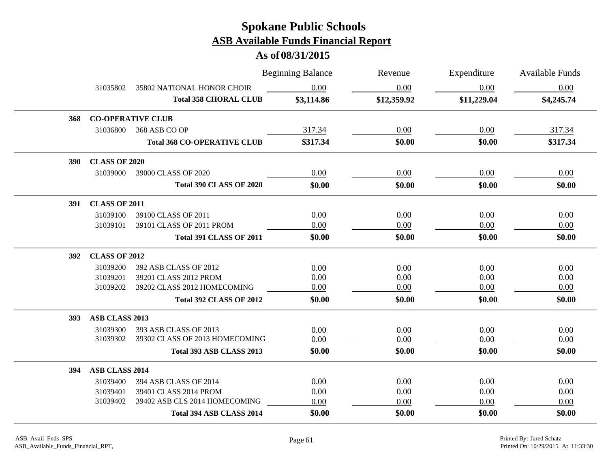|            |                      |                                    | <b>Beginning Balance</b> | Revenue     | Expenditure | Available Funds |
|------------|----------------------|------------------------------------|--------------------------|-------------|-------------|-----------------|
|            | 31035802             | 35802 NATIONAL HONOR CHOIR         | 0.00                     | 0.00        | 0.00        | 0.00            |
|            |                      | <b>Total 358 CHORAL CLUB</b>       | \$3,114.86               | \$12,359.92 | \$11,229.04 | \$4,245.74      |
| 368        |                      | <b>CO-OPERATIVE CLUB</b>           |                          |             |             |                 |
|            | 31036800             | 368 ASB CO OP                      | 317.34                   | 0.00        | 0.00        | 317.34          |
|            |                      | <b>Total 368 CO-OPERATIVE CLUB</b> | \$317.34                 | \$0.00      | \$0.00      | \$317.34        |
| <b>390</b> | <b>CLASS OF 2020</b> |                                    |                          |             |             |                 |
|            |                      | 31039000 39000 CLASS OF 2020       | 0.00                     | 0.00        | 0.00        | 0.00            |
|            |                      | Total 390 CLASS OF 2020            | \$0.00                   | \$0.00      | \$0.00      | \$0.00          |
|            | 391 CLASS OF 2011    |                                    |                          |             |             |                 |
|            | 31039100             | 39100 CLASS OF 2011                | 0.00                     | 0.00        | 0.00        | 0.00            |
|            | 31039101             | 39101 CLASS OF 2011 PROM           | 0.00                     | 0.00        | 0.00        | 0.00            |
|            |                      | <b>Total 391 CLASS OF 2011</b>     | \$0.00                   | \$0.00      | \$0.00      | \$0.00          |
| 392        | <b>CLASS OF 2012</b> |                                    |                          |             |             |                 |
|            | 31039200             | 392 ASB CLASS OF 2012              | 0.00                     | 0.00        | 0.00        | 0.00            |
|            | 31039201             | 39201 CLASS 2012 PROM              | 0.00                     | 0.00        | 0.00        | 0.00            |
|            | 31039202             | 39202 CLASS 2012 HOMECOMING        | 0.00                     | 0.00        | 0.00        | 0.00            |
|            |                      | <b>Total 392 CLASS OF 2012</b>     | \$0.00                   | \$0.00      | \$0.00      | \$0.00          |
| 393        | ASB CLASS 2013       |                                    |                          |             |             |                 |
|            | 31039300             | 393 ASB CLASS OF 2013              | 0.00                     | 0.00        | 0.00        | 0.00            |
|            | 31039302             | 39302 CLASS OF 2013 HOMECOMING     | 0.00                     | 0.00        | 0.00        | 0.00            |
|            |                      | Total 393 ASB CLASS 2013           | \$0.00                   | \$0.00      | \$0.00      | \$0.00          |
| 394        | ASB CLASS 2014       |                                    |                          |             |             |                 |
|            | 31039400             | 394 ASB CLASS OF 2014              | 0.00                     | 0.00        | 0.00        | 0.00            |
|            | 31039401             | 39401 CLASS 2014 PROM              | 0.00                     | 0.00        | 0.00        | 0.00            |
|            | 31039402             | 39402 ASB CLS 2014 HOMECOMING      | 0.00                     | 0.00        | 0.00        | 0.00            |
|            |                      | Total 394 ASB CLASS 2014           | \$0.00                   | \$0.00      | \$0.00      | \$0.00          |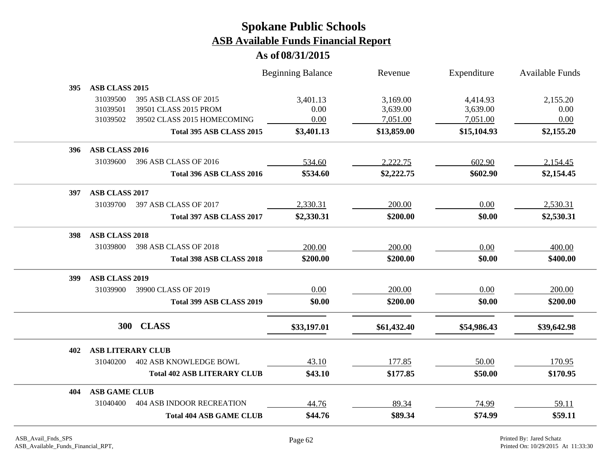|     |                          |                                    | <b>Beginning Balance</b> | Revenue     | Expenditure | <b>Available Funds</b> |
|-----|--------------------------|------------------------------------|--------------------------|-------------|-------------|------------------------|
| 395 | ASB CLASS 2015           |                                    |                          |             |             |                        |
|     | 31039500                 | 395 ASB CLASS OF 2015              | 3,401.13                 | 3,169.00    | 4,414.93    | 2,155.20               |
|     | 31039501                 | 39501 CLASS 2015 PROM              | 0.00                     | 3,639.00    | 3,639.00    | 0.00                   |
|     | 31039502                 | 39502 CLASS 2015 HOMECOMING        | 0.00                     | 7,051.00    | 7,051.00    | 0.00                   |
|     |                          | Total 395 ASB CLASS 2015           | \$3,401.13               | \$13,859.00 | \$15,104.93 | \$2,155.20             |
| 396 | ASB CLASS 2016           |                                    |                          |             |             |                        |
|     | 31039600                 | 396 ASB CLASS OF 2016              | 534.60                   | 2,222.75    | 602.90      | 2,154.45               |
|     |                          | Total 396 ASB CLASS 2016           | \$534.60                 | \$2,222.75  | \$602.90    | \$2,154.45             |
| 397 | ASB CLASS 2017           |                                    |                          |             |             |                        |
|     | 31039700                 | 397 ASB CLASS OF 2017              | 2,330.31                 | 200.00      | 0.00        | 2,530.31               |
|     |                          | Total 397 ASB CLASS 2017           | \$2,330.31               | \$200.00    | \$0.00      | \$2,530.31             |
| 398 | <b>ASB CLASS 2018</b>    |                                    |                          |             |             |                        |
|     | 31039800                 | 398 ASB CLASS OF 2018              | 200.00                   | 200.00      | 0.00        | 400.00                 |
|     |                          | <b>Total 398 ASB CLASS 2018</b>    | \$200.00                 | \$200.00    | \$0.00      | \$400.00               |
| 399 | ASB CLASS 2019           |                                    |                          |             |             |                        |
|     | 31039900                 | 39900 CLASS OF 2019                | 0.00                     | 200.00      | 0.00        | 200.00                 |
|     |                          | Total 399 ASB CLASS 2019           | \$0.00                   | \$200.00    | \$0.00      | \$200.00               |
|     | 300                      | <b>CLASS</b>                       |                          |             |             |                        |
|     |                          |                                    | \$33,197.01              | \$61,432.40 | \$54,986.43 | \$39,642.98            |
| 402 | <b>ASB LITERARY CLUB</b> |                                    |                          |             |             |                        |
|     | 31040200                 | <b>402 ASB KNOWLEDGE BOWL</b>      | 43.10                    | 177.85      | 50.00       | 170.95                 |
|     |                          | <b>Total 402 ASB LITERARY CLUB</b> | \$43.10                  | \$177.85    | \$50.00     | \$170.95               |
| 404 | <b>ASB GAME CLUB</b>     |                                    |                          |             |             |                        |
|     | 31040400                 | <b>404 ASB INDOOR RECREATION</b>   | 44.76                    | 89.34       | 74.99       | 59.11                  |
|     |                          | <b>Total 404 ASB GAME CLUB</b>     | \$44.76                  | \$89.34     | \$74.99     | \$59.11                |
|     |                          |                                    |                          |             |             |                        |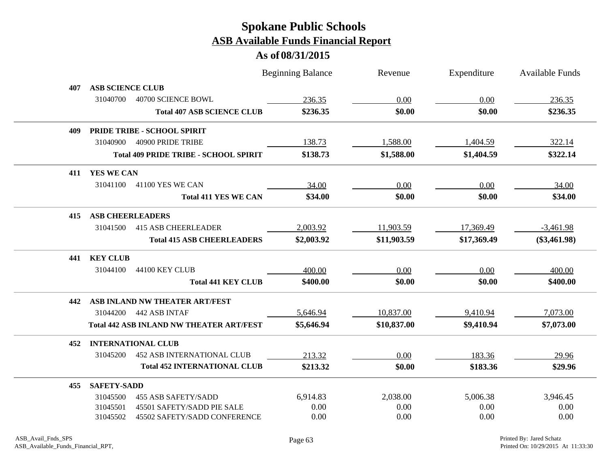|     |                                                 |                             | <b>Beginning Balance</b> | Revenue     | Expenditure | <b>Available Funds</b> |
|-----|-------------------------------------------------|-----------------------------|--------------------------|-------------|-------------|------------------------|
| 407 | <b>ASB SCIENCE CLUB</b>                         |                             |                          |             |             |                        |
|     | 31040700<br>40700 SCIENCE BOWL                  |                             | 236.35                   | 0.00        | 0.00        | 236.35                 |
|     | <b>Total 407 ASB SCIENCE CLUB</b>               |                             | \$236.35                 | \$0.00      | \$0.00      | \$236.35               |
| 409 | PRIDE TRIBE - SCHOOL SPIRIT                     |                             |                          |             |             |                        |
|     | 40900 PRIDE TRIBE<br>31040900                   |                             | 138.73                   | 1,588.00    | 1,404.59    | 322.14                 |
|     | <b>Total 409 PRIDE TRIBE - SCHOOL SPIRIT</b>    |                             | \$138.73                 | \$1,588.00  | \$1,404.59  | \$322.14               |
| 411 | YES WE CAN                                      |                             |                          |             |             |                        |
|     | 31041100<br>41100 YES WE CAN                    |                             | 34.00                    | 0.00        | 0.00        | 34.00                  |
|     |                                                 | <b>Total 411 YES WE CAN</b> | \$34.00                  | \$0.00      | \$0.00      | \$34.00                |
| 415 | <b>ASB CHEERLEADERS</b>                         |                             |                          |             |             |                        |
|     | <b>415 ASB CHEERLEADER</b><br>31041500          |                             | 2,003.92                 | 11,903.59   | 17,369.49   | $-3,461.98$            |
|     | <b>Total 415 ASB CHEERLEADERS</b>               |                             | \$2,003.92               | \$11,903.59 | \$17,369.49 | $(\$3,461.98)$         |
| 441 | <b>KEY CLUB</b>                                 |                             |                          |             |             |                        |
|     | 31044100<br>44100 KEY CLUB                      |                             | 400.00                   | 0.00        | 0.00        | 400.00                 |
|     |                                                 | <b>Total 441 KEY CLUB</b>   | \$400.00                 | \$0.00      | \$0.00      | \$400.00               |
| 442 | ASB INLAND NW THEATER ART/FEST                  |                             |                          |             |             |                        |
|     | 442 ASB INTAF<br>31044200                       |                             | 5,646.94                 | 10,837.00   | 9,410.94    | 7,073.00               |
|     | <b>Total 442 ASB INLAND NW THEATER ART/FEST</b> |                             | \$5,646.94               | \$10,837.00 | \$9,410.94  | \$7,073.00             |
| 452 | <b>INTERNATIONAL CLUB</b>                       |                             |                          |             |             |                        |
|     | <b>452 ASB INTERNATIONAL CLUB</b><br>31045200   |                             | 213.32                   | 0.00        | 183.36      | 29.96                  |
|     | <b>Total 452 INTERNATIONAL CLUB</b>             |                             | \$213.32                 | \$0.00      | \$183.36    | \$29.96                |
| 455 | <b>SAFETY-SADD</b>                              |                             |                          |             |             |                        |
|     | 31045500<br><b>455 ASB SAFETY/SADD</b>          |                             | 6,914.83                 | 2,038.00    | 5,006.38    | 3,946.45               |
|     | 45501 SAFETY/SADD PIE SALE<br>31045501          |                             | 0.00                     | 0.00        | 0.00        | 0.00                   |
|     | 31045502<br>45502 SAFETY/SADD CONFERENCE        |                             | 0.00                     | 0.00        | 0.00        | 0.00                   |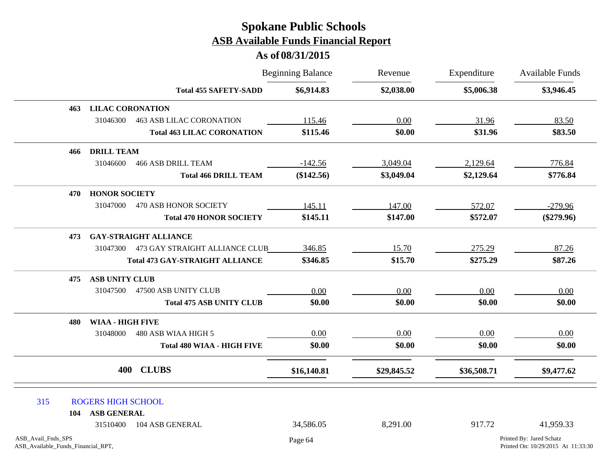|                                                          |                           |                                        | <b>Beginning Balance</b> | Revenue<br>\$2,038.00 | Expenditure<br>\$5,006.38 | Available Funds<br>\$3,946.45                                  |
|----------------------------------------------------------|---------------------------|----------------------------------------|--------------------------|-----------------------|---------------------------|----------------------------------------------------------------|
|                                                          |                           | <b>Total 455 SAFETY-SADD</b>           | \$6,914.83               |                       |                           |                                                                |
| 463                                                      | <b>LILAC CORONATION</b>   |                                        |                          |                       |                           |                                                                |
|                                                          | 31046300                  | <b>463 ASB LILAC CORONATION</b>        | 115.46                   | 0.00                  | 31.96                     | 83.50                                                          |
|                                                          |                           | <b>Total 463 LILAC CORONATION</b>      | \$115.46                 | \$0.00                | \$31.96                   | \$83.50                                                        |
| 466                                                      | <b>DRILL TEAM</b>         |                                        |                          |                       |                           |                                                                |
|                                                          | 31046600                  | <b>466 ASB DRILL TEAM</b>              | $-142.56$                | 3,049.04              | 2,129.64                  | 776.84                                                         |
|                                                          |                           | <b>Total 466 DRILL TEAM</b>            | (\$142.56)               | \$3,049.04            | \$2,129.64                | \$776.84                                                       |
| 470                                                      | <b>HONOR SOCIETY</b>      |                                        |                          |                       |                           |                                                                |
|                                                          | 31047000                  | 470 ASB HONOR SOCIETY                  | 145.11                   | 147.00                | 572.07                    | $-279.96$                                                      |
|                                                          |                           | <b>Total 470 HONOR SOCIETY</b>         | \$145.11                 | \$147.00              | \$572.07                  | $(\$279.96)$                                                   |
| 473                                                      |                           | <b>GAY-STRAIGHT ALLIANCE</b>           |                          |                       |                           |                                                                |
|                                                          | 31047300                  | 473 GAY STRAIGHT ALLIANCE CLUB         | 346.85                   | 15.70                 | 275.29                    | 87.26                                                          |
|                                                          |                           | <b>Total 473 GAY-STRAIGHT ALLIANCE</b> | \$346.85                 | \$15.70               | \$275.29                  | \$87.26                                                        |
| 475                                                      | <b>ASB UNITY CLUB</b>     |                                        |                          |                       |                           |                                                                |
|                                                          | 31047500                  | 47500 ASB UNITY CLUB                   | 0.00                     | 0.00                  | 0.00                      | 0.00                                                           |
|                                                          |                           | <b>Total 475 ASB UNITY CLUB</b>        | \$0.00                   | \$0.00                | \$0.00                    | \$0.00                                                         |
| 480                                                      | <b>WIAA - HIGH FIVE</b>   |                                        |                          |                       |                           |                                                                |
|                                                          | 31048000                  | 480 ASB WIAA HIGH 5                    | 0.00                     | 0.00                  | 0.00                      | 0.00                                                           |
|                                                          |                           | <b>Total 480 WIAA - HIGH FIVE</b>      | \$0.00                   | \$0.00                | \$0.00                    | \$0.00                                                         |
|                                                          | 400                       | <b>CLUBS</b>                           | \$16,140.81              | \$29,845.52           | \$36,508.71               | \$9,477.62                                                     |
| 315                                                      | <b>ROGERS HIGH SCHOOL</b> |                                        |                          |                       |                           |                                                                |
| 104                                                      | <b>ASB GENERAL</b>        |                                        |                          |                       |                           |                                                                |
|                                                          | 31510400                  | 104 ASB GENERAL                        | 34,586.05                | 8,291.00              | 917.72                    | 41,959.33                                                      |
| ASB_Avail_Fnds_SPS<br>ASB_Available_Funds_Financial_RPT, |                           |                                        | Page 64                  |                       |                           | Printed By: Jared Schatz<br>Printed On: 10/29/2015 At 11:33:30 |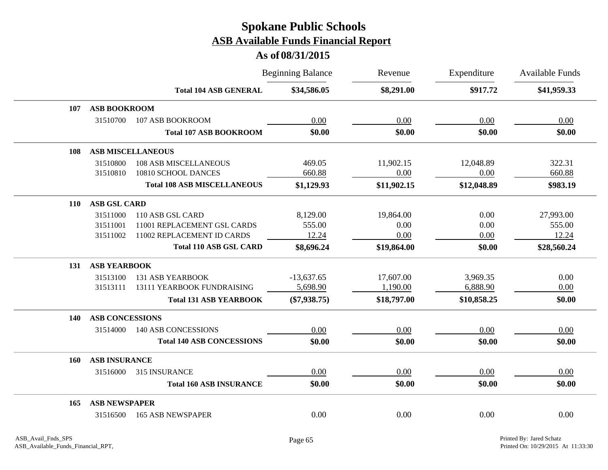|            |                        |                                    | <b>Beginning Balance</b> | Revenue     | Expenditure | <b>Available Funds</b> |
|------------|------------------------|------------------------------------|--------------------------|-------------|-------------|------------------------|
|            |                        | <b>Total 104 ASB GENERAL</b>       | \$34,586.05              | \$8,291.00  | \$917.72    | \$41,959.33            |
| 107        | <b>ASB BOOKROOM</b>    |                                    |                          |             |             |                        |
|            | 31510700               | 107 ASB BOOKROOM                   | 0.00                     | 0.00        | 0.00        | 0.00                   |
|            |                        | <b>Total 107 ASB BOOKROOM</b>      | \$0.00                   | \$0.00      | \$0.00      | \$0.00                 |
| 108        |                        | <b>ASB MISCELLANEOUS</b>           |                          |             |             |                        |
|            | 31510800               | <b>108 ASB MISCELLANEOUS</b>       | 469.05                   | 11,902.15   | 12,048.89   | 322.31                 |
|            | 31510810               | 10810 SCHOOL DANCES                | 660.88                   | 0.00        | 0.00        | 660.88                 |
|            |                        | <b>Total 108 ASB MISCELLANEOUS</b> | \$1,129.93               | \$11,902.15 | \$12,048.89 | \$983.19               |
| <b>110</b> | <b>ASB GSL CARD</b>    |                                    |                          |             |             |                        |
|            | 31511000               | 110 ASB GSL CARD                   | 8,129.00                 | 19,864.00   | 0.00        | 27,993.00              |
|            | 31511001               | 11001 REPLACEMENT GSL CARDS        | 555.00                   | 0.00        | 0.00        | 555.00                 |
|            | 31511002               | 11002 REPLACEMENT ID CARDS         | 12.24                    | 0.00        | 0.00        | 12.24                  |
|            |                        | <b>Total 110 ASB GSL CARD</b>      | \$8,696.24               | \$19,864.00 | \$0.00      | \$28,560.24            |
| 131        | <b>ASB YEARBOOK</b>    |                                    |                          |             |             |                        |
|            | 31513100               | <b>131 ASB YEARBOOK</b>            | $-13,637.65$             | 17,607.00   | 3,969.35    | 0.00                   |
|            | 31513111               | 13111 YEARBOOK FUNDRAISING         | 5,698.90                 | 1,190.00    | 6,888.90    | 0.00                   |
|            |                        | <b>Total 131 ASB YEARBOOK</b>      | $(\$7,938.75)$           | \$18,797.00 | \$10,858.25 | \$0.00                 |
| 140        | <b>ASB CONCESSIONS</b> |                                    |                          |             |             |                        |
|            | 31514000               | <b>140 ASB CONCESSIONS</b>         | 0.00                     | 0.00        | 0.00        | 0.00                   |
|            |                        | <b>Total 140 ASB CONCESSIONS</b>   | \$0.00                   | \$0.00      | \$0.00      | \$0.00                 |
| 160        | <b>ASB INSURANCE</b>   |                                    |                          |             |             |                        |
|            | 31516000               | 315 INSURANCE                      | 0.00                     | 0.00        | 0.00        | 0.00                   |
|            |                        | <b>Total 160 ASB INSURANCE</b>     | \$0.00                   | \$0.00      | \$0.00      | \$0.00                 |
| 165        | <b>ASB NEWSPAPER</b>   |                                    |                          |             |             |                        |
|            | 31516500               | <b>165 ASB NEWSPAPER</b>           | 0.00                     | 0.00        | 0.00        | 0.00                   |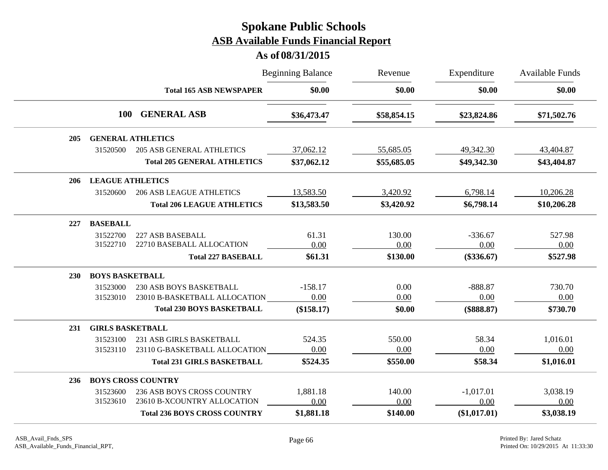|            |                         |                                     | <b>Beginning Balance</b> | Revenue     | Expenditure  | <b>Available Funds</b><br>\$0.00 |
|------------|-------------------------|-------------------------------------|--------------------------|-------------|--------------|----------------------------------|
|            |                         | <b>Total 165 ASB NEWSPAPER</b>      | \$0.00                   | \$0.00      | \$0.00       |                                  |
|            | <b>100</b>              | <b>GENERAL ASB</b>                  | \$36,473.47              | \$58,854.15 | \$23,824.86  | \$71,502.76                      |
| 205        |                         | <b>GENERAL ATHLETICS</b>            |                          |             |              |                                  |
|            | 31520500                | <b>205 ASB GENERAL ATHLETICS</b>    | 37,062.12                | 55,685.05   | 49,342.30    | 43,404.87                        |
|            |                         | <b>Total 205 GENERAL ATHLETICS</b>  | \$37,062.12              | \$55,685.05 | \$49,342.30  | \$43,404.87                      |
| 206        | <b>LEAGUE ATHLETICS</b> |                                     |                          |             |              |                                  |
|            | 31520600                | <b>206 ASB LEAGUE ATHLETICS</b>     | 13,583.50                | 3,420.92    | 6,798.14     | 10,206.28                        |
|            |                         | <b>Total 206 LEAGUE ATHLETICS</b>   | \$13,583.50              | \$3,420.92  | \$6,798.14   | \$10,206.28                      |
| 227        | <b>BASEBALL</b>         |                                     |                          |             |              |                                  |
|            | 31522700                | 227 ASB BASEBALL                    | 61.31                    | 130.00      | $-336.67$    | 527.98                           |
|            | 31522710                | 22710 BASEBALL ALLOCATION           | 0.00                     | 0.00        | 0.00         | 0.00                             |
|            |                         | <b>Total 227 BASEBALL</b>           | \$61.31                  | \$130.00    | $(\$336.67)$ | \$527.98                         |
| <b>230</b> | <b>BOYS BASKETBALL</b>  |                                     |                          |             |              |                                  |
|            | 31523000                | 230 ASB BOYS BASKETBALL             | $-158.17$                | 0.00        | $-888.87$    | 730.70                           |
|            | 31523010                | 23010 B-BASKETBALL ALLOCATION       | 0.00                     | 0.00        | 0.00         | 0.00                             |
|            |                         | <b>Total 230 BOYS BASKETBALL</b>    | (\$158.17)               | \$0.00      | $(\$888.87)$ | \$730.70                         |
| 231        | <b>GIRLS BASKETBALL</b> |                                     |                          |             |              |                                  |
|            | 31523100                | 231 ASB GIRLS BASKETBALL            | 524.35                   | 550.00      | 58.34        | 1,016.01                         |
|            | 31523110                | 23110 G-BASKETBALL ALLOCATION       | 0.00                     | 0.00        | 0.00         | 0.00                             |
|            |                         | <b>Total 231 GIRLS BASKETBALL</b>   | \$524.35                 | \$550.00    | \$58.34      | \$1,016.01                       |
| <b>236</b> |                         | <b>BOYS CROSS COUNTRY</b>           |                          |             |              |                                  |
|            | 31523600                | 236 ASB BOYS CROSS COUNTRY          | 1,881.18                 | 140.00      | $-1,017.01$  | 3,038.19                         |
|            | 31523610                | 23610 B-XCOUNTRY ALLOCATION         | 0.00                     | 0.00        | 0.00         | 0.00                             |
|            |                         | <b>Total 236 BOYS CROSS COUNTRY</b> | \$1,881.18               | \$140.00    | (\$1,017.01) | \$3,038.19                       |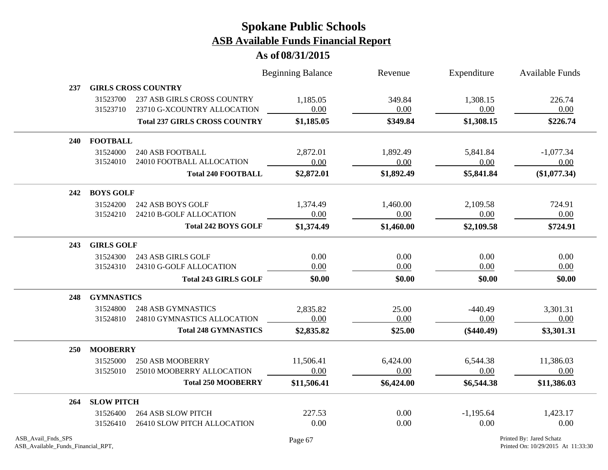|            |                   |                                      | <b>Beginning Balance</b> | Revenue    | Expenditure  | <b>Available Funds</b> |
|------------|-------------------|--------------------------------------|--------------------------|------------|--------------|------------------------|
| 237        |                   | <b>GIRLS CROSS COUNTRY</b>           |                          |            |              |                        |
|            | 31523700          | 237 ASB GIRLS CROSS COUNTRY          | 1,185.05                 | 349.84     | 1,308.15     | 226.74                 |
|            | 31523710          | 23710 G-XCOUNTRY ALLOCATION          | 0.00                     | 0.00       | 0.00         | 0.00                   |
|            |                   | <b>Total 237 GIRLS CROSS COUNTRY</b> | \$1,185.05               | \$349.84   | \$1,308.15   | \$226.74               |
| 240        | <b>FOOTBALL</b>   |                                      |                          |            |              |                        |
|            | 31524000          | <b>240 ASB FOOTBALL</b>              | 2,872.01                 | 1,892.49   | 5,841.84     | $-1,077.34$            |
|            | 31524010          | 24010 FOOTBALL ALLOCATION            | 0.00                     | 0.00       | 0.00         | 0.00                   |
|            |                   | <b>Total 240 FOOTBALL</b>            | \$2,872.01               | \$1,892.49 | \$5,841.84   | (\$1,077.34)           |
| 242        | <b>BOYS GOLF</b>  |                                      |                          |            |              |                        |
|            | 31524200          | 242 ASB BOYS GOLF                    | 1,374.49                 | 1,460.00   | 2,109.58     | 724.91                 |
|            | 31524210          | 24210 B-GOLF ALLOCATION              | 0.00                     | 0.00       | 0.00         | 0.00                   |
|            |                   | <b>Total 242 BOYS GOLF</b>           | \$1,374.49               | \$1,460.00 | \$2,109.58   | \$724.91               |
| 243        | <b>GIRLS GOLF</b> |                                      |                          |            |              |                        |
|            | 31524300          | 243 ASB GIRLS GOLF                   | 0.00                     | 0.00       | 0.00         | 0.00                   |
|            | 31524310          | 24310 G-GOLF ALLOCATION              | 0.00                     | 0.00       | 0.00         | 0.00                   |
|            |                   | <b>Total 243 GIRLS GOLF</b>          | \$0.00                   | \$0.00     | \$0.00       | \$0.00                 |
| 248        | <b>GYMNASTICS</b> |                                      |                          |            |              |                        |
|            | 31524800          | <b>248 ASB GYMNASTICS</b>            | 2,835.82                 | 25.00      | $-440.49$    | 3,301.31               |
|            | 31524810          | 24810 GYMNASTICS ALLOCATION          | 0.00                     | 0.00       | 0.00         | 0.00                   |
|            |                   | <b>Total 248 GYMNASTICS</b>          | \$2,835.82               | \$25.00    | $(\$440.49)$ | \$3,301.31             |
| <b>250</b> | <b>MOOBERRY</b>   |                                      |                          |            |              |                        |
|            | 31525000          | <b>250 ASB MOOBERRY</b>              | 11,506.41                | 6,424.00   | 6,544.38     | 11,386.03              |
|            | 31525010          | 25010 MOOBERRY ALLOCATION            | 0.00                     | 0.00       | 0.00         | 0.00                   |
|            |                   | <b>Total 250 MOOBERRY</b>            | \$11,506.41              | \$6,424.00 | \$6,544.38   | \$11,386.03            |
| 264        | <b>SLOW PITCH</b> |                                      |                          |            |              |                        |
|            | 31526400          | <b>264 ASB SLOW PITCH</b>            | 227.53                   | 0.00       | $-1,195.64$  | 1,423.17               |
|            | 31526410          | 26410 SLOW PITCH ALLOCATION          | 0.00                     | 0.00       | 0.00         | 0.00                   |
|            |                   |                                      |                          |            |              |                        |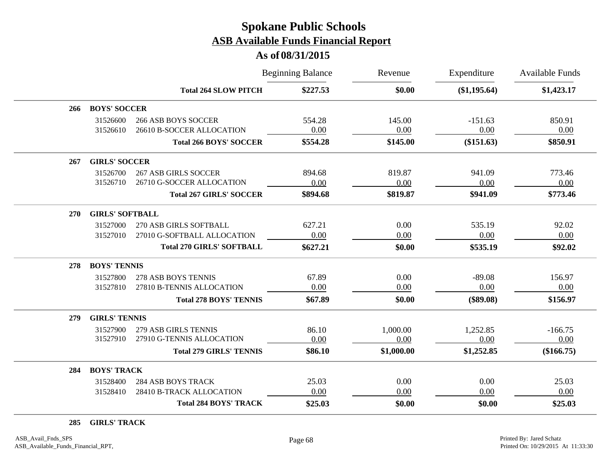#### **As of 08/31/2015**

|     |                        |                                                          | <b>Beginning Balance</b> | Revenue          | Expenditure       | <b>Available Funds</b> |
|-----|------------------------|----------------------------------------------------------|--------------------------|------------------|-------------------|------------------------|
|     |                        | <b>Total 264 SLOW PITCH</b>                              | \$227.53                 | \$0.00           | (\$1,195.64)      | \$1,423.17             |
| 266 | <b>BOYS' SOCCER</b>    |                                                          |                          |                  |                   |                        |
|     | 31526600<br>31526610   | <b>266 ASB BOYS SOCCER</b><br>26610 B-SOCCER ALLOCATION  | 554.28<br>0.00           | 145.00<br>0.00   | $-151.63$<br>0.00 | 850.91<br>0.00         |
|     |                        | <b>Total 266 BOYS' SOCCER</b>                            | \$554.28                 | \$145.00         | $(\$151.63)$      | \$850.91               |
| 267 | <b>GIRLS' SOCCER</b>   |                                                          |                          |                  |                   |                        |
|     | 31526700<br>31526710   | <b>267 ASB GIRLS SOCCER</b><br>26710 G-SOCCER ALLOCATION | 894.68<br>0.00           | 819.87<br>0.00   | 941.09<br>0.00    | 773.46<br>0.00         |
|     |                        | <b>Total 267 GIRLS' SOCCER</b>                           | \$894.68                 | \$819.87         | \$941.09          | \$773.46               |
| 270 | <b>GIRLS' SOFTBALL</b> |                                                          |                          |                  |                   |                        |
|     | 31527000               | 270 ASB GIRLS SOFTBALL                                   | 627.21                   | 0.00             | 535.19            | 92.02                  |
|     | 31527010               | 27010 G-SOFTBALL ALLOCATION                              | 0.00                     | 0.00             | 0.00              | 0.00                   |
|     |                        | <b>Total 270 GIRLS' SOFTBALL</b>                         | \$627.21                 | \$0.00           | \$535.19          | \$92.02                |
| 278 | <b>BOYS' TENNIS</b>    |                                                          |                          |                  |                   |                        |
|     | 31527800               | 278 ASB BOYS TENNIS                                      | 67.89                    | 0.00             | $-89.08$          | 156.97                 |
|     | 31527810               | 27810 B-TENNIS ALLOCATION                                | 0.00                     | 0.00             | 0.00              | 0.00                   |
|     |                        | <b>Total 278 BOYS' TENNIS</b>                            | \$67.89                  | \$0.00           | $(\$89.08)$       | \$156.97               |
| 279 | <b>GIRLS' TENNIS</b>   |                                                          |                          |                  |                   |                        |
|     | 31527900<br>31527910   | 279 ASB GIRLS TENNIS<br>27910 G-TENNIS ALLOCATION        | 86.10<br>0.00            | 1,000.00<br>0.00 | 1,252.85<br>0.00  | $-166.75$<br>0.00      |
|     |                        | <b>Total 279 GIRLS' TENNIS</b>                           | \$86.10                  | \$1,000.00       | \$1,252.85        | (\$166.75)             |
| 284 | <b>BOYS' TRACK</b>     |                                                          |                          |                  |                   |                        |
|     | 31528400               | <b>284 ASB BOYS TRACK</b>                                | 25.03                    | 0.00             | 0.00              | 25.03                  |
|     | 31528410               | 28410 B-TRACK ALLOCATION                                 | 0.00                     | 0.00             | 0.00              | 0.00                   |
|     |                        | <b>Total 284 BOYS' TRACK</b>                             | \$25.03                  | \$0.00           | \$0.00            | \$25.03                |

**285 GIRLS' TRACK**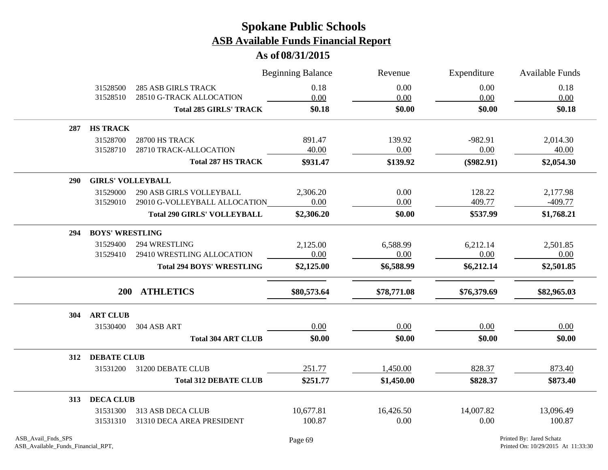|            |                          |                                    | <b>Beginning Balance</b> | Revenue     | Expenditure  | <b>Available Funds</b> |
|------------|--------------------------|------------------------------------|--------------------------|-------------|--------------|------------------------|
|            | 31528500                 | <b>285 ASB GIRLS TRACK</b>         | 0.18                     | 0.00        | 0.00         | 0.18                   |
|            | 31528510                 | 28510 G-TRACK ALLOCATION           | 0.00                     | 0.00        | 0.00         | 0.00                   |
|            |                          | <b>Total 285 GIRLS' TRACK</b>      | \$0.18                   | \$0.00      | \$0.00       | \$0.18                 |
| 287        | <b>HS TRACK</b>          |                                    |                          |             |              |                        |
|            | 31528700                 | 28700 HS TRACK                     | 891.47                   | 139.92      | $-982.91$    | 2,014.30               |
|            | 31528710                 | 28710 TRACK-ALLOCATION             | 40.00                    | $0.00\,$    | 0.00         | 40.00                  |
|            |                          | <b>Total 287 HS TRACK</b>          | \$931.47                 | \$139.92    | $(\$982.91)$ | \$2,054.30             |
| <b>290</b> | <b>GIRLS' VOLLEYBALL</b> |                                    |                          |             |              |                        |
|            | 31529000                 | 290 ASB GIRLS VOLLEYBALL           | 2,306.20                 | 0.00        | 128.22       | 2,177.98               |
|            | 31529010                 | 29010 G-VOLLEYBALL ALLOCATION      | 0.00                     | 0.00        | 409.77       | $-409.77$              |
|            |                          | <b>Total 290 GIRLS' VOLLEYBALL</b> | \$2,306.20               | \$0.00      | \$537.99     | \$1,768.21             |
| 294        | <b>BOYS' WRESTLING</b>   |                                    |                          |             |              |                        |
|            | 31529400                 | 294 WRESTLING                      | 2,125.00                 | 6,588.99    | 6,212.14     | 2,501.85               |
|            | 31529410                 | 29410 WRESTLING ALLOCATION         | 0.00                     | 0.00        | 0.00         | 0.00                   |
|            |                          | <b>Total 294 BOYS' WRESTLING</b>   | \$2,125.00               | \$6,588.99  | \$6,212.14   | \$2,501.85             |
|            |                          | 200 ATHLETICS                      | \$80,573.64              | \$78,771.08 | \$76,379.69  | \$82,965.03            |
| 304        | <b>ART CLUB</b>          |                                    |                          |             |              |                        |
|            | 31530400                 | 304 ASB ART                        | 0.00                     | 0.00        | 0.00         | 0.00                   |
|            |                          | <b>Total 304 ART CLUB</b>          | \$0.00                   | \$0.00      | \$0.00       | \$0.00                 |
| 312        | <b>DEBATE CLUB</b>       |                                    |                          |             |              |                        |
|            | 31531200                 | 31200 DEBATE CLUB                  | 251.77                   | 1,450.00    | 828.37       | 873.40                 |
|            |                          | <b>Total 312 DEBATE CLUB</b>       | \$251.77                 | \$1,450.00  | \$828.37     | \$873.40               |
| 313        | <b>DECA CLUB</b>         |                                    |                          |             |              |                        |
|            | 31531300                 | 313 ASB DECA CLUB                  | 10,677.81                | 16,426.50   | 14,007.82    | 13,096.49              |
|            | 31531310                 | 31310 DECA AREA PRESIDENT          | 100.87                   | 0.00        | 0.00         | 100.87                 |
|            |                          |                                    |                          |             |              |                        |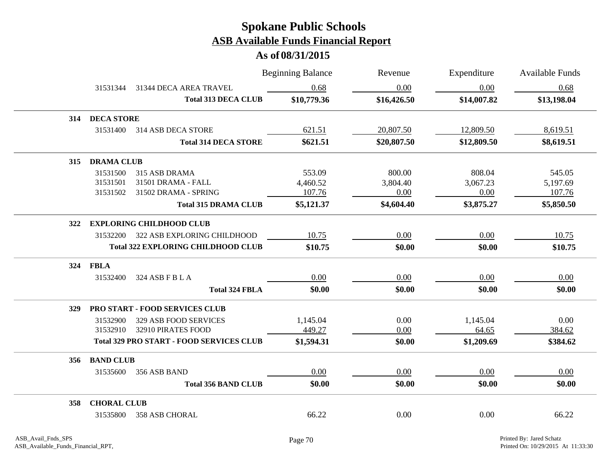|     |                    |                                                 | <b>Beginning Balance</b> | Revenue     | Expenditure | <b>Available Funds</b> |
|-----|--------------------|-------------------------------------------------|--------------------------|-------------|-------------|------------------------|
|     | 31531344           | 31344 DECA AREA TRAVEL                          | 0.68                     | 0.00        | 0.00        | 0.68                   |
|     |                    | <b>Total 313 DECA CLUB</b>                      | \$10,779.36              | \$16,426.50 | \$14,007.82 | \$13,198.04            |
| 314 | <b>DECA STORE</b>  |                                                 |                          |             |             |                        |
|     | 31531400           | 314 ASB DECA STORE                              | 621.51                   | 20,807.50   | 12,809.50   | 8,619.51               |
|     |                    | <b>Total 314 DECA STORE</b>                     | \$621.51                 | \$20,807.50 | \$12,809.50 | \$8,619.51             |
| 315 | <b>DRAMA CLUB</b>  |                                                 |                          |             |             |                        |
|     | 31531500           | 315 ASB DRAMA                                   | 553.09                   | 800.00      | 808.04      | 545.05                 |
|     | 31531501           | 31501 DRAMA - FALL                              | 4,460.52                 | 3,804.40    | 3,067.23    | 5,197.69               |
|     | 31531502           | 31502 DRAMA - SPRING                            | 107.76                   | 0.00        | 0.00        | 107.76                 |
|     |                    | <b>Total 315 DRAMA CLUB</b>                     | \$5,121.37               | \$4,604.40  | \$3,875.27  | \$5,850.50             |
| 322 |                    | <b>EXPLORING CHILDHOOD CLUB</b>                 |                          |             |             |                        |
|     | 31532200           | 322 ASB EXPLORING CHILDHOOD                     | 10.75                    | 0.00        | 0.00        | 10.75                  |
|     |                    | <b>Total 322 EXPLORING CHILDHOOD CLUB</b>       | \$10.75                  | \$0.00      | \$0.00      | \$10.75                |
| 324 | <b>FBLA</b>        |                                                 |                          |             |             |                        |
|     | 31532400           | 324 ASB F B L A                                 | 0.00                     | 0.00        | 0.00        | 0.00                   |
|     |                    | <b>Total 324 FBLA</b>                           | \$0.00                   | \$0.00      | \$0.00      | \$0.00                 |
| 329 |                    | PRO START - FOOD SERVICES CLUB                  |                          |             |             |                        |
|     | 31532900           | 329 ASB FOOD SERVICES                           | 1,145.04                 | 0.00        | 1,145.04    | 0.00                   |
|     | 31532910           | 32910 PIRATES FOOD                              | 449.27                   | 0.00        | 64.65       | 384.62                 |
|     |                    | <b>Total 329 PRO START - FOOD SERVICES CLUB</b> | \$1,594.31               | \$0.00      | \$1,209.69  | \$384.62               |
| 356 | <b>BAND CLUB</b>   |                                                 |                          |             |             |                        |
|     | 31535600           | 356 ASB BAND                                    | 0.00                     | 0.00        | 0.00        | 0.00                   |
|     |                    | <b>Total 356 BAND CLUB</b>                      | \$0.00                   | \$0.00      | \$0.00      | \$0.00                 |
| 358 | <b>CHORAL CLUB</b> |                                                 |                          |             |             |                        |
|     | 31535800           | 358 ASB CHORAL                                  | 66.22                    | 0.00        | 0.00        | 66.22                  |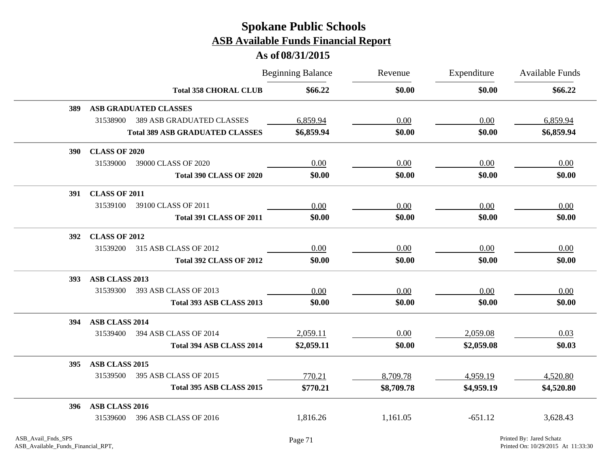|            |                      |                                        | <b>Beginning Balance</b> | Revenue    | Expenditure | Available Funds |
|------------|----------------------|----------------------------------------|--------------------------|------------|-------------|-----------------|
|            |                      | <b>Total 358 CHORAL CLUB</b>           | \$66.22                  | \$0.00     | \$0.00      | \$66.22         |
| 389        |                      | <b>ASB GRADUATED CLASSES</b>           |                          |            |             |                 |
|            | 31538900             | <b>389 ASB GRADUATED CLASSES</b>       | 6,859.94                 | 0.00       | 0.00        | 6,859.94        |
|            |                      | <b>Total 389 ASB GRADUATED CLASSES</b> | \$6,859.94               | \$0.00     | \$0.00      | \$6,859.94      |
| <b>390</b> | <b>CLASS OF 2020</b> |                                        |                          |            |             |                 |
|            | 31539000             | 39000 CLASS OF 2020                    | 0.00                     | 0.00       | 0.00        | 0.00            |
|            |                      | <b>Total 390 CLASS OF 2020</b>         | \$0.00                   | \$0.00     | \$0.00      | \$0.00          |
| <b>391</b> | <b>CLASS OF 2011</b> |                                        |                          |            |             |                 |
|            | 31539100             | 39100 CLASS OF 2011                    | 0.00                     | 0.00       | 0.00        | 0.00            |
|            |                      | <b>Total 391 CLASS OF 2011</b>         | \$0.00                   | \$0.00     | \$0.00      | \$0.00          |
| <b>392</b> | <b>CLASS OF 2012</b> |                                        |                          |            |             |                 |
|            | 31539200             | 315 ASB CLASS OF 2012                  | 0.00                     | 0.00       | 0.00        | 0.00            |
|            |                      | <b>Total 392 CLASS OF 2012</b>         | \$0.00                   | \$0.00     | \$0.00      | \$0.00          |
| <b>393</b> | ASB CLASS 2013       |                                        |                          |            |             |                 |
|            | 31539300             | 393 ASB CLASS OF 2013                  | 0.00                     | 0.00       | 0.00        | 0.00            |
|            |                      | Total 393 ASB CLASS 2013               | \$0.00                   | \$0.00     | \$0.00      | \$0.00          |
| 394        | ASB CLASS 2014       |                                        |                          |            |             |                 |
|            | 31539400             | 394 ASB CLASS OF 2014                  | 2,059.11                 | 0.00       | 2,059.08    | 0.03            |
|            |                      | Total 394 ASB CLASS 2014               | \$2,059.11               | \$0.00     | \$2,059.08  | \$0.03          |
| 395        | ASB CLASS 2015       |                                        |                          |            |             |                 |
|            | 31539500             | 395 ASB CLASS OF 2015                  | 770.21                   | 8,709.78   | 4,959.19    | 4,520.80        |
|            |                      | Total 395 ASB CLASS 2015               | \$770.21                 | \$8,709.78 | \$4,959.19  | \$4,520.80      |
| 396        | ASB CLASS 2016       |                                        |                          |            |             |                 |
|            | 31539600             | 396 ASB CLASS OF 2016                  | 1,816.26                 | 1,161.05   | $-651.12$   | 3,628.43        |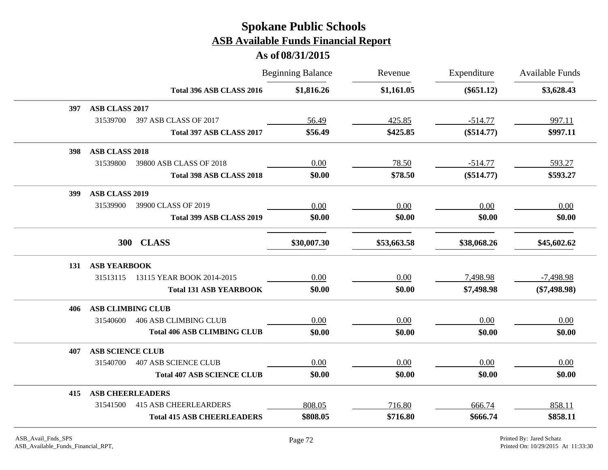|                                          | <b>Beginning Balance</b> | Revenue     | Expenditure  | <b>Available Funds</b> |
|------------------------------------------|--------------------------|-------------|--------------|------------------------|
| Total 396 ASB CLASS 2016                 | \$1,816.26               | \$1,161.05  | $(\$651.12)$ | \$3,628.43             |
| ASB CLASS 2017<br>397                    |                          |             |              |                        |
| 31539700<br>397 ASB CLASS OF 2017        | 56.49                    | 425.85      | $-514.77$    | 997.11                 |
| Total 397 ASB CLASS 2017                 | \$56.49                  | \$425.85    | $(\$514.77)$ | \$997.11               |
| <b>ASB CLASS 2018</b><br>398             |                          |             |              |                        |
| 31539800<br>39800 ASB CLASS OF 2018      | 0.00                     | 78.50       | $-514.77$    | 593.27                 |
| Total 398 ASB CLASS 2018                 | \$0.00                   | \$78.50     | $(\$514.77)$ | \$593.27               |
| <b>ASB CLASS 2019</b><br>399             |                          |             |              |                        |
| 31539900<br>39900 CLASS OF 2019          | 0.00                     | 0.00        | 0.00         | 0.00                   |
| Total 399 ASB CLASS 2019                 | \$0.00                   | \$0.00      | \$0.00       | \$0.00                 |
| 300 CLASS                                | \$30,007.30              | \$53,663.58 | \$38,068.26  | \$45,602.62            |
| <b>ASB YEARBOOK</b><br>131               |                          |             |              |                        |
| 31513115<br>13115 YEAR BOOK 2014-2015    | 0.00                     | 0.00        | 7,498.98     | $-7,498.98$            |
| <b>Total 131 ASB YEARBOOK</b>            | \$0.00                   | \$0.00      | \$7,498.98   | $(\$7,498.98)$         |
| <b>ASB CLIMBING CLUB</b><br>406          |                          |             |              |                        |
| <b>406 ASB CLIMBING CLUB</b><br>31540600 | 0.00                     | 0.00        | 0.00         | 0.00                   |
| <b>Total 406 ASB CLIMBING CLUB</b>       | \$0.00                   | \$0.00      | \$0.00       | \$0.00                 |
| <b>ASB SCIENCE CLUB</b><br>407           |                          |             |              |                        |
| 31540700<br><b>407 ASB SCIENCE CLUB</b>  | 0.00                     | 0.00        | 0.00         | 0.00                   |
| <b>Total 407 ASB SCIENCE CLUB</b>        | \$0.00                   | \$0.00      | \$0.00       | \$0.00                 |
| <b>ASB CHEERLEADERS</b><br>415           |                          |             |              |                        |
| 31541500<br><b>415 ASB CHEERLEARDERS</b> | 808.05                   | 716.80      | 666.74       | 858.11                 |
| <b>Total 415 ASB CHEERLEADERS</b>        | \$808.05                 | \$716.80    | \$666.74     | \$858.11               |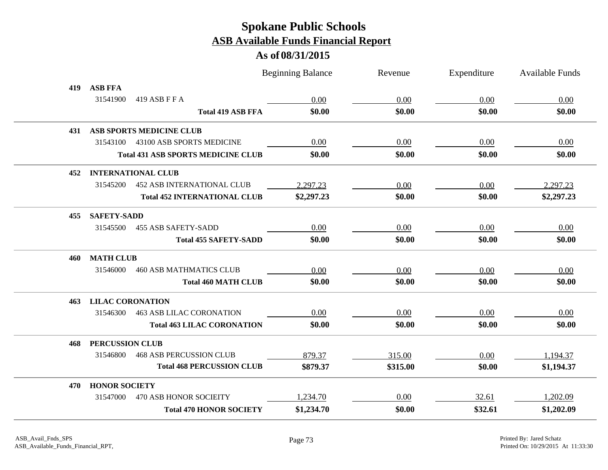|      |                                               | <b>Beginning Balance</b>           | Revenue  | Expenditure | <b>Available Funds</b> |
|------|-----------------------------------------------|------------------------------------|----------|-------------|------------------------|
| 419  | <b>ASB FFA</b>                                |                                    |          |             |                        |
|      | 31541900<br>419 ASB F F A                     | 0.00                               | 0.00     | 0.00        | 0.00                   |
|      |                                               | \$0.00<br><b>Total 419 ASB FFA</b> | \$0.00   | \$0.00      | \$0.00                 |
| 431  | <b>ASB SPORTS MEDICINE CLUB</b>               |                                    |          |             |                        |
|      | 31543100<br>43100 ASB SPORTS MEDICINE         | 0.00                               | 0.00     | 0.00        | 0.00                   |
|      | <b>Total 431 ASB SPORTS MEDICINE CLUB</b>     | \$0.00                             | \$0.00   | \$0.00      | \$0.00                 |
| 452  | <b>INTERNATIONAL CLUB</b>                     |                                    |          |             |                        |
|      | 31545200<br><b>452 ASB INTERNATIONAL CLUB</b> | 2,297.23                           | 0.00     | 0.00        | 2,297.23               |
|      | <b>Total 452 INTERNATIONAL CLUB</b>           | \$2,297.23                         | \$0.00   | \$0.00      | \$2,297.23             |
| 455. | <b>SAFETY-SADD</b>                            |                                    |          |             |                        |
|      | <b>455 ASB SAFETY-SADD</b><br>31545500        | 0.00                               | 0.00     | 0.00        | 0.00                   |
|      | <b>Total 455 SAFETY-SADD</b>                  | \$0.00                             | \$0.00   | \$0.00      | \$0.00                 |
| 460  | <b>MATH CLUB</b>                              |                                    |          |             |                        |
|      | 31546000<br><b>460 ASB MATHMATICS CLUB</b>    | 0.00                               | 0.00     | 0.00        | 0.00                   |
|      | <b>Total 460 MATH CLUB</b>                    | \$0.00                             | \$0.00   | \$0.00      | \$0.00                 |
| 463  | <b>LILAC CORONATION</b>                       |                                    |          |             |                        |
|      | <b>463 ASB LILAC CORONATION</b><br>31546300   | 0.00                               | 0.00     | 0.00        | 0.00                   |
|      | <b>Total 463 LILAC CORONATION</b>             | \$0.00                             | \$0.00   | \$0.00      | \$0.00                 |
| 468  | <b>PERCUSSION CLUB</b>                        |                                    |          |             |                        |
|      | <b>468 ASB PERCUSSION CLUB</b><br>31546800    | 879.37                             | 315.00   | 0.00        | 1,194.37               |
|      | <b>Total 468 PERCUSSION CLUB</b>              | \$879.37                           | \$315.00 | \$0.00      | \$1,194.37             |
| 470  | <b>HONOR SOCIETY</b>                          |                                    |          |             |                        |
|      | 31547000<br><b>470 ASB HONOR SOCIEITY</b>     | 1,234.70                           | 0.00     | 32.61       | 1,202.09               |
|      | <b>Total 470 HONOR SOCIETY</b>                | \$1,234.70                         | \$0.00   | \$32.61     | \$1,202.09             |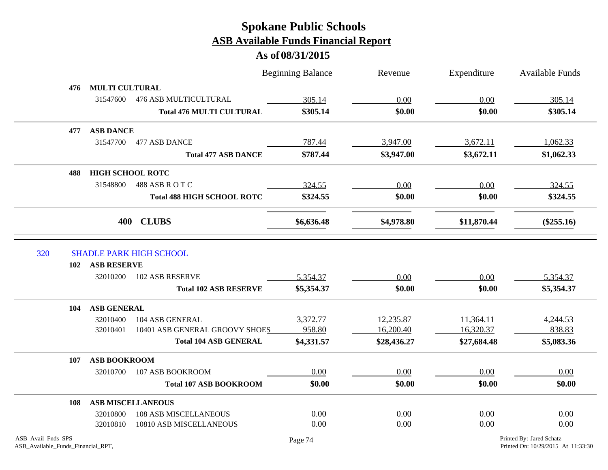**As of 08/31/2015**

|            |                         |                                   | <b>Beginning Balance</b> | Revenue     | Expenditure | <b>Available Funds</b> |
|------------|-------------------------|-----------------------------------|--------------------------|-------------|-------------|------------------------|
| 476        | <b>MULTI CULTURAL</b>   |                                   |                          |             |             |                        |
|            | 31547600                | <b>476 ASB MULTICULTURAL</b>      | 305.14                   | 0.00        | 0.00        | 305.14                 |
|            |                         | <b>Total 476 MULTI CULTURAL</b>   | \$305.14                 | \$0.00      | \$0.00      | \$305.14               |
| 477        | <b>ASB DANCE</b>        |                                   |                          |             |             |                        |
|            | 31547700                | 477 ASB DANCE                     | 787.44                   | 3,947.00    | 3,672.11    | 1,062.33               |
|            |                         | <b>Total 477 ASB DANCE</b>        | \$787.44                 | \$3,947.00  | \$3,672.11  | \$1,062.33             |
| 488        | <b>HIGH SCHOOL ROTC</b> |                                   |                          |             |             |                        |
|            | 31548800                | 488 ASB R O T C                   | 324.55                   | 0.00        | 0.00        | 324.55                 |
|            |                         | <b>Total 488 HIGH SCHOOL ROTC</b> | \$324.55                 | \$0.00      | \$0.00      | \$324.55               |
|            |                         | 400 CLUBS                         | \$6,636.48               | \$4,978.80  | \$11,870.44 | $(\$255.16)$           |
| 320<br>102 | <b>ASB RESERVE</b>      | <b>SHADLE PARK HIGH SCHOOL</b>    |                          |             |             |                        |
|            | 32010200                | 102 ASB RESERVE                   | 5,354.37                 | 0.00        | 0.00        | 5,354.37               |
|            |                         | <b>Total 102 ASB RESERVE</b>      | \$5,354.37               | \$0.00      | \$0.00      | \$5,354.37             |
| 104        | <b>ASB GENERAL</b>      |                                   |                          |             |             |                        |
|            | 32010400                | 104 ASB GENERAL                   | 3,372.77                 | 12,235.87   | 11,364.11   | 4,244.53               |
|            | 32010401                | 10401 ASB GENERAL GROOVY SHOES    | 958.80                   | 16,200.40   | 16,320.37   | 838.83                 |
|            |                         | <b>Total 104 ASB GENERAL</b>      | \$4,331.57               | \$28,436.27 | \$27,684.48 | \$5,083.36             |
| 107        | <b>ASB BOOKROOM</b>     |                                   |                          |             |             |                        |
|            | 32010700                | 107 ASB BOOKROOM                  | 0.00                     | 0.00        | 0.00        | 0.00                   |
|            |                         | <b>Total 107 ASB BOOKROOM</b>     | \$0.00                   | \$0.00      | \$0.00      | \$0.00                 |
| 108        |                         | <b>ASB MISCELLANEOUS</b>          |                          |             |             |                        |
|            | 32010800                | <b>108 ASB MISCELLANEOUS</b>      | 0.00                     | 0.00        | 0.00        | 0.00                   |
|            | 32010810                | 10810 ASB MISCELLANEOUS           | 0.00                     | 0.00        | 0.00        | 0.00                   |

 $\bar{z}$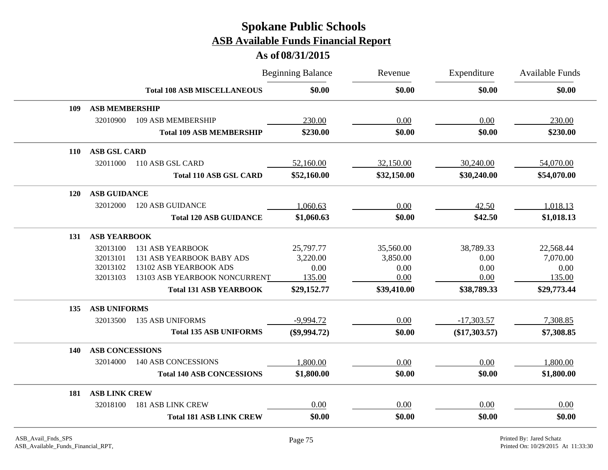|            |                        |                                    | <b>Beginning Balance</b> | Revenue     | Expenditure     | <b>Available Funds</b> |
|------------|------------------------|------------------------------------|--------------------------|-------------|-----------------|------------------------|
|            |                        | <b>Total 108 ASB MISCELLANEOUS</b> | \$0.00                   | \$0.00      | \$0.00          | \$0.00                 |
| 109        | <b>ASB MEMBERSHIP</b>  |                                    |                          |             |                 |                        |
|            | 32010900               | 109 ASB MEMBERSHIP                 | 230.00                   | 0.00        | 0.00            | 230.00                 |
|            |                        | <b>Total 109 ASB MEMBERSHIP</b>    | \$230.00                 | \$0.00      | \$0.00          | \$230.00               |
| 110        | <b>ASB GSL CARD</b>    |                                    |                          |             |                 |                        |
|            | 32011000               | 110 ASB GSL CARD                   | 52,160.00                | 32,150.00   | 30,240.00       | 54,070.00              |
|            |                        | <b>Total 110 ASB GSL CARD</b>      | \$52,160.00              | \$32,150.00 | \$30,240.00     | \$54,070.00            |
| <b>120</b> | <b>ASB GUIDANCE</b>    |                                    |                          |             |                 |                        |
|            | 32012000               | <b>120 ASB GUIDANCE</b>            | 1,060.63                 | 0.00        | 42.50           | 1,018.13               |
|            |                        | <b>Total 120 ASB GUIDANCE</b>      | \$1,060.63               | \$0.00      | \$42.50         | \$1,018.13             |
| 131        | <b>ASB YEARBOOK</b>    |                                    |                          |             |                 |                        |
|            | 32013100               | <b>131 ASB YEARBOOK</b>            | 25,797.77                | 35,560.00   | 38,789.33       | 22,568.44              |
|            | 32013101               | 131 ASB YEARBOOK BABY ADS          | 3,220.00                 | 3,850.00    | 0.00            | 7,070.00               |
|            | 32013102               | 13102 ASB YEARBOOK ADS             | 0.00                     | 0.00        | 0.00            | 0.00                   |
|            | 32013103               | 13103 ASB YEARBOOK NONCURRENT      | 135.00                   | 0.00        | 0.00            | 135.00                 |
|            |                        | <b>Total 131 ASB YEARBOOK</b>      | \$29,152.77              | \$39,410.00 | \$38,789.33     | \$29,773.44            |
| 135        | <b>ASB UNIFORMS</b>    |                                    |                          |             |                 |                        |
|            | 32013500               | <b>135 ASB UNIFORMS</b>            | $-9,994.72$              | 0.00        | $-17,303.57$    | 7,308.85               |
|            |                        | <b>Total 135 ASB UNIFORMS</b>      | $(\$9,994.72)$           | \$0.00      | $(\$17,303.57)$ | \$7,308.85             |
| <b>140</b> | <b>ASB CONCESSIONS</b> |                                    |                          |             |                 |                        |
|            | 32014000               | 140 ASB CONCESSIONS                | 1,800.00                 | 0.00        | 0.00            | 1,800.00               |
|            |                        | <b>Total 140 ASB CONCESSIONS</b>   | \$1,800.00               | \$0.00      | \$0.00          | \$1,800.00             |
| 181        | <b>ASB LINK CREW</b>   |                                    |                          |             |                 |                        |
|            | 32018100               | <b>181 ASB LINK CREW</b>           | 0.00                     | 0.00        | 0.00            | 0.00                   |
|            |                        | <b>Total 181 ASB LINK CREW</b>     | \$0.00                   | \$0.00      | \$0.00          | \$0.00                 |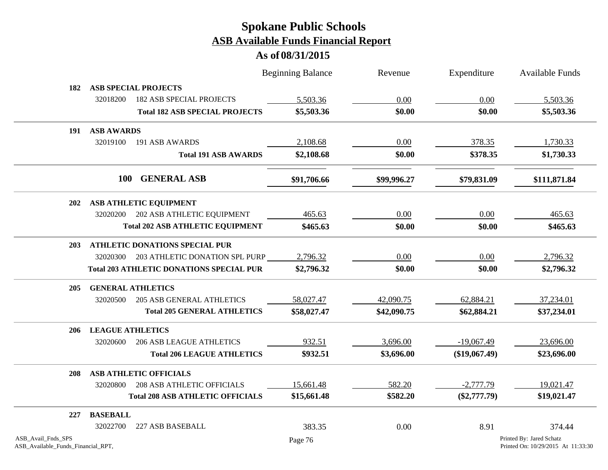|                                                          |                         |                                                 | <b>Beginning Balance</b> | Revenue     | Expenditure     | <b>Available Funds</b>                                         |
|----------------------------------------------------------|-------------------------|-------------------------------------------------|--------------------------|-------------|-----------------|----------------------------------------------------------------|
| 182                                                      |                         | <b>ASB SPECIAL PROJECTS</b>                     |                          |             |                 |                                                                |
|                                                          | 32018200                | <b>182 ASB SPECIAL PROJECTS</b>                 | 5,503.36                 | 0.00        | 0.00            | 5,503.36                                                       |
|                                                          |                         | <b>Total 182 ASB SPECIAL PROJECTS</b>           | \$5,503.36               | \$0.00      | \$0.00          | \$5,503.36                                                     |
| 191                                                      | <b>ASB AWARDS</b>       |                                                 |                          |             |                 |                                                                |
|                                                          | 32019100                | 191 ASB AWARDS                                  | 2,108.68                 | 0.00        | 378.35          | 1,730.33                                                       |
|                                                          |                         | <b>Total 191 ASB AWARDS</b>                     | \$2,108.68               | \$0.00      | \$378.35        | \$1,730.33                                                     |
|                                                          | <b>100</b>              | <b>GENERAL ASB</b>                              | \$91,706.66              | \$99,996.27 | \$79,831.09     | \$111,871.84                                                   |
| <b>202</b>                                               |                         | <b>ASB ATHLETIC EQUIPMENT</b>                   |                          |             |                 |                                                                |
|                                                          | 32020200                | 202 ASB ATHLETIC EQUIPMENT                      | 465.63                   | 0.00        | 0.00            | 465.63                                                         |
|                                                          |                         | <b>Total 202 ASB ATHLETIC EQUIPMENT</b>         | \$465.63                 | \$0.00      | \$0.00          | \$465.63                                                       |
| 203                                                      |                         | <b>ATHLETIC DONATIONS SPECIAL PUR</b>           |                          |             |                 |                                                                |
|                                                          | 32020300                | 203 ATHLETIC DONATION SPL PURP                  | 2,796.32                 | 0.00        | 0.00            | 2,796.32                                                       |
|                                                          |                         | <b>Total 203 ATHLETIC DONATIONS SPECIAL PUR</b> | \$2,796.32               | \$0.00      | \$0.00          | \$2,796.32                                                     |
| 205                                                      |                         | <b>GENERAL ATHLETICS</b>                        |                          |             |                 |                                                                |
|                                                          | 32020500                | <b>205 ASB GENERAL ATHLETICS</b>                | 58,027.47                | 42,090.75   | 62,884.21       | 37,234.01                                                      |
|                                                          |                         | <b>Total 205 GENERAL ATHLETICS</b>              | \$58,027.47              | \$42,090.75 | \$62,884.21     | \$37,234.01                                                    |
| 206                                                      | <b>LEAGUE ATHLETICS</b> |                                                 |                          |             |                 |                                                                |
|                                                          | 32020600                | <b>206 ASB LEAGUE ATHLETICS</b>                 | 932.51                   | 3,696.00    | $-19,067.49$    | 23,696.00                                                      |
|                                                          |                         | <b>Total 206 LEAGUE ATHLETICS</b>               | \$932.51                 | \$3,696.00  | $(\$19,067.49)$ | \$23,696.00                                                    |
| 208                                                      |                         | <b>ASB ATHLETIC OFFICIALS</b>                   |                          |             |                 |                                                                |
|                                                          | 32020800                | <b>208 ASB ATHLETIC OFFICIALS</b>               | 15,661.48                | 582.20      | $-2,777.79$     | 19,021.47                                                      |
|                                                          |                         | <b>Total 208 ASB ATHLETIC OFFICIALS</b>         | \$15,661.48              | \$582.20    | $(\$2,777.79)$  | \$19,021.47                                                    |
| 227                                                      | <b>BASEBALL</b>         |                                                 |                          |             |                 |                                                                |
|                                                          | 32022700                | 227 ASB BASEBALL                                | 383.35                   | 0.00        | 8.91            | 374.44                                                         |
| ASB_Avail_Fnds_SPS<br>ASB_Available_Funds_Financial_RPT, |                         |                                                 | Page 76                  |             |                 | Printed By: Jared Schatz<br>Printed On: 10/29/2015 At 11:33:30 |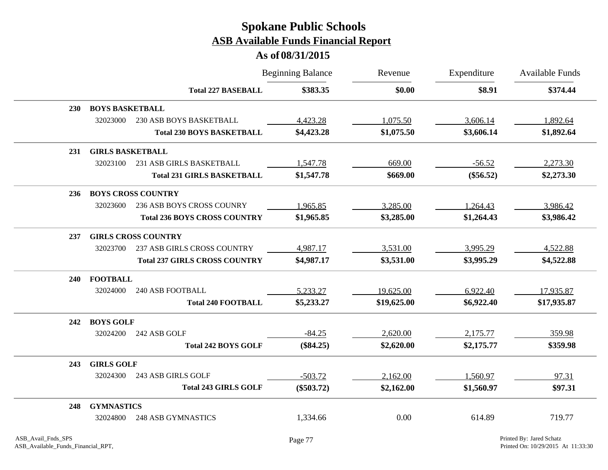|            |                         |                                      | <b>Beginning Balance</b> | Revenue     | Expenditure | Available Funds |
|------------|-------------------------|--------------------------------------|--------------------------|-------------|-------------|-----------------|
|            |                         | <b>Total 227 BASEBALL</b>            | \$383.35                 | \$0.00      | \$8.91      | \$374.44        |
| <b>230</b> | <b>BOYS BASKETBALL</b>  |                                      |                          |             |             |                 |
|            | 32023000                | 230 ASB BOYS BASKETBALL              | 4,423.28                 | 1,075.50    | 3,606.14    | 1,892.64        |
|            |                         | <b>Total 230 BOYS BASKETBALL</b>     | \$4,423.28               | \$1,075.50  | \$3,606.14  | \$1,892.64      |
| <b>231</b> | <b>GIRLS BASKETBALL</b> |                                      |                          |             |             |                 |
|            | 32023100                | 231 ASB GIRLS BASKETBALL             | 1,547.78                 | 669.00      | $-56.52$    | 2,273.30        |
|            |                         | <b>Total 231 GIRLS BASKETBALL</b>    | \$1,547.78               | \$669.00    | $(\$56.52)$ | \$2,273.30      |
| 236        |                         | <b>BOYS CROSS COUNTRY</b>            |                          |             |             |                 |
|            | 32023600                | 236 ASB BOYS CROSS COUNRY            | 1,965.85                 | 3,285.00    | 1,264.43    | 3,986.42        |
|            |                         | <b>Total 236 BOYS CROSS COUNTRY</b>  | \$1,965.85               | \$3,285.00  | \$1,264.43  | \$3,986.42      |
| 237        |                         | <b>GIRLS CROSS COUNTRY</b>           |                          |             |             |                 |
|            | 32023700                | 237 ASB GIRLS CROSS COUNTRY          | 4,987.17                 | 3,531.00    | 3,995.29    | 4,522.88        |
|            |                         | <b>Total 237 GIRLS CROSS COUNTRY</b> | \$4,987.17               | \$3,531.00  | \$3,995.29  | \$4,522.88      |
| <b>240</b> | <b>FOOTBALL</b>         |                                      |                          |             |             |                 |
|            | 32024000                | <b>240 ASB FOOTBALL</b>              | 5,233.27                 | 19,625.00   | 6,922.40    | 17,935.87       |
|            |                         | <b>Total 240 FOOTBALL</b>            | \$5,233.27               | \$19,625.00 | \$6,922.40  | \$17,935.87     |
| 242        | <b>BOYS GOLF</b>        |                                      |                          |             |             |                 |
|            | 32024200                | 242 ASB GOLF                         | $-84.25$                 | 2,620.00    | 2,175.77    | 359.98          |
|            |                         | <b>Total 242 BOYS GOLF</b>           | $(\$84.25)$              | \$2,620.00  | \$2,175.77  | \$359.98        |
| 243        | <b>GIRLS GOLF</b>       |                                      |                          |             |             |                 |
|            | 32024300                | 243 ASB GIRLS GOLF                   | $-503.72$                | 2,162.00    | 1,560.97    | 97.31           |
|            |                         | <b>Total 243 GIRLS GOLF</b>          | $(\$503.72)$             | \$2,162.00  | \$1,560.97  | \$97.31         |
| 248        | <b>GYMNASTICS</b>       |                                      |                          |             |             |                 |
|            | 32024800                | <b>248 ASB GYMNASTICS</b>            | 1,334.66                 | 0.00        | 614.89      | 719.77          |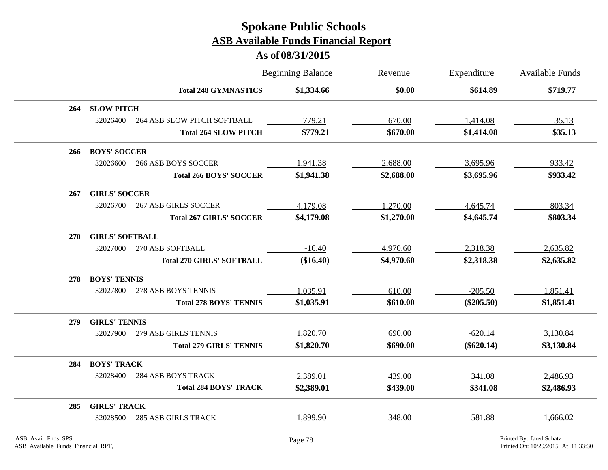|            |                        |                                  | <b>Beginning Balance</b> | Revenue    | Expenditure  | <b>Available Funds</b> |
|------------|------------------------|----------------------------------|--------------------------|------------|--------------|------------------------|
|            |                        | <b>Total 248 GYMNASTICS</b>      | \$1,334.66               | \$0.00     | \$614.89     | \$719.77               |
| 264        | <b>SLOW PITCH</b>      |                                  |                          |            |              |                        |
|            | 32026400               | 264 ASB SLOW PITCH SOFTBALL      | 779.21                   | 670.00     | 1,414.08     | 35.13                  |
|            |                        | <b>Total 264 SLOW PITCH</b>      | \$779.21                 | \$670.00   | \$1,414.08   | \$35.13                |
| 266        | <b>BOYS' SOCCER</b>    |                                  |                          |            |              |                        |
|            | 32026600               | <b>266 ASB BOYS SOCCER</b>       | 1,941.38                 | 2,688.00   | 3,695.96     | 933.42                 |
|            |                        | <b>Total 266 BOYS' SOCCER</b>    | \$1,941.38               | \$2,688.00 | \$3,695.96   | \$933.42               |
| 267        | <b>GIRLS' SOCCER</b>   |                                  |                          |            |              |                        |
|            | 32026700               | <b>267 ASB GIRLS SOCCER</b>      | 4,179.08                 | 1,270.00   | 4,645.74     | 803.34                 |
|            |                        | <b>Total 267 GIRLS' SOCCER</b>   | \$4,179.08               | \$1,270.00 | \$4,645.74   | \$803.34               |
| <b>270</b> | <b>GIRLS' SOFTBALL</b> |                                  |                          |            |              |                        |
|            | 32027000               | 270 ASB SOFTBALL                 | $-16.40$                 | 4,970.60   | 2,318.38     | 2,635.82               |
|            |                        | <b>Total 270 GIRLS' SOFTBALL</b> | (\$16.40)                | \$4,970.60 | \$2,318.38   | \$2,635.82             |
| 278        | <b>BOYS' TENNIS</b>    |                                  |                          |            |              |                        |
|            | 32027800               | 278 ASB BOYS TENNIS              | 1,035.91                 | 610.00     | $-205.50$    | 1,851.41               |
|            |                        | <b>Total 278 BOYS' TENNIS</b>    | \$1,035.91               | \$610.00   | $(\$205.50)$ | \$1,851.41             |
| 279        | <b>GIRLS' TENNIS</b>   |                                  |                          |            |              |                        |
|            | 32027900               | 279 ASB GIRLS TENNIS             | 1,820.70                 | 690.00     | $-620.14$    | 3,130.84               |
|            |                        | <b>Total 279 GIRLS' TENNIS</b>   | \$1,820.70               | \$690.00   | $(\$620.14)$ | \$3,130.84             |
| 284        | <b>BOYS' TRACK</b>     |                                  |                          |            |              |                        |
|            | 32028400               | <b>284 ASB BOYS TRACK</b>        | 2,389.01                 | 439.00     | 341.08       | 2,486.93               |
|            |                        | <b>Total 284 BOYS' TRACK</b>     | \$2,389.01               | \$439.00   | \$341.08     | \$2,486.93             |
| 285        | <b>GIRLS' TRACK</b>    |                                  |                          |            |              |                        |
|            | 32028500               | <b>285 ASB GIRLS TRACK</b>       | 1,899.90                 | 348.00     | 581.88       | 1,666.02               |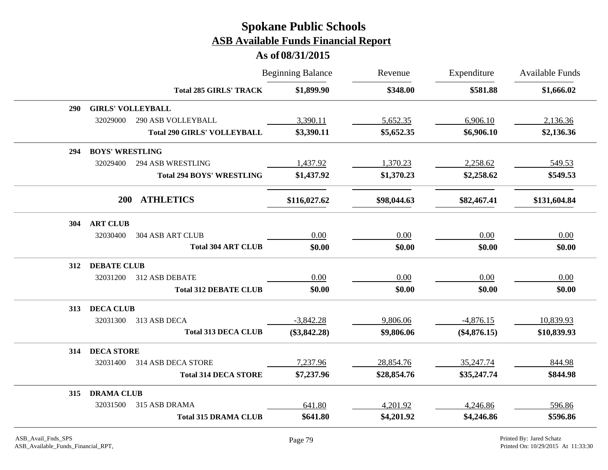|     |                        |                                    | <b>Beginning Balance</b> | Revenue     | Expenditure<br>\$581.88 | Available Funds<br>\$1,666.02 |
|-----|------------------------|------------------------------------|--------------------------|-------------|-------------------------|-------------------------------|
|     |                        | <b>Total 285 GIRLS' TRACK</b>      | \$1,899.90               | \$348.00    |                         |                               |
| 290 |                        | <b>GIRLS' VOLLEYBALL</b>           |                          |             |                         |                               |
|     | 32029000               | 290 ASB VOLLEYBALL                 | 3,390.11                 | 5,652.35    | 6,906.10                | 2,136.36                      |
|     |                        | <b>Total 290 GIRLS' VOLLEYBALL</b> | \$3,390.11               | \$5,652.35  | \$6,906.10              | \$2,136.36                    |
| 294 | <b>BOYS' WRESTLING</b> |                                    |                          |             |                         |                               |
|     | 32029400               | <b>294 ASB WRESTLING</b>           | 1,437.92                 | 1,370.23    | 2,258.62                | 549.53                        |
|     |                        | <b>Total 294 BOYS' WRESTLING</b>   | \$1,437.92               | \$1,370.23  | \$2,258.62              | \$549.53                      |
|     | 200                    | <b>ATHLETICS</b>                   | \$116,027.62             | \$98,044.63 | \$82,467.41             | \$131,604.84                  |
| 304 | <b>ART CLUB</b>        |                                    |                          |             |                         |                               |
|     | 32030400               | 304 ASB ART CLUB                   | 0.00                     | 0.00        | 0.00                    | 0.00                          |
|     |                        | <b>Total 304 ART CLUB</b>          | \$0.00                   | \$0.00      | \$0.00                  | \$0.00                        |
| 312 | <b>DEBATE CLUB</b>     |                                    |                          |             |                         |                               |
|     | 32031200               | 312 ASB DEBATE                     | 0.00                     | 0.00        | 0.00                    | 0.00                          |
|     |                        | <b>Total 312 DEBATE CLUB</b>       | \$0.00                   | \$0.00      | \$0.00                  | \$0.00                        |
| 313 | <b>DECA CLUB</b>       |                                    |                          |             |                         |                               |
|     | 32031300               | 313 ASB DECA                       | $-3,842.28$              | 9,806.06    | $-4,876.15$             | 10,839.93                     |
|     |                        | <b>Total 313 DECA CLUB</b>         | $(\$3,842.28)$           | \$9,806.06  | $(\$4,876.15)$          | \$10,839.93                   |
| 314 | <b>DECA STORE</b>      |                                    |                          |             |                         |                               |
|     | 32031400               | 314 ASB DECA STORE                 | 7,237.96                 | 28,854.76   | 35,247.74               | 844.98                        |
|     |                        | <b>Total 314 DECA STORE</b>        | \$7,237.96               | \$28,854.76 | \$35,247.74             | \$844.98                      |
| 315 | <b>DRAMA CLUB</b>      |                                    |                          |             |                         |                               |
|     | 32031500               | 315 ASB DRAMA                      | 641.80                   | 4,201.92    | 4,246.86                | 596.86                        |
|     |                        | <b>Total 315 DRAMA CLUB</b>        | \$641.80                 | \$4,201.92  | \$4,246.86              | \$596.86                      |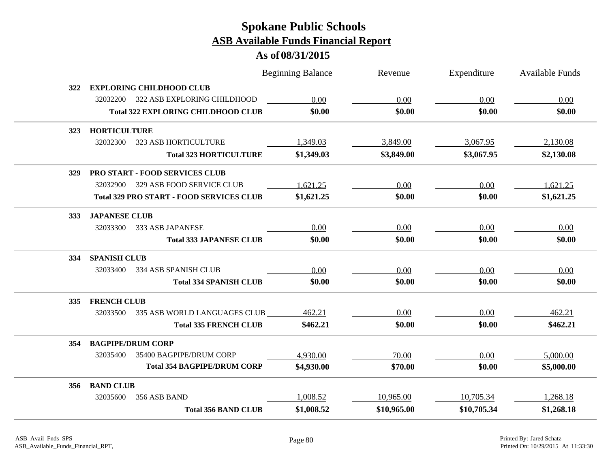|            |                                                 | <b>Beginning Balance</b> | Revenue     | Expenditure | <b>Available Funds</b> |
|------------|-------------------------------------------------|--------------------------|-------------|-------------|------------------------|
| 322        | <b>EXPLORING CHILDHOOD CLUB</b>                 |                          |             |             |                        |
|            | 322 ASB EXPLORING CHILDHOOD<br>32032200         | 0.00                     | 0.00        | 0.00        | 0.00                   |
|            | <b>Total 322 EXPLORING CHILDHOOD CLUB</b>       | \$0.00                   | \$0.00      | \$0.00      | \$0.00                 |
| 323        | <b>HORTICULTURE</b>                             |                          |             |             |                        |
|            | <b>323 ASB HORTICULTURE</b><br>32032300         | 1,349.03                 | 3,849.00    | 3,067.95    | 2,130.08               |
|            | <b>Total 323 HORTICULTURE</b>                   | \$1,349.03               | \$3,849.00  | \$3,067.95  | \$2,130.08             |
| 329        | <b>PRO START - FOOD SERVICES CLUB</b>           |                          |             |             |                        |
|            | 329 ASB FOOD SERVICE CLUB<br>32032900           | 1,621.25                 | 0.00        | 0.00        | 1,621.25               |
|            | <b>Total 329 PRO START - FOOD SERVICES CLUB</b> | \$1,621.25               | \$0.00      | \$0.00      | \$1,621.25             |
| <b>333</b> | <b>JAPANESE CLUB</b>                            |                          |             |             |                        |
|            | 32033300<br>333 ASB JAPANESE                    | 0.00                     | 0.00        | 0.00        | 0.00                   |
|            | <b>Total 333 JAPANESE CLUB</b>                  | \$0.00                   | \$0.00      | \$0.00      | \$0.00                 |
| 334        | <b>SPANISH CLUB</b>                             |                          |             |             |                        |
|            | 32033400<br>334 ASB SPANISH CLUB                | 0.00                     | 0.00        | 0.00        | 0.00                   |
|            | <b>Total 334 SPANISH CLUB</b>                   | \$0.00                   | \$0.00      | \$0.00      | \$0.00                 |
| 335        | <b>FRENCH CLUB</b>                              |                          |             |             |                        |
|            | 335 ASB WORLD LANGUAGES CLUB<br>32033500        | 462.21                   | 0.00        | 0.00        | 462.21                 |
|            | <b>Total 335 FRENCH CLUB</b>                    | \$462.21                 | \$0.00      | \$0.00      | \$462.21               |
| 354        | <b>BAGPIPE/DRUM CORP</b>                        |                          |             |             |                        |
|            | 32035400<br>35400 BAGPIPE/DRUM CORP             | 4,930.00                 | 70.00       | 0.00        | 5,000.00               |
|            | <b>Total 354 BAGPIPE/DRUM CORP</b>              | \$4,930.00               | \$70.00     | \$0.00      | \$5,000.00             |
| 356        | <b>BAND CLUB</b>                                |                          |             |             |                        |
|            | 32035600<br>356 ASB BAND                        | 1,008.52                 | 10,965.00   | 10,705.34   | 1,268.18               |
|            | <b>Total 356 BAND CLUB</b>                      | \$1,008.52               | \$10,965.00 | \$10,705.34 | \$1,268.18             |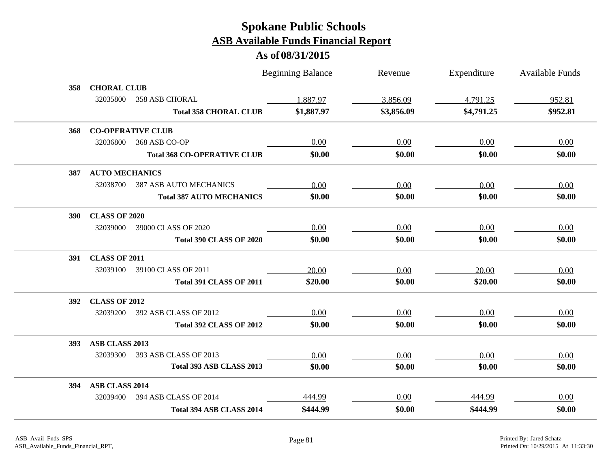|            |                       |                                    | <b>Beginning Balance</b> | Revenue    | Expenditure | <b>Available Funds</b> |
|------------|-----------------------|------------------------------------|--------------------------|------------|-------------|------------------------|
| 358        | <b>CHORAL CLUB</b>    |                                    |                          |            |             |                        |
|            | 32035800              | <b>358 ASB CHORAL</b>              | 1,887.97                 | 3,856.09   | 4,791.25    | 952.81                 |
|            |                       | <b>Total 358 CHORAL CLUB</b>       | \$1,887.97               | \$3,856.09 | \$4,791.25  | \$952.81               |
| 368        |                       | <b>CO-OPERATIVE CLUB</b>           |                          |            |             |                        |
|            | 32036800              | 368 ASB CO-OP                      | 0.00                     | 0.00       | 0.00        | 0.00                   |
|            |                       | <b>Total 368 CO-OPERATIVE CLUB</b> | \$0.00                   | \$0.00     | \$0.00      | \$0.00                 |
| 387        | <b>AUTO MECHANICS</b> |                                    |                          |            |             |                        |
|            | 32038700              | <b>387 ASB AUTO MECHANICS</b>      | 0.00                     | 0.00       | 0.00        | 0.00                   |
|            |                       | <b>Total 387 AUTO MECHANICS</b>    | \$0.00                   | \$0.00     | \$0.00      | \$0.00                 |
| <b>390</b> | <b>CLASS OF 2020</b>  |                                    |                          |            |             |                        |
|            | 32039000              | 39000 CLASS OF 2020                | 0.00                     | 0.00       | 0.00        | 0.00                   |
|            |                       | <b>Total 390 CLASS OF 2020</b>     | \$0.00                   | \$0.00     | \$0.00      | \$0.00                 |
| <b>391</b> | <b>CLASS OF 2011</b>  |                                    |                          |            |             |                        |
|            | 32039100              | 39100 CLASS OF 2011                | 20.00                    | 0.00       | 20.00       | 0.00                   |
|            |                       | <b>Total 391 CLASS OF 2011</b>     | \$20.00                  | \$0.00     | \$20.00     | \$0.00                 |
| 392        | <b>CLASS OF 2012</b>  |                                    |                          |            |             |                        |
|            | 32039200              | 392 ASB CLASS OF 2012              | 0.00                     | 0.00       | 0.00        | 0.00                   |
|            |                       | Total 392 CLASS OF 2012            | \$0.00                   | \$0.00     | \$0.00      | \$0.00                 |
| <b>393</b> | ASB CLASS 2013        |                                    |                          |            |             |                        |
|            | 32039300              | 393 ASB CLASS OF 2013              | 0.00                     | 0.00       | 0.00        | 0.00                   |
|            |                       | Total 393 ASB CLASS 2013           | \$0.00                   | \$0.00     | \$0.00      | \$0.00                 |
| 394        | <b>ASB CLASS 2014</b> |                                    |                          |            |             |                        |
|            | 32039400              | 394 ASB CLASS OF 2014              | 444.99                   | 0.00       | 444.99      | 0.00                   |
|            |                       | <b>Total 394 ASB CLASS 2014</b>    | \$444.99                 | \$0.00     | \$444.99    | \$0.00                 |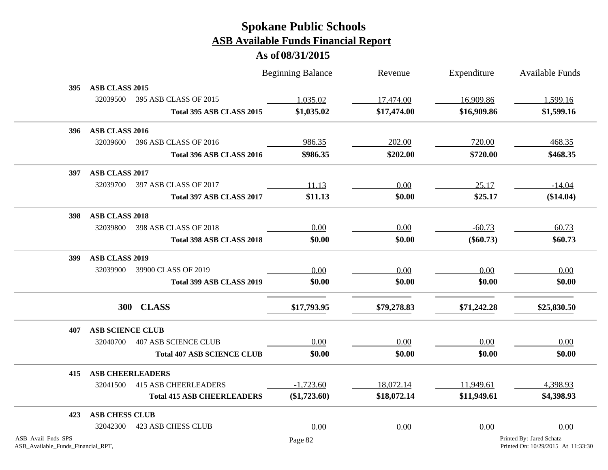|                                                          |                         |                                   | <b>Beginning Balance</b> | Revenue     | Expenditure | <b>Available Funds</b>                                         |
|----------------------------------------------------------|-------------------------|-----------------------------------|--------------------------|-------------|-------------|----------------------------------------------------------------|
| 395                                                      | ASB CLASS 2015          |                                   |                          |             |             |                                                                |
|                                                          | 32039500                | 395 ASB CLASS OF 2015             | 1,035.02                 | 17,474.00   | 16,909.86   | 1,599.16                                                       |
|                                                          |                         | Total 395 ASB CLASS 2015          | \$1,035.02               | \$17,474.00 | \$16,909.86 | \$1,599.16                                                     |
| <b>396</b>                                               | ASB CLASS 2016          |                                   |                          |             |             |                                                                |
|                                                          | 32039600                | 396 ASB CLASS OF 2016             | 986.35                   | 202.00      | 720.00      | 468.35                                                         |
|                                                          |                         | Total 396 ASB CLASS 2016          | \$986.35                 | \$202.00    | \$720.00    | \$468.35                                                       |
| 397                                                      | ASB CLASS 2017          |                                   |                          |             |             |                                                                |
|                                                          | 32039700                | 397 ASB CLASS OF 2017             | 11.13                    | 0.00        | 25.17       | $-14.04$                                                       |
|                                                          |                         | Total 397 ASB CLASS 2017          | \$11.13                  | \$0.00      | \$25.17     | (\$14.04)                                                      |
| <b>398</b>                                               | <b>ASB CLASS 2018</b>   |                                   |                          |             |             |                                                                |
|                                                          | 32039800                | 398 ASB CLASS OF 2018             | 0.00                     | 0.00        | $-60.73$    | 60.73                                                          |
|                                                          |                         | Total 398 ASB CLASS 2018          | \$0.00                   | \$0.00      | $(\$60.73)$ | \$60.73                                                        |
| <b>399</b>                                               | <b>ASB CLASS 2019</b>   |                                   |                          |             |             |                                                                |
|                                                          | 32039900                | 39900 CLASS OF 2019               | 0.00                     | 0.00        | 0.00        | 0.00                                                           |
|                                                          |                         | Total 399 ASB CLASS 2019          | \$0.00                   | \$0.00      | \$0.00      | \$0.00                                                         |
|                                                          |                         | 300 CLASS                         | \$17,793.95              | \$79,278.83 | \$71,242.28 | \$25,830.50                                                    |
| 407                                                      | <b>ASB SCIENCE CLUB</b> |                                   |                          |             |             |                                                                |
|                                                          | 32040700                | <b>407 ASB SCIENCE CLUB</b>       | 0.00                     | 0.00        | 0.00        | 0.00                                                           |
|                                                          |                         | <b>Total 407 ASB SCIENCE CLUB</b> | \$0.00                   | \$0.00      | \$0.00      | \$0.00                                                         |
| 415                                                      |                         | <b>ASB CHEERLEADERS</b>           |                          |             |             |                                                                |
|                                                          | 32041500                | <b>415 ASB CHEERLEADERS</b>       | $-1,723.60$              | 18,072.14   | 11,949.61   | 4,398.93                                                       |
|                                                          |                         | <b>Total 415 ASB CHEERLEADERS</b> | $(\$1,723.60)$           | \$18,072.14 | \$11,949.61 | \$4,398.93                                                     |
| 423                                                      | <b>ASB CHESS CLUB</b>   |                                   |                          |             |             |                                                                |
|                                                          | 32042300                | <b>423 ASB CHESS CLUB</b>         | 0.00                     | 0.00        | 0.00        | 0.00                                                           |
| ASB_Avail_Fnds_SPS<br>ASB_Available_Funds_Financial_RPT, |                         |                                   | Page 82                  |             |             | Printed By: Jared Schatz<br>Printed On: 10/29/2015 At 11:33:30 |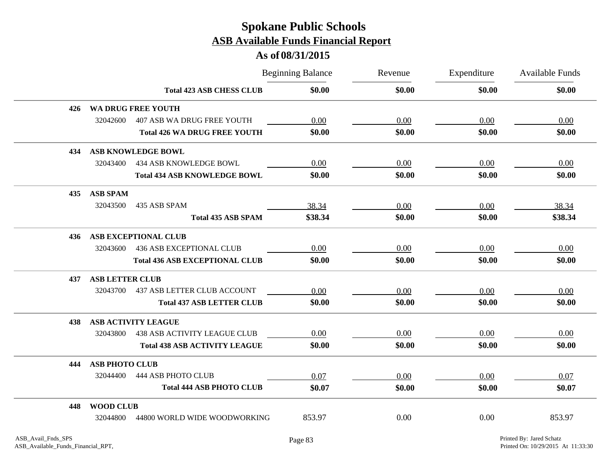|     |                        |                                       | <b>Beginning Balance</b> | Revenue | Expenditure | <b>Available Funds</b> |
|-----|------------------------|---------------------------------------|--------------------------|---------|-------------|------------------------|
|     |                        | <b>Total 423 ASB CHESS CLUB</b>       | \$0.00                   | \$0.00  | \$0.00      | \$0.00                 |
| 426 |                        | <b>WA DRUG FREE YOUTH</b>             |                          |         |             |                        |
|     | 32042600               | <b>407 ASB WA DRUG FREE YOUTH</b>     | 0.00                     | 0.00    | 0.00        | 0.00                   |
|     |                        | <b>Total 426 WA DRUG FREE YOUTH</b>   | \$0.00                   | \$0.00  | \$0.00      | \$0.00                 |
| 434 |                        | <b>ASB KNOWLEDGE BOWL</b>             |                          |         |             |                        |
|     | 32043400               | 434 ASB KNOWLEDGE BOWL                | 0.00                     | 0.00    | 0.00        | 0.00                   |
|     |                        | <b>Total 434 ASB KNOWLEDGE BOWL</b>   | \$0.00                   | \$0.00  | \$0.00      | \$0.00                 |
| 435 | <b>ASB SPAM</b>        |                                       |                          |         |             |                        |
|     | 32043500               | 435 ASB SPAM                          | 38.34                    | 0.00    | 0.00        | 38.34                  |
|     |                        | <b>Total 435 ASB SPAM</b>             | \$38.34                  | \$0.00  | \$0.00      | \$38.34                |
| 436 |                        | <b>ASB EXCEPTIONAL CLUB</b>           |                          |         |             |                        |
|     | 32043600               | <b>436 ASB EXCEPTIONAL CLUB</b>       | 0.00                     | 0.00    | 0.00        | 0.00                   |
|     |                        | <b>Total 436 ASB EXCEPTIONAL CLUB</b> | \$0.00                   | \$0.00  | \$0.00      | \$0.00                 |
| 437 | <b>ASB LETTER CLUB</b> |                                       |                          |         |             |                        |
|     | 32043700               | <b>437 ASB LETTER CLUB ACCOUNT</b>    | 0.00                     | 0.00    | 0.00        | 0.00                   |
|     |                        | <b>Total 437 ASB LETTER CLUB</b>      | \$0.00                   | \$0.00  | \$0.00      | \$0.00                 |
| 438 |                        | <b>ASB ACTIVITY LEAGUE</b>            |                          |         |             |                        |
|     | 32043800               | <b>438 ASB ACTIVITY LEAGUE CLUB</b>   | 0.00                     | 0.00    | 0.00        | 0.00                   |
|     |                        | <b>Total 438 ASB ACTIVITY LEAGUE</b>  | \$0.00                   | \$0.00  | \$0.00      | \$0.00                 |
| 444 | <b>ASB PHOTO CLUB</b>  |                                       |                          |         |             |                        |
|     | 32044400               | <b>444 ASB PHOTO CLUB</b>             | 0.07                     | 0.00    | 0.00        | 0.07                   |
|     |                        | <b>Total 444 ASB PHOTO CLUB</b>       | \$0.07                   | \$0.00  | \$0.00      | \$0.07                 |
| 448 | <b>WOOD CLUB</b>       |                                       |                          |         |             |                        |
|     | 32044800               | 44800 WORLD WIDE WOODWORKING          | 853.97                   | 0.00    | 0.00        | 853.97                 |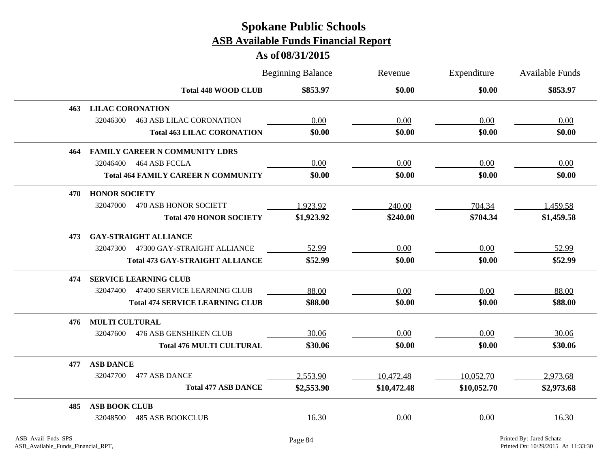|     |                                             | <b>Beginning Balance</b> | Revenue     | Expenditure | Available Funds |
|-----|---------------------------------------------|--------------------------|-------------|-------------|-----------------|
|     | <b>Total 448 WOOD CLUB</b>                  | \$853.97                 | \$0.00      | \$0.00      | \$853.97        |
| 463 | <b>LILAC CORONATION</b>                     |                          |             |             |                 |
|     | 32046300<br><b>463 ASB LILAC CORONATION</b> | 0.00                     | 0.00        | 0.00        | 0.00            |
|     | <b>Total 463 LILAC CORONATION</b>           | \$0.00                   | \$0.00      | \$0.00      | \$0.00          |
| 464 | <b>FAMILY CAREER N COMMUNITY LDRS</b>       |                          |             |             |                 |
|     | 32046400<br>464 ASB FCCLA                   | 0.00                     | 0.00        | 0.00        | 0.00            |
|     | <b>Total 464 FAMILY CAREER N COMMUNITY</b>  | \$0.00                   | \$0.00      | \$0.00      | \$0.00          |
| 470 | <b>HONOR SOCIETY</b>                        |                          |             |             |                 |
|     | 32047000<br>470 ASB HONOR SOCIETT           | 1,923.92                 | 240.00      | 704.34      | 1,459.58        |
|     | <b>Total 470 HONOR SOCIETY</b>              | \$1,923.92               | \$240.00    | \$704.34    | \$1,459.58      |
| 473 | <b>GAY-STRAIGHT ALLIANCE</b>                |                          |             |             |                 |
|     | 32047300<br>47300 GAY-STRAIGHT ALLIANCE     | 52.99                    | 0.00        | 0.00        | 52.99           |
|     | <b>Total 473 GAY-STRAIGHT ALLIANCE</b>      | \$52.99                  | \$0.00      | \$0.00      | \$52.99         |
| 474 | <b>SERVICE LEARNING CLUB</b>                |                          |             |             |                 |
|     | 47400 SERVICE LEARNING CLUB<br>32047400     | 88.00                    | 0.00        | 0.00        | 88.00           |
|     | <b>Total 474 SERVICE LEARNING CLUB</b>      | \$88.00                  | \$0.00      | \$0.00      | \$88.00         |
| 476 | <b>MULTI CULTURAL</b>                       |                          |             |             |                 |
|     | <b>476 ASB GENSHIKEN CLUB</b><br>32047600   | 30.06                    | 0.00        | 0.00        | 30.06           |
|     | <b>Total 476 MULTI CULTURAL</b>             | \$30.06                  | \$0.00      | \$0.00      | \$30.06         |
| 477 | <b>ASB DANCE</b>                            |                          |             |             |                 |
|     | 32047700<br>477 ASB DANCE                   | 2,553.90                 | 10,472.48   | 10,052.70   | 2,973.68        |
|     | <b>Total 477 ASB DANCE</b>                  | \$2,553.90               | \$10,472.48 | \$10,052.70 | \$2,973.68      |
| 485 | <b>ASB BOOK CLUB</b>                        |                          |             |             |                 |
|     | <b>485 ASB BOOKCLUB</b><br>32048500         | 16.30                    | 0.00        | 0.00        | 16.30           |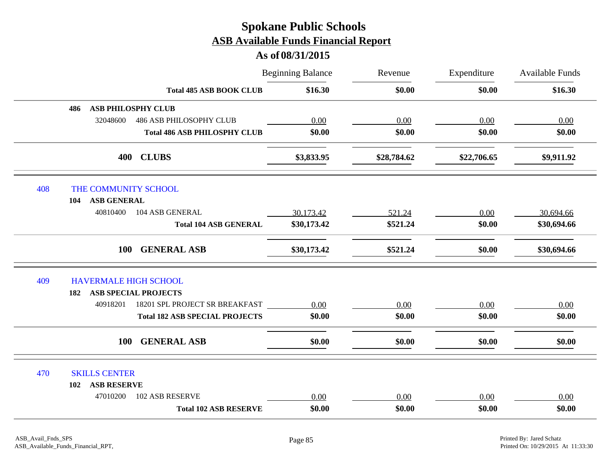|     |                              | <b>Total 485 ASB BOOK CLUB</b>        | <b>Beginning Balance</b> | Revenue<br>\$0.00 | Expenditure<br>\$0.00 | Available Funds<br>\$16.30 |  |  |
|-----|------------------------------|---------------------------------------|--------------------------|-------------------|-----------------------|----------------------------|--|--|
|     |                              |                                       | \$16.30                  |                   |                       |                            |  |  |
|     | 486                          | <b>ASB PHILOSPHY CLUB</b>             |                          |                   |                       |                            |  |  |
|     | 32048600                     | <b>486 ASB PHILOSOPHY CLUB</b>        | 0.00                     | 0.00              | 0.00                  | 0.00                       |  |  |
|     |                              | <b>Total 486 ASB PHILOSPHY CLUB</b>   | \$0.00                   | \$0.00            | \$0.00                | \$0.00                     |  |  |
|     | 400                          | <b>CLUBS</b>                          | \$3,833.95               | \$28,784.62       | \$22,706.65           | \$9,911.92                 |  |  |
| 408 | THE COMMUNITY SCHOOL         |                                       |                          |                   |                       |                            |  |  |
|     | <b>ASB GENERAL</b><br>104    |                                       |                          |                   |                       |                            |  |  |
|     | 40810400                     | 104 ASB GENERAL                       | 30,173.42                | 521.24            | 0.00                  | 30,694.66                  |  |  |
|     |                              | <b>Total 104 ASB GENERAL</b>          | \$30,173.42              | \$521.24          | \$0.00                | \$30,694.66                |  |  |
|     | <b>100</b>                   | <b>GENERAL ASB</b>                    | \$30,173.42              | \$521.24          | \$0.00                | \$30,694.66                |  |  |
| 409 | <b>HAVERMALE HIGH SCHOOL</b> |                                       |                          |                   |                       |                            |  |  |
|     | 182                          | <b>ASB SPECIAL PROJECTS</b>           |                          |                   |                       |                            |  |  |
|     | 40918201                     | 18201 SPL PROJECT SR BREAKFAST        | 0.00                     | 0.00              | 0.00                  | 0.00                       |  |  |
|     |                              | <b>Total 182 ASB SPECIAL PROJECTS</b> | \$0.00                   | \$0.00            | \$0.00                | \$0.00                     |  |  |
|     | <b>100</b>                   | <b>GENERAL ASB</b>                    | \$0.00                   | \$0.00            | \$0.00                | \$0.00                     |  |  |
| 470 | <b>SKILLS CENTER</b>         |                                       |                          |                   |                       |                            |  |  |
|     | <b>ASB RESERVE</b><br>102    |                                       |                          |                   |                       |                            |  |  |
|     | 47010200                     | <b>102 ASB RESERVE</b>                | 0.00                     | 0.00              | 0.00                  | 0.00                       |  |  |
|     |                              | <b>Total 102 ASB RESERVE</b>          | \$0.00                   | \$0.00            | \$0.00                | \$0.00                     |  |  |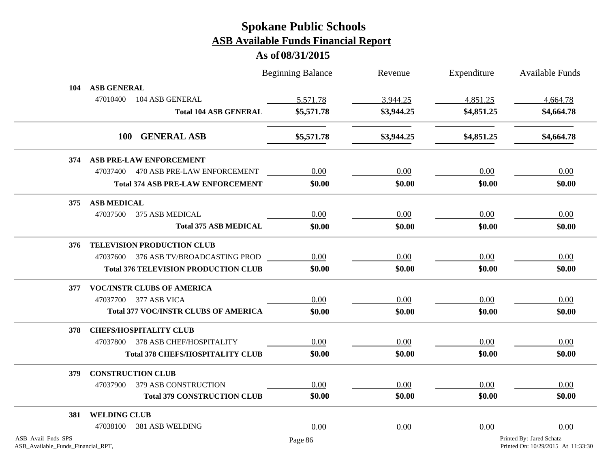|                                                          |                                             | <b>Beginning Balance</b> | Revenue    | Expenditure | Available Funds                                                |  |
|----------------------------------------------------------|---------------------------------------------|--------------------------|------------|-------------|----------------------------------------------------------------|--|
| 104                                                      | <b>ASB GENERAL</b>                          |                          |            |             |                                                                |  |
|                                                          | 47010400<br>104 ASB GENERAL                 | 5,571.78                 | 3,944.25   | 4,851.25    | 4,664.78                                                       |  |
|                                                          | <b>Total 104 ASB GENERAL</b>                | \$5,571.78               | \$3,944.25 | \$4,851.25  | \$4,664.78                                                     |  |
|                                                          | 100 GENERAL ASB                             | \$5,571.78               | \$3,944.25 | \$4,851.25  | \$4,664.78                                                     |  |
| 374                                                      | <b>ASB PRE-LAW ENFORCEMENT</b>              |                          |            |             |                                                                |  |
|                                                          | 47037400 470 ASB PRE-LAW ENFORCEMENT        | 0.00                     | 0.00       | 0.00        | 0.00                                                           |  |
|                                                          | <b>Total 374 ASB PRE-LAW ENFORCEMENT</b>    | \$0.00                   | \$0.00     | \$0.00      | \$0.00                                                         |  |
| 375                                                      | <b>ASB MEDICAL</b>                          |                          |            |             |                                                                |  |
|                                                          | 47037500<br>375 ASB MEDICAL                 | 0.00                     | 0.00       | 0.00        | 0.00                                                           |  |
|                                                          | <b>Total 375 ASB MEDICAL</b>                | \$0.00                   | \$0.00     | \$0.00      | \$0.00                                                         |  |
| 376                                                      | <b>TELEVISION PRODUCTION CLUB</b>           |                          |            |             |                                                                |  |
|                                                          | 47037600 376 ASB TV/BROADCASTING PROD       | 0.00                     | 0.00       | 0.00        | 0.00                                                           |  |
|                                                          | <b>Total 376 TELEVISION PRODUCTION CLUB</b> | \$0.00                   | \$0.00     | \$0.00      | \$0.00                                                         |  |
| 377                                                      | <b>VOC/INSTR CLUBS OF AMERICA</b>           |                          |            |             |                                                                |  |
|                                                          | 47037700 377 ASB VICA                       | 0.00                     | 0.00       | 0.00        | 0.00                                                           |  |
|                                                          | <b>Total 377 VOC/INSTR CLUBS OF AMERICA</b> | \$0.00                   | \$0.00     | \$0.00      | \$0.00                                                         |  |
| 378                                                      | <b>CHEFS/HOSPITALITY CLUB</b>               |                          |            |             |                                                                |  |
|                                                          | 47037800 378 ASB CHEF/HOSPITALITY           | 0.00                     | 0.00       | 0.00        | 0.00                                                           |  |
|                                                          | <b>Total 378 CHEFS/HOSPITALITY CLUB</b>     | \$0.00                   | \$0.00     | \$0.00      | \$0.00                                                         |  |
| 379                                                      | <b>CONSTRUCTION CLUB</b>                    |                          |            |             |                                                                |  |
|                                                          | 379 ASB CONSTRUCTION<br>47037900            | 0.00                     | 0.00       | 0.00        | 0.00                                                           |  |
|                                                          | <b>Total 379 CONSTRUCTION CLUB</b>          | \$0.00                   | \$0.00     | \$0.00      | \$0.00                                                         |  |
| 381                                                      | <b>WELDING CLUB</b>                         |                          |            |             |                                                                |  |
|                                                          | 381 ASB WELDING<br>47038100                 | 0.00                     | 0.00       | 0.00        | 0.00                                                           |  |
| ASB_Avail_Fnds_SPS<br>ASB_Available_Funds_Financial_RPT, |                                             | Page 86                  |            |             | Printed By: Jared Schatz<br>Printed On: 10/29/2015 At 11:33:30 |  |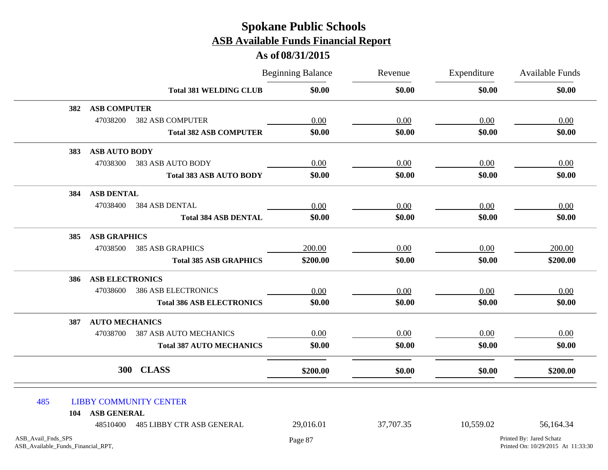|                                                          |                        |                                  | <b>Beginning Balance</b> | Revenue<br>\$0.00 | Expenditure<br>\$0.00                                          | Available Funds<br>\$0.00 |
|----------------------------------------------------------|------------------------|----------------------------------|--------------------------|-------------------|----------------------------------------------------------------|---------------------------|
|                                                          |                        | <b>Total 381 WELDING CLUB</b>    | \$0.00                   |                   |                                                                |                           |
| 382                                                      | <b>ASB COMPUTER</b>    |                                  |                          |                   |                                                                |                           |
|                                                          | 47038200               | <b>382 ASB COMPUTER</b>          | 0.00                     | 0.00              | 0.00                                                           | 0.00                      |
|                                                          |                        | <b>Total 382 ASB COMPUTER</b>    | \$0.00                   | \$0.00            | \$0.00                                                         | \$0.00                    |
| 383                                                      | <b>ASB AUTO BODY</b>   |                                  |                          |                   |                                                                |                           |
|                                                          | 47038300               | 383 ASB AUTO BODY                | 0.00                     | 0.00              | 0.00                                                           | 0.00                      |
|                                                          |                        | <b>Total 383 ASB AUTO BODY</b>   | \$0.00                   | \$0.00            | \$0.00                                                         | \$0.00                    |
| 384                                                      | <b>ASB DENTAL</b>      |                                  |                          |                   |                                                                |                           |
|                                                          | 47038400               | 384 ASB DENTAL                   | 0.00                     | 0.00              | 0.00                                                           | 0.00                      |
|                                                          |                        | <b>Total 384 ASB DENTAL</b>      | \$0.00                   | \$0.00            | \$0.00                                                         | \$0.00                    |
| 385                                                      | <b>ASB GRAPHICS</b>    |                                  |                          |                   |                                                                |                           |
|                                                          | 47038500               | <b>385 ASB GRAPHICS</b>          | 200.00                   | 0.00              | 0.00                                                           | 200.00                    |
|                                                          |                        | <b>Total 385 ASB GRAPHICS</b>    | \$200.00                 | \$0.00            | \$0.00                                                         | \$200.00                  |
| 386                                                      | <b>ASB ELECTRONICS</b> |                                  |                          |                   |                                                                |                           |
|                                                          | 47038600               | <b>386 ASB ELECTRONICS</b>       | 0.00                     | 0.00              | 0.00                                                           | 0.00                      |
|                                                          |                        | <b>Total 386 ASB ELECTRONICS</b> | \$0.00                   | \$0.00            | \$0.00                                                         | \$0.00                    |
| 387                                                      | <b>AUTO MECHANICS</b>  |                                  |                          |                   |                                                                |                           |
|                                                          | 47038700               | <b>387 ASB AUTO MECHANICS</b>    | 0.00                     | 0.00              | 0.00                                                           | 0.00                      |
|                                                          |                        | <b>Total 387 AUTO MECHANICS</b>  | \$0.00                   | \$0.00            | \$0.00                                                         | \$0.00                    |
|                                                          |                        | 300 CLASS                        | \$200.00                 | \$0.00            | \$0.00                                                         | \$200.00                  |
| 485                                                      | <b>ASB GENERAL</b>     | <b>LIBBY COMMUNITY CENTER</b>    |                          |                   |                                                                |                           |
| 104                                                      | 48510400               | <b>485 LIBBY CTR ASB GENERAL</b> | 29,016.01                | 37,707.35         | 10,559.02                                                      | 56,164.34                 |
| ASB_Avail_Fnds_SPS<br>ASB_Available_Funds_Financial_RPT, |                        | Page 87                          |                          |                   | Printed By: Jared Schatz<br>Printed On: 10/29/2015 At 11:33:30 |                           |